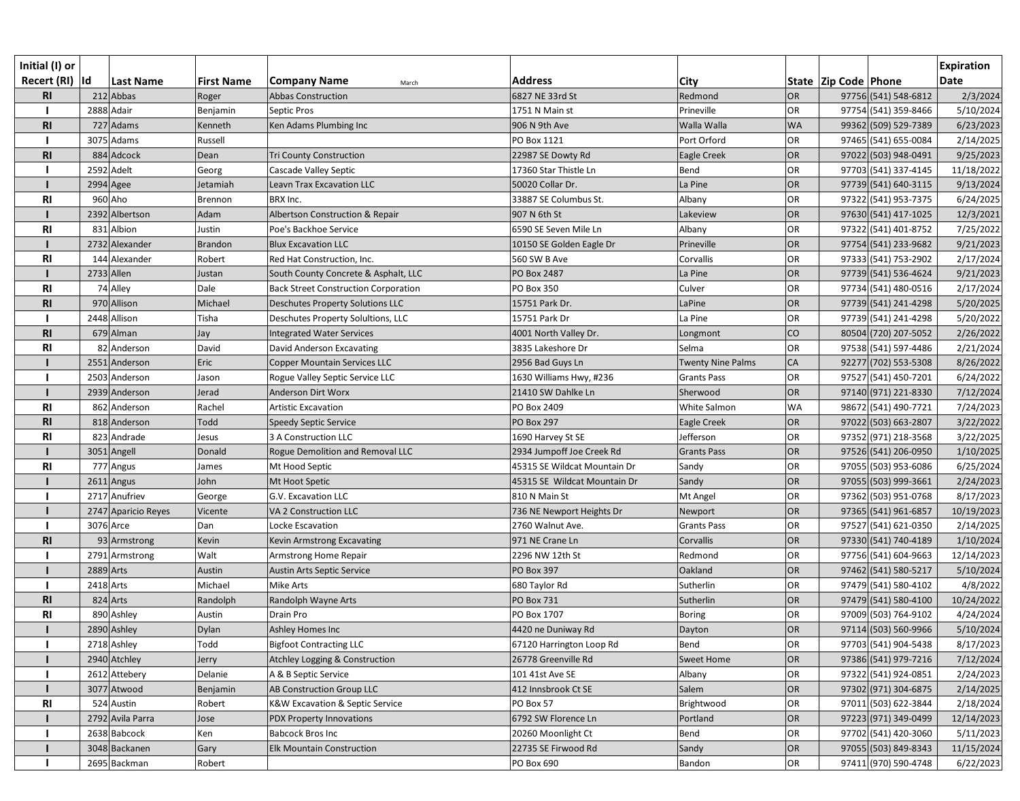| Initial (I) or  |              |                     |                   |                                             |                              |                          |           |                          |                      | <b>Expiration</b> |
|-----------------|--------------|---------------------|-------------------|---------------------------------------------|------------------------------|--------------------------|-----------|--------------------------|----------------------|-------------------|
| Recert (RI)  Id |              | <b>Last Name</b>    | <b>First Name</b> | <b>Company Name</b><br>March                | <b>Address</b>               | City                     |           | State   Zip Code   Phone |                      | <b>Date</b>       |
| <b>RI</b>       |              | 212 Abbas           | Roger             | <b>Abbas Construction</b>                   | 6827 NE 33rd St              | Redmond                  | OR        |                          | 97756 (541) 548-6812 | 2/3/2024          |
|                 |              | 2888 Adair          | Benjamin          | Septic Pros                                 | 1751 N Main st               | Prineville               | OR        |                          | 97754 (541) 359-8466 | 5/10/2024         |
| R1              |              | 727 Adams           | Kenneth           | Ken Adams Plumbing Inc                      | 906 N 9th Ave                | Walla Walla              | <b>WA</b> |                          | 99362 (509) 529-7389 | 6/23/2023         |
|                 |              | 3075 Adams          | Russell           |                                             | PO Box 1121                  | Port Orford              | <b>OR</b> |                          | 97465 (541) 655-0084 | 2/14/2025         |
| R1              |              | 884 Adcock          | Dean              | <b>Tri County Construction</b>              | 22987 SE Dowty Rd            | Eagle Creek              | OR        |                          | 97022 (503) 948-0491 | 9/25/2023         |
|                 |              | 2592 Adelt          | Georg             | Cascade Valley Septic                       | 17360 Star Thistle Ln        | Bend                     | <b>OR</b> |                          | 97703 (541) 337-4145 | 11/18/2022        |
|                 | 2994 Agee    |                     | Jetamiah          | <b>Leavn Trax Excavation LLC</b>            | 50020 Collar Dr.             | La Pine                  | OR        |                          | 97739 (541) 640-3115 | 9/13/2024         |
| <b>RI</b>       |              | 960 Aho             | Brennon           | BRX Inc.                                    | 33887 SE Columbus St.        | Albany                   | OR        |                          | 97322 (541) 953-7375 | 6/24/2025         |
|                 |              | 2392 Albertson      | Adam              | Albertson Construction & Repair             | 907 N 6th St                 | Lakeview                 | OR        |                          | 97630 (541) 417-1025 | 12/3/2021         |
| R1              |              | 831 Albion          | Justin            | Poe's Backhoe Service                       | 6590 SE Seven Mile Ln        | Albany                   | OR        |                          | 97322 (541) 401-8752 | 7/25/2022         |
|                 |              | 2732 Alexander      | <b>Brandon</b>    | <b>Blux Excavation LLC</b>                  | 10150 SE Golden Eagle Dr     | Prineville               | OR        |                          | 97754 (541) 233-9682 | 9/21/2023         |
| R <sub>l</sub>  |              | 144 Alexander       | Robert            | Red Hat Construction, Inc.                  | 560 SW B Ave                 | Corvallis                | OR        |                          | 97333 (541) 753-2902 | 2/17/2024         |
|                 | $2733$ Allen |                     | Justan            | South County Concrete & Asphalt, LLC        | PO Box 2487                  | La Pine                  | OR        |                          | 97739 (541) 536-4624 | 9/21/2023         |
| R1              |              | 74 Alley            | Dale              | <b>Back Street Construction Corporation</b> | <b>PO Box 350</b>            | Culver                   | OR        |                          | 97734 (541) 480-0516 | 2/17/2024         |
| R <sub>l</sub>  |              | 970 Allison         | Michael           | <b>Deschutes Property Solutions LLC</b>     | 15751 Park Dr.               | LaPine                   | OR        |                          | 97739 (541) 241-4298 | 5/20/2025         |
|                 |              | 2448 Allison        | Tisha             | Deschutes Property Solultions, LLC          | 15751 Park Dr                | La Pine                  | <b>OR</b> |                          | 97739 (541) 241-4298 | 5/20/2022         |
| R <sub>l</sub>  |              | 679 Alman           | Jay               | <b>Integrated Water Services</b>            | 4001 North Valley Dr.        | Longmont                 | CO        |                          | 80504 (720) 207-5052 | 2/26/2022         |
| R1              |              | 82 Anderson         | David             | David Anderson Excavating                   | 3835 Lakeshore Dr            | Selma                    | <b>OR</b> |                          | 97538 (541) 597-4486 | 2/21/2024         |
|                 |              | 2551 Anderson       | Eric              | <b>Copper Mountain Services LLC</b>         | 2956 Bad Guys Ln             | <b>Twenty Nine Palms</b> | <b>CA</b> |                          | 92277 (702) 553-5308 | 8/26/2022         |
|                 |              | 2503 Anderson       | Jason             | Rogue Valley Septic Service LLC             | 1630 Williams Hwy, #236      | <b>Grants Pass</b>       | OR        |                          | 97527 (541) 450-7201 | 6/24/2022         |
|                 |              | 2939 Anderson       | Jerad             | Anderson Dirt Worx                          | 21410 SW Dahlke Ln           | Sherwood                 | OR        |                          | 97140 (971) 221-8330 | 7/12/2024         |
| <b>RI</b>       |              | 862 Anderson        | Rachel            | <b>Artistic Excavation</b>                  | PO Box 2409                  | White Salmon             | <b>WA</b> |                          | 98672 (541) 490-7721 | 7/24/2023         |
| R1              |              | 818 Anderson        | Todd              | Speedy Septic Service                       | <b>PO Box 297</b>            | Eagle Creek              | OR        |                          | 97022 (503) 663-2807 | 3/22/2022         |
| <b>RI</b>       |              | 823 Andrade         | Jesus             | 3 A Construction LLC                        | 1690 Harvey St SE            | Jefferson                | <b>OR</b> |                          | 97352 (971) 218-3568 | 3/22/2025         |
|                 |              | 3051 Angell         | Donald            | Rogue Demolition and Removal LLC            | 2934 Jumpoff Joe Creek Rd    | <b>Grants Pass</b>       | OR        |                          | 97526 (541) 206-0950 | 1/10/2025         |
| R <sub>l</sub>  |              | 777 Angus           | James             | Mt Hood Septic                              | 45315 SE Wildcat Mountain Dr | Sandy                    | <b>OR</b> |                          | 97055 (503) 953-6086 | 6/25/2024         |
|                 |              | $2611$ Angus        | John              | Mt Hoot Spetic                              | 45315 SE Wildcat Mountain Dr | Sandy                    | OR        |                          | 97055 (503) 999-3661 | 2/24/2023         |
|                 |              | 2717 Anufriev       | George            | G.V. Excavation LLC                         | 810 N Main St                | Mt Angel                 | OR        |                          | 97362 (503) 951-0768 | 8/17/2023         |
|                 |              | 2747 Aparicio Reyes | Vicente           | VA 2 Construction LLC                       | 736 NE Newport Heights Dr    | Newport                  | OR        |                          | 97365 (541) 961-6857 | 10/19/2023        |
|                 | 3076 Arce    |                     | Dan               | Locke Escavation                            | 2760 Walnut Ave.             | <b>Grants Pass</b>       | OR        |                          | 97527 (541) 621-0350 | 2/14/2025         |
| R1              |              | 93 Armstrong        | Kevin             | Kevin Armstrong Excavating                  | 971 NE Crane Ln              | Corvallis                | OR        |                          | 97330 (541) 740-4189 | 1/10/2024         |
|                 |              | 2791 Armstrong      | Walt              | Armstrong Home Repair                       | 2296 NW 12th St              | Redmond                  | OR        |                          | 97756 (541) 604-9663 | 12/14/2023        |
|                 | 2889 Arts    |                     | Austin            | <b>Austin Arts Septic Service</b>           | <b>PO Box 397</b>            | Oakland                  | OR        |                          | 97462 (541) 580-5217 | 5/10/2024         |
|                 | 2418 Arts    |                     | Michael           | Mike Arts                                   | 680 Taylor Rd                | Sutherlin                | <b>OR</b> |                          | 97479 (541) 580-4102 | 4/8/2022          |
| <b>RI</b>       |              | 824 Arts            | Randolph          | Randolph Wayne Arts                         | PO Box 731                   | Sutherlin                | OR        |                          | 97479 (541) 580-4100 | 10/24/2022        |
| <b>RI</b>       |              | 890 Ashley          | Austin            | Drain Pro                                   | PO Box 1707                  | <b>Boring</b>            | OR        |                          | 97009 (503) 764-9102 | 4/24/2024         |
|                 |              | 2890 Ashley         | Dylan             | Ashley Homes Inc                            | 4420 ne Duniway Rd           | Dayton                   | OR        |                          | 97114 (503) 560-9966 | 5/10/2024         |
|                 |              | 2718 Ashley         | Todd              | <b>Bigfoot Contracting LLC</b>              | 67120 Harrington Loop Rd     | Bend                     | <b>OR</b> |                          | 97703 (541) 904-5438 | 8/17/2023         |
|                 |              | 2940 Atchley        | Jerry             | <b>Atchley Logging &amp; Construction</b>   | 26778 Greenville Rd          | <b>Sweet Home</b>        | OR        |                          | 97386 (541) 979-7216 | 7/12/2024         |
|                 |              | 2612 Attebery       | Delanie           | A & B Septic Service                        | 101 41st Ave SE              | Albany                   | <b>OR</b> |                          | 97322 (541) 924-0851 | 2/24/2023         |
|                 |              | 3077 Atwood         | Benjamin          | AB Construction Group LLC                   | 412 Innsbrook Ct SE          | Salem                    | OR        |                          | 97302 (971) 304-6875 | 2/14/2025         |
| <b>RI</b>       |              | 524 Austin          | Robert            | K&W Excavation & Septic Service             | PO Box 57                    | Brightwood               | OR        |                          | 97011 (503) 622-3844 | 2/18/2024         |
|                 |              | 2792 Avila Parra    | Jose              | PDX Property Innovations                    | 6792 SW Florence Ln          | Portland                 | OR        |                          | 97223 (971) 349-0499 | 12/14/2023        |
|                 |              | 2638 Babcock        | Ken               | <b>Babcock Bros Inc</b>                     | 20260 Moonlight Ct           | Bend                     | OR        |                          | 97702 (541) 420-3060 | 5/11/2023         |
|                 |              | 3048 Backanen       | Gary              | <b>Elk Mountain Construction</b>            | 22735 SE Firwood Rd          | Sandy                    | OR        |                          | 97055 (503) 849-8343 | 11/15/2024        |
|                 |              | 2695 Backman        | Robert            |                                             | PO Box 690                   | Bandon                   | OR        |                          | 97411 (970) 590-4748 | 6/22/2023         |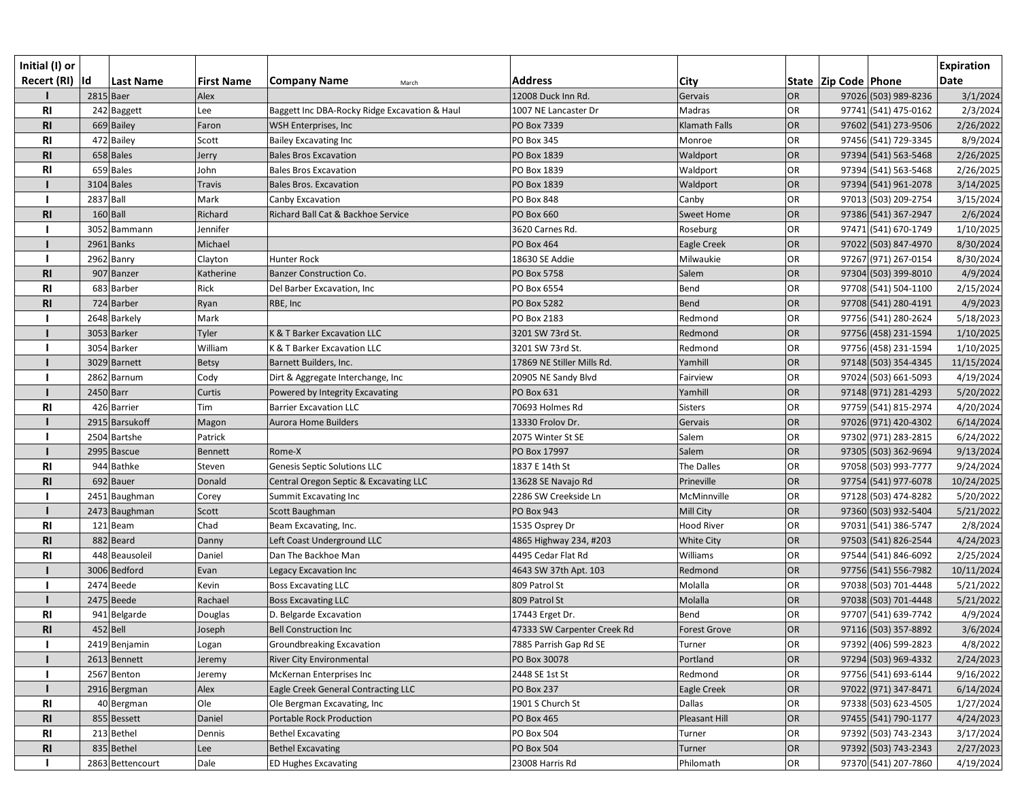| Initial (I) or  |                  |                   |                                               |                             |                   |           |                          |                      | <b>Expiration</b> |
|-----------------|------------------|-------------------|-----------------------------------------------|-----------------------------|-------------------|-----------|--------------------------|----------------------|-------------------|
| Recert (RI)  Id | Last Name        | <b>First Name</b> | <b>Company Name</b><br>March                  | <b>Address</b>              | City              |           | State   Zip Code   Phone |                      | <b>Date</b>       |
|                 | 2815 Baer        | Alex              |                                               | 12008 Duck Inn Rd.          | Gervais           | <b>OR</b> |                          | 97026 (503) 989-8236 | 3/1/2024          |
| <b>RI</b>       | 242 Baggett      | Lee               | Baggett Inc DBA-Rocky Ridge Excavation & Haul | 1007 NE Lancaster Dr        | Madras            | OR        |                          | 97741 (541) 475-0162 | 2/3/2024          |
| <b>RI</b>       | 669 Bailey       | Faron             | WSH Enterprises, Inc                          | PO Box 7339                 | Klamath Falls     | OR        |                          | 97602 (541) 273-9506 | 2/26/2022         |
| R <sub>l</sub>  | 472 Bailey       | Scott             | <b>Bailey Excavating Inc</b>                  | PO Box 345                  | Monroe            | OR        |                          | 97456 (541) 729-3345 | 8/9/2024          |
| R <sub>l</sub>  | 658 Bales        | Jerry             | <b>Bales Bros Excavation</b>                  | PO Box 1839                 | Waldport          | OR        |                          | 97394 (541) 563-5468 | 2/26/2025         |
| <b>RI</b>       | 659 Bales        | John              | <b>Bales Bros Excavation</b>                  | PO Box 1839                 | Waldport          | OR        |                          | 97394 (541) 563-5468 | 2/26/2025         |
|                 | 3104 Bales       | <b>Travis</b>     | <b>Bales Bros. Excavation</b>                 | PO Box 1839                 | Waldport          | OR        |                          | 97394 (541) 961-2078 | 3/14/2025         |
|                 | 2837 Ball        | Mark              | Canby Excavation                              | PO Box 848                  | Canby             | OR        |                          | 97013 (503) 209-2754 | 3/15/2024         |
| R <sub>l</sub>  | $160$ Ball       | Richard           | Richard Ball Cat & Backhoe Service            | <b>PO Box 660</b>           | <b>Sweet Home</b> | OR        |                          | 97386 (541) 367-2947 | 2/6/2024          |
|                 | 3052 Bammann     | Jennifer          |                                               | 3620 Carnes Rd.             | Roseburg          | OR        |                          | 97471 (541) 670-1749 | 1/10/2025         |
|                 | 2961 Banks       | Michael           |                                               | <b>PO Box 464</b>           | Eagle Creek       | OR        |                          | 97022 (503) 847-4970 | 8/30/2024         |
|                 | 2962 Banry       | Clayton           | Hunter Rock                                   | 18630 SE Addie              | Milwaukie         | OR        |                          | 97267 (971) 267-0154 | 8/30/2024         |
| <b>RI</b>       | 907 Banzer       | Katherine         | <b>Banzer Construction Co.</b>                | PO Box 5758                 | Salem             | OR        |                          | 97304 (503) 399-8010 | 4/9/2024          |
| <b>RI</b>       | 683 Barber       | Rick              | Del Barber Excavation, Inc                    | PO Box 6554                 | Bend              | OR        |                          | 97708 (541) 504-1100 | 2/15/2024         |
| <b>RI</b>       | 724 Barber       | Ryan              | RBE, Inc                                      | PO Box 5282                 | Bend              | OR        |                          | 97708 (541) 280-4191 | 4/9/2023          |
|                 | 2648 Barkely     | Mark              |                                               | PO Box 2183                 | Redmond           | OR        |                          | 97756 (541) 280-2624 | 5/18/2023         |
|                 | 3053 Barker      | Tyler             | K & T Barker Excavation LLC                   | 3201 SW 73rd St.            | Redmond           | OR        |                          | 97756 (458) 231-1594 | 1/10/2025         |
|                 | 3054 Barker      | William           | K & T Barker Excavation LLC                   | 3201 SW 73rd St.            | Redmond           | OR        |                          | 97756 (458) 231-1594 | 1/10/2025         |
|                 | 3029 Barnett     | <b>Betsy</b>      | Barnett Builders, Inc.                        | 17869 NE Stiller Mills Rd.  | Yamhill           | OR        |                          | 97148 (503) 354-4345 | 11/15/2024        |
|                 | 2862 Barnum      | Cody              | Dirt & Aggregate Interchange, Inc             | 20905 NE Sandy Blvd         | Fairview          | OR        |                          | 97024 (503) 661-5093 | 4/19/2024         |
|                 | $2450$ Barr      | Curtis            | Powered by Integrity Excavating               | PO Box 631                  | Yamhill           | OR        |                          | 97148 (971) 281-4293 | 5/20/2022         |
| <b>RI</b>       | 426 Barrier      | Tim               | <b>Barrier Excavation LLC</b>                 | 70693 Holmes Rd             | <b>Sisters</b>    | OR        |                          | 97759 (541) 815-2974 | 4/20/2024         |
|                 | 2915 Barsukoff   | Magon             | Aurora Home Builders                          | 13330 Frolov Dr.            | Gervais           | OR        |                          | 97026 (971) 420-4302 | 6/14/2024         |
|                 | 2504 Bartshe     | Patrick           |                                               | 2075 Winter St SE           | Salem             | OR        |                          | 97302 (971) 283-2815 | 6/24/2022         |
|                 | 2995 Bascue      | Bennett           | Rome-X                                        | PO Box 17997                | Salem             | OR        |                          | 97305 (503) 362-9694 | 9/13/2024         |
| RI              | 944 Bathke       | Steven            | <b>Genesis Septic Solutions LLC</b>           | 1837 E 14th St              | The Dalles        | OR        |                          | 97058 (503) 993-7777 | 9/24/2024         |
| R <sub>l</sub>  | 692 Bauer        | Donald            | Central Oregon Septic & Excavating LLC        | 13628 SE Navajo Rd          | Prineville        | OR        |                          | 97754 (541) 977-6078 | 10/24/2025        |
|                 | 2451 Baughman    | Corey             | Summit Excavating Inc                         | 2286 SW Creekside Ln        | McMinnville       | <b>OR</b> |                          | 97128 (503) 474-8282 | 5/20/2022         |
|                 | 2473 Baughman    | Scott             | Scott Baughman                                | <b>PO Box 943</b>           | Mill City         | OR        |                          | 97360 (503) 932-5404 | 5/21/2022         |
| <b>RI</b>       | 121 Beam         | Chad              | Beam Excavating, Inc.                         | 1535 Osprey Dr              | <b>Hood River</b> | OR        |                          | 97031 (541) 386-5747 | 2/8/2024          |
| <b>RI</b>       | 882 Beard        | Danny             | Left Coast Underground LLC                    | 4865 Highway 234, #203      | <b>White City</b> | OR        |                          | 97503 (541) 826-2544 | 4/24/2023         |
| <b>RI</b>       | 448 Beausoleil   | Daniel            | Dan The Backhoe Man                           | 4495 Cedar Flat Rd          | Williams          | OR        |                          | 97544 (541) 846-6092 | 2/25/2024         |
|                 | 3006 Bedford     | Evan              | Legacy Excavation Inc                         | 4643 SW 37th Apt. 103       | Redmond           | OR        |                          | 97756 (541) 556-7982 | 10/11/2024        |
|                 | 2474 Beede       | Kevin             | <b>Boss Excavating LLC</b>                    | 809 Patrol St               | Molalla           | OR        |                          | 97038 (503) 701-4448 | 5/21/2022         |
|                 | $2475$ Beede     | Rachael           | <b>Boss Excavating LLC</b>                    | 809 Patrol St               | Molalla           | OR        |                          | 97038 (503) 701-4448 | 5/21/2022         |
| <b>RI</b>       | 941 Belgarde     | Douglas           | D. Belgarde Excavation                        | 17443 Erget Dr.             | Bend              | OR        |                          | 97707 (541) 639-7742 | 4/9/2024          |
| R <sub>l</sub>  | $452$ Bell       | Joseph            | <b>Bell Construction Inc</b>                  | 47333 SW Carpenter Creek Rd | Forest Grove      | OR        |                          | 97116 (503) 357-8892 | 3/6/2024          |
|                 | 2419 Benjamin    | Logan             | Groundbreaking Excavation                     | 7885 Parrish Gap Rd SE      | Turner            | OR        |                          | 97392 (406) 599-2823 | 4/8/2022          |
|                 | 2613 Bennett     | Jeremy            | <b>River City Environmental</b>               | PO Box 30078                | Portland          | OR        |                          | 97294 (503) 969-4332 | 2/24/2023         |
|                 | 2567 Benton      | Jeremy            | McKernan Enterprises Inc                      | 2448 SE 1st St              | Redmond           | OR        |                          | 97756 (541) 693-6144 | 9/16/2022         |
|                 | 2916 Bergman     | Alex              | Eagle Creek General Contracting LLC           | <b>PO Box 237</b>           | Eagle Creek       | OR        |                          | 97022 (971) 347-8471 | 6/14/2024         |
| RI              | 40 Bergman       | Ole               | Ole Bergman Excavating, Inc                   | 1901 S Church St            | Dallas            | OR        |                          | 97338 (503) 623-4505 | 1/27/2024         |
| <b>RI</b>       | 855 Bessett      | Daniel            | Portable Rock Production                      | <b>PO Box 465</b>           | Pleasant Hill     | OR        |                          | 97455 (541) 790-1177 | 4/24/2023         |
| RI              | 213 Bethel       | Dennis            | <b>Bethel Excavating</b>                      | PO Box 504                  | Turner            | OR        |                          | 97392 (503) 743-2343 | 3/17/2024         |
| R <sub>l</sub>  | 835 Bethel       | Lee               | <b>Bethel Excavating</b>                      | <b>PO Box 504</b>           | Turner            | OR        |                          | 97392 (503) 743-2343 | 2/27/2023         |
|                 | 2863 Bettencourt | Dale              | <b>ED Hughes Excavating</b>                   | 23008 Harris Rd             | Philomath         | OR        |                          | 97370 (541) 207-7860 | 4/19/2024         |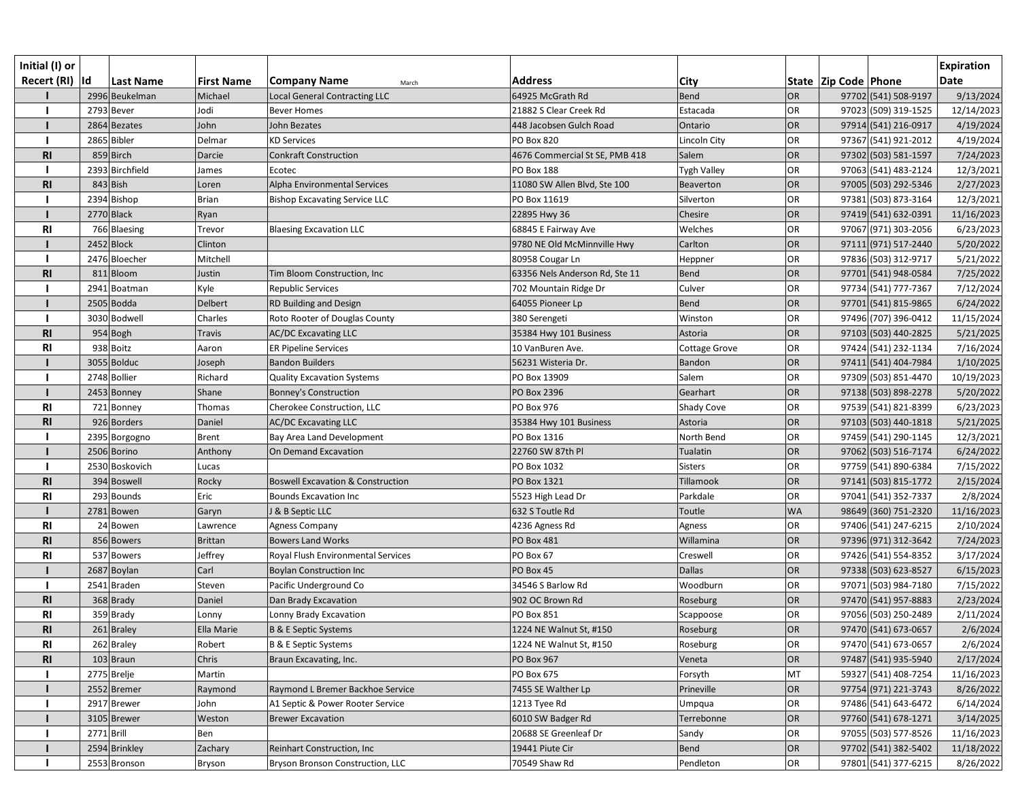| Initial (I) or  |                 |                   |                                              |                                |                |           |                          |                      | <b>Expiration</b> |
|-----------------|-----------------|-------------------|----------------------------------------------|--------------------------------|----------------|-----------|--------------------------|----------------------|-------------------|
| Recert (RI)  Id | Last Name       | <b>First Name</b> | <b>Company Name</b><br>March                 | <b>Address</b>                 | City           |           | State   Zip Code   Phone |                      | <b>Date</b>       |
|                 | 2996 Beukelman  | Michael           | Local General Contracting LLC                | 64925 McGrath Rd               | <b>Bend</b>    | <b>OR</b> |                          | 97702 (541) 508-9197 | 9/13/2024         |
|                 | 2793 Bever      | Jodi              | <b>Bever Homes</b>                           | 21882 S Clear Creek Rd         | Estacada       | OR        |                          | 97023 (509) 319-1525 | 12/14/2023        |
|                 | 2864 Bezates    | John              | John Bezates                                 | 448 Jacobsen Gulch Road        | Ontario        | OR        |                          | 97914 (541) 216-0917 | 4/19/2024         |
|                 | 2865 Bibler     | Delmar            | <b>KD Services</b>                           | <b>PO Box 820</b>              | Lincoln City   | OR        |                          | 97367 (541) 921-2012 | 4/19/2024         |
| <b>RI</b>       | 859 Birch       | Darcie            | <b>Conkraft Construction</b>                 | 4676 Commercial St SE, PMB 418 | Salem          | <b>OR</b> |                          | 97302 (503) 581-1597 | 7/24/2023         |
|                 | 2393 Birchfield | James             | Ecotec                                       | <b>PO Box 188</b>              | Tygh Valley    | OR        |                          | 97063 (541) 483-2124 | 12/3/2021         |
| <b>RI</b>       | 843 Bish        | Loren             | Alpha Environmental Services                 | 11080 SW Allen Blvd, Ste 100   | Beaverton      | OR        |                          | 97005 (503) 292-5346 | 2/27/2023         |
|                 | 2394 Bishop     | <b>Brian</b>      | <b>Bishop Excavating Service LLC</b>         | PO Box 11619                   | Silverton      | <b>OR</b> |                          | 97381 (503) 873-3164 | 12/3/2021         |
|                 | 2770 Black      | Ryan              |                                              | 22895 Hwy 36                   | Chesire        | OR        |                          | 97419 (541) 632-0391 | 11/16/2023        |
| <b>RI</b>       | 766 Blaesing    | Trevor            | <b>Blaesing Excavation LLC</b>               | 68845 E Fairway Ave            | Welches        | OR        |                          | 97067 (971) 303-2056 | 6/23/2023         |
|                 | $2452$ Block    | Clinton           |                                              | 9780 NE Old McMinnville Hwy    | Carlton        | OR        |                          | 97111 (971) 517-2440 | 5/20/2022         |
|                 | 2476 Bloecher   | Mitchell          |                                              | 80958 Cougar Ln                | Heppner        | OR        |                          | 97836 (503) 312-9717 | 5/21/2022         |
| <b>RI</b>       | 811 Bloom       | Justin            | Tim Bloom Construction, Inc                  | 63356 Nels Anderson Rd, Ste 11 | <b>Bend</b>    | OR        |                          | 97701 (541) 948-0584 | 7/25/2022         |
|                 | 2941 Boatman    | Kyle              | <b>Republic Services</b>                     | 702 Mountain Ridge Dr          | Culver         | <b>OR</b> |                          | 97734 (541) 777-7367 | 7/12/2024         |
|                 | $2505$ Bodda    | <b>Delbert</b>    | RD Building and Design                       | 64055 Pioneer Lp               | <b>Bend</b>    | OR        |                          | 97701 (541) 815-9865 | 6/24/2022         |
|                 | 3030 Bodwell    | Charles           | Roto Rooter of Douglas County                | 380 Serengeti                  | Winston        | <b>OR</b> |                          | 97496 (707) 396-0412 | 11/15/2024        |
| <b>RI</b>       | 954 Bogh        | Travis            | <b>AC/DC Excavating LLC</b>                  | 35384 Hwy 101 Business         | Astoria        | OR        |                          | 97103 (503) 440-2825 | 5/21/2025         |
| <b>RI</b>       | 938 Boitz       | Aaron             | <b>ER Pipeline Services</b>                  | 10 VanBuren Ave.               | Cottage Grove  | <b>OR</b> |                          | 97424 (541) 232-1134 | 7/16/2024         |
|                 | 3055 Bolduc     | Joseph            | <b>Bandon Builders</b>                       | 56231 Wisteria Dr.             | Bandon         | OR        |                          | 97411 (541) 404-7984 | 1/10/2025         |
|                 | 2748 Bollier    | Richard           | <b>Quality Excavation Systems</b>            | PO Box 13909                   | Salem          | OR        |                          | 97309 (503) 851-4470 | 10/19/2023        |
|                 | 2453 Bonney     | Shane             | <b>Bonney's Construction</b>                 | PO Box 2396                    | Gearhart       | OR        |                          | 97138 (503) 898-2278 | 5/20/2022         |
| <b>RI</b>       | 721 Bonney      | Thomas            | Cherokee Construction, LLC                   | <b>PO Box 976</b>              | Shady Cove     | OR        |                          | 97539 (541) 821-8399 | 6/23/2023         |
| R <sub>l</sub>  | 926 Borders     | Daniel            | <b>AC/DC Excavating LLC</b>                  | 35384 Hwy 101 Business         | Astoria        | <b>OR</b> |                          | 97103 (503) 440-1818 | 5/21/2025         |
|                 | 2395 Borgogno   | <b>Brent</b>      | Bay Area Land Development                    | PO Box 1316                    | North Bend     | <b>OR</b> |                          | 97459 (541) 290-1145 | 12/3/2021         |
|                 | 2506 Borino     | Anthony           | On Demand Excavation                         | 22760 SW 87th Pl               | Tualatin       | OR        |                          | 97062 (503) 516-7174 | 6/24/2022         |
|                 | 2530 Boskovich  | Lucas             |                                              | PO Box 1032                    | <b>Sisters</b> | <b>OR</b> |                          | 97759 (541) 890-6384 | 7/15/2022         |
| R <sub>l</sub>  | 394 Boswell     | Rocky             | <b>Boswell Excavation &amp; Construction</b> | PO Box 1321                    | Tillamook      | OR        |                          | 97141 (503) 815-1772 | 2/15/2024         |
| <b>RI</b>       | 293 Bounds      | Eric              | <b>Bounds Excavation Inc</b>                 | 5523 High Lead Dr              | Parkdale       | <b>OR</b> |                          | 97041 (541) 352-7337 | 2/8/2024          |
|                 | 2781 Bowen      | Garyn             | J & B Septic LLC                             | 632 S Toutle Rd                | Toutle         | <b>WA</b> |                          | 98649 (360) 751-2320 | 11/16/2023        |
| <b>RI</b>       | 24 Bowen        | Lawrence          | <b>Agness Company</b>                        | 4236 Agness Rd                 | Agness         | OR        |                          | 97406 (541) 247-6215 | 2/10/2024         |
| <b>RI</b>       | 856 Bowers      | Brittan           | <b>Bowers Land Works</b>                     | <b>PO Box 481</b>              | Willamina      | OR        |                          | 97396 (971) 312-3642 | 7/24/2023         |
| <b>RI</b>       | 537 Bowers      | Jeffrey           | Royal Flush Environmental Services           | PO Box 67                      | Creswell       | OR        |                          | 97426 (541) 554-8352 | 3/17/2024         |
|                 | $2687$ Boylan   | Carl              | <b>Boylan Construction Inc.</b>              | PO Box 45                      | <b>Dallas</b>  | OR        |                          | 97338 (503) 623-8527 | 6/15/2023         |
|                 | 2541 Braden     | Steven            | Pacific Underground Co                       | 34546 S Barlow Rd              | Woodburn       | OR        |                          | 97071 (503) 984-7180 | 7/15/2022         |
| <b>RI</b>       | 368 Brady       | Daniel            | Dan Brady Excavation                         | 902 OC Brown Rd                | Roseburg       | OR        |                          | 97470 (541) 957-8883 | 2/23/2024         |
| <b>RI</b>       | 359 Brady       | Lonny             | Lonny Brady Excavation                       | <b>PO Box 851</b>              | Scappoose      | OR        |                          | 97056 (503) 250-2489 | 2/11/2024         |
| R <sub>l</sub>  | $261$ Braley    | Ella Marie        | <b>B &amp; E Septic Systems</b>              | 1224 NE Walnut St, #150        | Roseburg       | OR        |                          | 97470 (541) 673-0657 | 2/6/2024          |
| <b>RI</b>       | 262 Braley      | Robert            | B & E Septic Systems                         | 1224 NE Walnut St, #150        | Roseburg       | OR        |                          | 97470 (541) 673-0657 | 2/6/2024          |
| <b>RI</b>       | 103 Braun       | Chris             | Braun Excavating, Inc.                       | <b>PO Box 967</b>              | Veneta         | OR        |                          | 97487 (541) 935-5940 | 2/17/2024         |
|                 | 2775 Brelje     | Martin            |                                              | PO Box 675                     | Forsyth        | MT        |                          | 59327 (541) 408-7254 | 11/16/2023        |
|                 | 2552 Bremer     | Raymond           | Raymond L Bremer Backhoe Service             | 7455 SE Walther Lp             | Prineville     | OR        |                          | 97754 (971) 221-3743 | 8/26/2022         |
|                 | 2917 Brewer     | John              | A1 Septic & Power Rooter Service             | 1213 Tyee Rd                   | Umpqua         | OR        |                          | 97486 (541) 643-6472 | 6/14/2024         |
|                 | 3105 Brewer     | Weston            | <b>Brewer Excavation</b>                     | 6010 SW Badger Rd              | Terrebonne     | OR        |                          | 97760 (541) 678-1271 | 3/14/2025         |
|                 | 2771 Brill      | Ben               |                                              | 20688 SE Greenleaf Dr          | Sandy          | OR        |                          | 97055 (503) 577-8526 | 11/16/2023        |
|                 | 2594 Brinkley   | Zachary           | Reinhart Construction, Inc                   | 19441 Piute Cir                | <b>Bend</b>    | OR        |                          | 97702 (541) 382-5402 | 11/18/2022        |
|                 | 2553 Bronson    | Bryson            | Bryson Bronson Construction, LLC             | 70549 Shaw Rd                  | Pendleton      | OR        |                          | 97801 (541) 377-6215 | 8/26/2022         |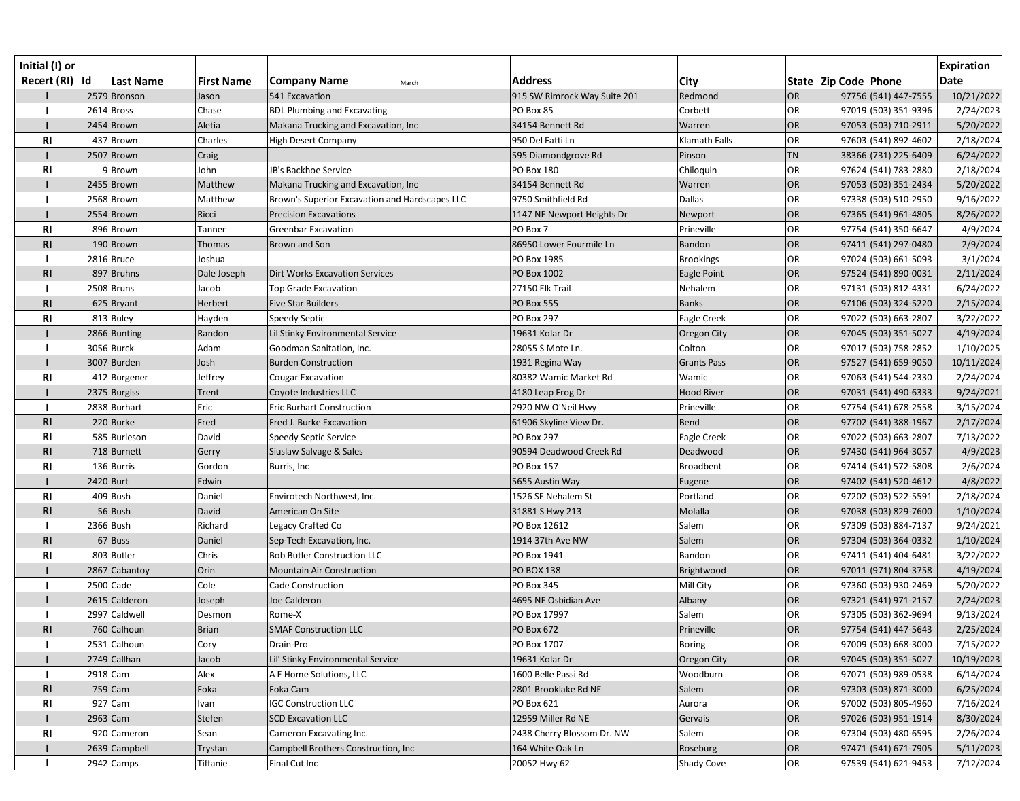| Initial (I) or<br>Recert (RI)  Id |            | <b>Last Name</b> | <b>First Name</b> | <b>Company Name</b><br>March                   | <b>Address</b>               | <b>City</b>          |           | State  Zip Code  Phone | <b>Expiration</b><br><b>Date</b> |
|-----------------------------------|------------|------------------|-------------------|------------------------------------------------|------------------------------|----------------------|-----------|------------------------|----------------------------------|
|                                   |            | 2579 Bronson     | Jason             | 541 Excavation                                 | 915 SW Rimrock Way Suite 201 | Redmond              | <b>OR</b> | 97756 (541) 447-7555   | 10/21/2022                       |
|                                   |            | 2614 Bross       | Chase             | <b>BDL Plumbing and Excavating</b>             | PO Box 85                    | Corbett              | <b>OR</b> | 97019 (503) 351-9396   | 2/24/2023                        |
|                                   |            | 2454 Brown       | Aletia            | Makana Trucking and Excavation, Inc            | 34154 Bennett Rd             | Warren               | <b>OR</b> | 97053 (503) 710-2911   | 5/20/2022                        |
| <b>RI</b>                         |            | 437 Brown        | Charles           | <b>High Desert Company</b>                     | 950 Del Fatti Ln             | <b>Klamath Falls</b> | <b>OR</b> | 97603 (541) 892-4602   | 2/18/2024                        |
|                                   |            | 2507 Brown       | Craig             |                                                | 595 Diamondgrove Rd          | Pinson               | <b>TN</b> | 38366 (731) 225-6409   | 6/24/2022                        |
| <b>RI</b>                         |            | 9Brown           | John              | JB's Backhoe Service                           | PO Box 180                   | Chiloquin            | <b>OR</b> | 97624 (541) 783-2880   | 2/18/2024                        |
|                                   |            | 2455 Brown       | Matthew           | Makana Trucking and Excavation, Inc            | 34154 Bennett Rd             | Warren               | <b>OR</b> | 97053 (503) 351-2434   | 5/20/2022                        |
|                                   |            | 2568 Brown       | Matthew           | Brown's Superior Excavation and Hardscapes LLC | 9750 Smithfield Rd           | Dallas               | <b>OR</b> | 97338 (503) 510-2950   | 9/16/2022                        |
|                                   |            | 2554 Brown       | Ricci             | <b>Precision Excavations</b>                   | 1147 NE Newport Heights Dr   | Newport              | OR        | 97365 (541) 961-4805   | 8/26/2022                        |
| R <sub>l</sub>                    |            | 896 Brown        | Tanner            | <b>Greenbar Excavation</b>                     | PO Box 7                     | Prineville           | <b>OR</b> | 97754 (541) 350-6647   | 4/9/2024                         |
| <b>RI</b>                         |            | 190 Brown        | Thomas            | <b>Brown and Son</b>                           | 86950 Lower Fourmile Ln      | Bandon               | OR        | 97411 (541) 297-0480   | 2/9/2024                         |
|                                   |            | 2816 Bruce       | Joshua            |                                                | PO Box 1985                  | <b>Brookings</b>     | <b>OR</b> | 97024 (503) 661-5093   | 3/1/2024                         |
| R <sub>l</sub>                    |            | 897 Bruhns       | Dale Joseph       | <b>Dirt Works Excavation Services</b>          | PO Box 1002                  | Eagle Point          | <b>OR</b> | 97524 (541) 890-0031   | 2/11/2024                        |
|                                   |            | 2508 Bruns       | Jacob             | <b>Top Grade Excavation</b>                    | 27150 Elk Trail              | Nehalem              | <b>OR</b> | 97131 (503) 812-4331   | 6/24/2022                        |
| R <sub>l</sub>                    |            | 625 Bryant       | Herbert           | <b>Five Star Builders</b>                      | <b>PO Box 555</b>            | <b>Banks</b>         | <b>OR</b> | 97106 (503) 324-5220   | 2/15/2024                        |
| R <sub>l</sub>                    |            | 813 Buley        | Hayden            | Speedy Septic                                  | <b>PO Box 297</b>            | Eagle Creek          | OR        | 97022 (503) 663-2807   | 3/22/2022                        |
|                                   |            | 2866 Bunting     | Randon            | Lil Stinky Environmental Service               | 19631 Kolar Dr               | Oregon City          | <b>OR</b> | 97045 (503) 351-5027   | 4/19/2024                        |
|                                   |            | 3056 Burck       | Adam              | Goodman Sanitation, Inc.                       | 28055 S Mote Ln.             | Colton               | OR        | 97017 (503) 758-2852   | 1/10/2025                        |
|                                   |            | 3007 Burden      | Josh              | <b>Burden Construction</b>                     | 1931 Regina Way              | <b>Grants Pass</b>   | <b>OR</b> | 97527 (541) 659-9050   | 10/11/2024                       |
| R <sub>l</sub>                    |            | 412 Burgener     | Jeffrey           | <b>Cougar Excavation</b>                       | 80382 Wamic Market Rd        | Wamic                | OR        | 97063 (541) 544-2330   | 2/24/2024                        |
|                                   |            | 2375 Burgiss     | <b>Trent</b>      | Coyote Industries LLC                          | 4180 Leap Frog Dr            | <b>Hood River</b>    | <b>OR</b> | 97031 (541) 490-6333   | 9/24/2021                        |
|                                   |            | 2838 Burhart     | Eric              | <b>Eric Burhart Construction</b>               | 2920 NW O'Neil Hwy           | Prineville           | <b>OR</b> | 97754 (541) 678-2558   | 3/15/2024                        |
| R1                                |            | 220 Burke        | Fred              | Fred J. Burke Excavation                       | 61906 Skyline View Dr.       | <b>Bend</b>          | <b>OR</b> | 97702 (541) 388-1967   | 2/17/2024                        |
| <b>RI</b>                         |            | 585 Burleson     | David             | Speedy Septic Service                          | <b>PO Box 297</b>            | Eagle Creek          | <b>OR</b> | 97022 (503) 663-2807   | 7/13/2022                        |
| <b>RI</b>                         |            | 718 Burnett      | Gerry             | Siuslaw Salvage & Sales                        | 90594 Deadwood Creek Rd      | Deadwood             | <b>OR</b> | 97430 (541) 964-3057   | 4/9/2023                         |
| R <sub>l</sub>                    |            | 136 Burris       | Gordon            | Burris, Inc                                    | <b>PO Box 157</b>            | <b>Broadbent</b>     | <b>OR</b> | 97414 (541) 572-5808   | 2/6/2024                         |
|                                   | 2420 Burt  |                  | Edwin             |                                                | 5655 Austin Way              | Eugene               | OR        | 97402 (541) 520-4612   | 4/8/2022                         |
| R1                                |            | 409 Bush         | Daniel            | Envirotech Northwest, Inc.                     | 1526 SE Nehalem St           | Portland             | OR        | 97202 (503) 522-5591   | 2/18/2024                        |
| R <sub>l</sub>                    |            | 56 Bush          | David             | American On Site                               | 31881 S Hwy 213              | Molalla              | OR        | 97038 (503) 829-7600   | 1/10/2024                        |
|                                   |            | 2366 Bush        | Richard           | Legacy Crafted Co                              | PO Box 12612                 | Salem                | <b>OR</b> | 97309 (503) 884-7137   | 9/24/2021                        |
| <b>RI</b>                         |            | 67 Buss          | Daniel            | Sep-Tech Excavation, Inc.                      | 1914 37th Ave NW             | Salem                | OR        | 97304 (503) 364-0332   | 1/10/2024                        |
| <b>RI</b>                         |            | 803 Butler       | Chris             | <b>Bob Butler Construction LLC</b>             | PO Box 1941                  | Bandon               | <b>OR</b> | 97411 (541) 404-6481   | 3/22/2022                        |
|                                   |            | 2867 Cabantoy    | Orin              | <b>Mountain Air Construction</b>               | <b>PO BOX 138</b>            | Brightwood           | OR        | 97011 (971) 804-3758   | 4/19/2024                        |
|                                   |            | 2500 Cade        | Cole              | <b>Cade Construction</b>                       | PO Box 345                   | Mill City            | <b>OR</b> | 97360 (503) 930-2469   | 5/20/2022                        |
|                                   |            | 2615 Calderon    | Joseph            | Joe Calderon                                   | 4695 NE Osbidian Ave         | Albany               | <b>OR</b> | 97321 (541) 971-2157   | 2/24/2023                        |
|                                   |            | 2997 Caldwell    | Desmon            | Rome-X                                         | PO Box 17997                 | Salem                | <b>OR</b> | 97305 (503) 362-9694   | 9/13/2024                        |
| R <sub>l</sub>                    |            | 760 Calhoun      | <b>Brian</b>      | <b>SMAF Construction LLC</b>                   | PO Box 672                   | Prineville           | <b>OR</b> | 97754 (541) 447-5643   | 2/25/2024                        |
|                                   |            | 2531 Calhoun     | Cory              | Drain-Pro                                      | PO Box 1707                  | <b>Boring</b>        | <b>OR</b> | 97009 (503) 668-3000   | 7/15/2022                        |
|                                   |            | 2749 Callhan     | Jacob             | Lil' Stinky Environmental Service              | 19631 Kolar Dr               | Oregon City          | <b>OR</b> | 97045 (503) 351-5027   | 10/19/2023                       |
|                                   | 2918 Cam   |                  | Alex              | A E Home Solutions, LLC                        | 1600 Belle Passi Rd          | Woodburn             | <b>OR</b> | 97071 (503) 989-0538   | 6/14/2024                        |
| <b>RI</b>                         |            | $759$ Cam        | Foka              | Foka Cam                                       | 2801 Brooklake Rd NE         | Salem                | <b>OR</b> | 97303 (503) 871-3000   | 6/25/2024                        |
| <b>RI</b>                         |            | 927 Cam          | Ivan              | <b>IGC Construction LLC</b>                    | PO Box 621                   | Aurora               | OR        | 97002 (503) 805-4960   | 7/16/2024                        |
|                                   | $2963$ Cam |                  | Stefen            | <b>SCD Excavation LLC</b>                      | 12959 Miller Rd NE           | Gervais              | <b>OR</b> | 97026 (503) 951-1914   | 8/30/2024                        |
| <b>RI</b>                         |            | 920 Cameron      | Sean              | Cameron Excavating Inc.                        | 2438 Cherry Blossom Dr. NW   | Salem                | <b>OR</b> | 97304 (503) 480-6595   | 2/26/2024                        |
|                                   |            | 2639 Campbell    | Trystan           | Campbell Brothers Construction, Inc            | 164 White Oak Ln             | Roseburg             | OR        | 97471 (541) 671-7905   | 5/11/2023                        |
|                                   |            | 2942 Camps       | Tiffanie          | Final Cut Inc                                  | 20052 Hwy 62                 | Shady Cove           | OR        | 97539 (541) 621-9453   | 7/12/2024                        |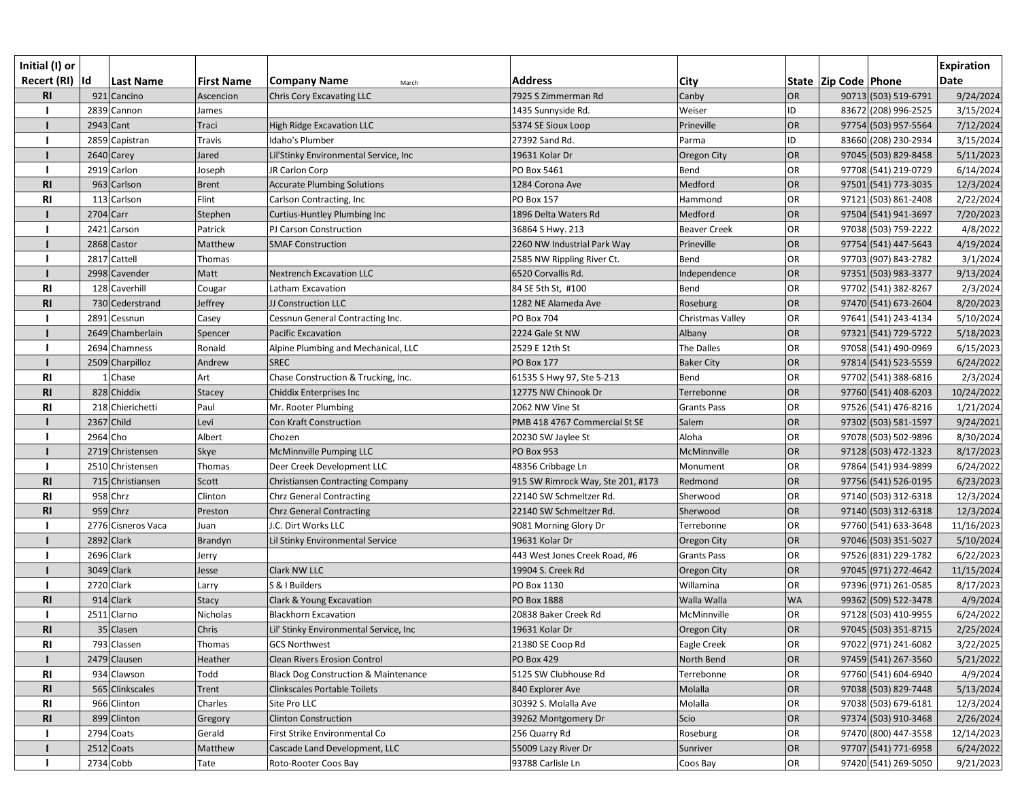| Initial (I) or  |             |                    |                   |                                                 |                                   |                     |           |                          |                      | <b>Expiration</b> |
|-----------------|-------------|--------------------|-------------------|-------------------------------------------------|-----------------------------------|---------------------|-----------|--------------------------|----------------------|-------------------|
| Recert (RI)  Id |             | Last Name          | <b>First Name</b> | <b>Company Name</b><br>March                    | <b>Address</b>                    | <b>City</b>         |           | State   Zip Code   Phone |                      | <b>Date</b>       |
| <b>RI</b>       |             | 921 Cancino        | Ascencion         | Chris Cory Excavating LLC                       | 7925 S Zimmerman Rd               | Canby               | <b>OR</b> |                          | 90713 (503) 519-6791 | 9/24/2024         |
|                 |             | 2839 Cannon        | James             |                                                 | 1435 Sunnyside Rd.                | Weiser              | ID        |                          | 83672 (208) 996-2525 | 3/15/2024         |
|                 | $2943$ Cant |                    | Traci             | High Ridge Excavation LLC                       | 5374 SE Sioux Loop                | Prineville          | OR        |                          | 97754 (503) 957-5564 | 7/12/2024         |
|                 |             | 2859 Capistran     | Travis            | Idaho's Plumber                                 | 27392 Sand Rd.                    | Parma               | ID        |                          | 83660 (208) 230-2934 | 3/15/2024         |
|                 |             | 2640 Carey         | Jared             | Lil'Stinky Environmental Service, Inc           | 19631 Kolar Dr                    | <b>Oregon City</b>  | OR        |                          | 97045 (503) 829-8458 | 5/11/2023         |
|                 |             | 2919 Carlon        | Joseph            | JR Carlon Corp                                  | PO Box 5461                       | Bend                | OR        |                          | 97708 (541) 219-0729 | 6/14/2024         |
| R <sub>l</sub>  |             | 963 Carlson        | <b>Brent</b>      | <b>Accurate Plumbing Solutions</b>              | 1284 Corona Ave                   | Medford             | OR        |                          | 97501 (541) 773-3035 | 12/3/2024         |
| <b>RI</b>       |             | 113 Carlson        | Flint             | Carlson Contracting, Inc                        | PO Box 157                        | Hammond             | OR        |                          | 97121 (503) 861-2408 | 2/22/2024         |
|                 | 2704 Carr   |                    | Stephen           | Curtius-Huntley Plumbing Inc                    | 1896 Delta Waters Rd              | Medford             | <b>OR</b> |                          | 97504 (541) 941-3697 | 7/20/2023         |
|                 |             | 2421 Carson        | Patrick           | PJ Carson Construction                          | 36864 S Hwy. 213                  | <b>Beaver Creek</b> | OR        |                          | 97038 (503) 759-2222 | 4/8/2022          |
|                 |             | 2868 Castor        | Matthew           | <b>SMAF Construction</b>                        | 2260 NW Industrial Park Way       | Prineville          | OR        |                          | 97754 (541) 447-5643 | 4/19/2024         |
|                 |             | 2817 Cattell       | Thomas            |                                                 | 2585 NW Rippling River Ct.        | Bend                | OR        |                          | 97703 (907) 843-2782 | 3/1/2024          |
|                 |             | 2998 Cavender      | Matt              | Nextrench Excavation LLC                        | 6520 Corvallis Rd.                | Independence        | OR        |                          | 97351 (503) 983-3377 | 9/13/2024         |
| <b>RI</b>       |             | 128 Caverhill      | Cougar            | Latham Excavation                               | 84 SE 5th St, #100                | Bend                | OR        |                          | 97702 (541) 382-8267 | 2/3/2024          |
| <b>RI</b>       |             | 730 Cederstrand    | Jeffrey           | JJ Construction LLC                             | 1282 NE Alameda Ave               | Roseburg            | <b>OR</b> |                          | 97470 (541) 673-2604 | 8/20/2023         |
|                 |             | 2891 Cessnun       | Casey             | Cessnun General Contracting Inc.                | <b>PO Box 704</b>                 | Christmas Valley    | OR        |                          | 97641 (541) 243-4134 | 5/10/2024         |
|                 |             | 2649 Chamberlain   | Spencer           | Pacific Excavation                              | 2224 Gale St NW                   | Albany              | OR        |                          | 97321 (541) 729-5722 | 5/18/2023         |
|                 |             | 2694 Chamness      | Ronald            | Alpine Plumbing and Mechanical, LLC             | 2529 E 12th St                    | The Dalles          | OR        |                          | 97058 (541) 490-0969 | 6/15/2023         |
|                 |             | 2509 Charpilloz    | Andrew            | <b>SREC</b>                                     | PO Box 177                        | <b>Baker City</b>   | <b>OR</b> |                          | 97814 (541) 523-5559 | 6/24/2022         |
| R <sub>l</sub>  |             | Chase              | Art               | Chase Construction & Trucking, Inc.             | 61535 S Hwy 97, Ste 5-213         | Bend                | OR        |                          | 97702 (541) 388-6816 | 2/3/2024          |
| R <sub>l</sub>  |             | 828 Chiddix        | <b>Stacey</b>     | Chiddix Enterprises Inc                         | 12775 NW Chinook Dr               | Terrebonne          | OR        |                          | 97760 (541) 408-6203 | 10/24/2022        |
| <b>RI</b>       |             | 218 Chierichetti   | Paul              | Mr. Rooter Plumbing                             | 2062 NW Vine St                   | <b>Grants Pass</b>  | OR        |                          | 97526 (541) 476-8216 | 1/21/2024         |
|                 | 2367 Child  |                    | Levi              | Con Kraft Construction                          | PMB 418 4767 Commercial St SE     | Salem               | <b>OR</b> |                          | 97302 (503) 581-1597 | 9/24/2021         |
|                 | 2964 Cho    |                    | Albert            | Chozen                                          | 20230 SW Jaylee St                | Aloha               | OR        |                          | 97078 (503) 502-9896 | 8/30/2024         |
|                 |             | 2719 Christensen   | <b>Skye</b>       | McMinnville Pumping LLC                         | <b>PO Box 953</b>                 | McMinnville         | OR        |                          | 97128 (503) 472-1323 | 8/17/2023         |
|                 |             | 2510 Christensen   | Thomas            | Deer Creek Development LLC                      | 48356 Cribbage Ln                 | Monument            | OR        |                          | 97864 (541) 934-9899 | 6/24/2022         |
| <b>RI</b>       |             | 715 Christiansen   | Scott             | Christiansen Contracting Company                | 915 SW Rimrock Way, Ste 201, #173 | Redmond             | <b>OR</b> |                          | 97756 (541) 526-0195 | 6/23/2023         |
| R <sub>l</sub>  |             | 958 Chrz           | Clinton           | Chrz General Contracting                        | 22140 SW Schmeltzer Rd.           | Sherwood            | OR        |                          | 97140 (503) 312-6318 | 12/3/2024         |
| <b>RI</b>       |             | $959$ Chrz         | Preston           | <b>Chrz General Contracting</b>                 | 22140 SW Schmeltzer Rd.           | Sherwood            | OR        |                          | 97140 (503) 312-6318 | 12/3/2024         |
|                 |             | 2776 Cisneros Vaca | Juan              | J.C. Dirt Works LLC                             | 9081 Morning Glory Dr             | Terrebonne          | OR        |                          | 97760 (541) 633-3648 | 11/16/2023        |
|                 | 2892 Clark  |                    | Brandyn           | Lil Stinky Environmental Service                | 19631 Kolar Dr                    | Oregon City         | OR        |                          | 97046 (503) 351-5027 | 5/10/2024         |
|                 | 2696 Clark  |                    | Jerry             |                                                 | 443 West Jones Creek Road, #6     | <b>Grants Pass</b>  | OR        |                          | 97526 (831) 229-1782 | 6/22/2023         |
|                 | 3049 Clark  |                    | Jesse             | <b>Clark NW LLC</b>                             | 19904 S. Creek Rd                 | <b>Oregon City</b>  | OR        |                          | 97045 (971) 272-4642 | 11/15/2024        |
|                 | 2720 Clark  |                    | Larry             | S & I Builders                                  | PO Box 1130                       | Willamina           | OR        |                          | 97396 (971) 261-0585 | 8/17/2023         |
| R <sub>l</sub>  |             | $914$ Clark        | <b>Stacy</b>      | Clark & Young Excavation                        | PO Box 1888                       | Walla Walla         | <b>WA</b> |                          | 99362 (509) 522-3478 | 4/9/2024          |
|                 |             | 2511 Clarno        | Nicholas          | <b>Blackhorn Excavation</b>                     | 20838 Baker Creek Rd              | McMinnville         | OR        |                          | 97128 (503) 410-9955 | 6/24/2022         |
| R1              |             | 35 Clasen          | Chris             | Lil' Stinky Environmental Service, Inc          | 19631 Kolar Dr                    | Oregon City         | OR        |                          | 97045 (503) 351-8715 | 2/25/2024         |
| R <sub>l</sub>  |             | 793 Classen        | Thomas            | <b>GCS Northwest</b>                            | 21380 SE Coop Rd                  | Eagle Creek         | OR        |                          | 97022 (971) 241-6082 | 3/22/2025         |
|                 |             | 2479 Clausen       | Heather           | <b>Clean Rivers Erosion Control</b>             | <b>PO Box 429</b>                 | North Bend          | <b>OR</b> |                          | 97459 (541) 267-3560 | 5/21/2022         |
| <b>RI</b>       |             | 934 Clawson        | Todd              | <b>Black Dog Construction &amp; Maintenance</b> | 5125 SW Clubhouse Rd              | Terrebonne          | OR        |                          | 97760 (541) 604-6940 | 4/9/2024          |
| <b>RI</b>       |             | 565 Clinkscales    | Trent             | Clinkscales Portable Toilets                    | 840 Explorer Ave                  | Molalla             | OR        |                          | 97038 (503) 829-7448 | 5/13/2024         |
| RI              |             | 966 Clinton        | Charles           | Site Pro LLC                                    | 30392 S. Molalla Ave              | Molalla             | OR        |                          | 97038 (503) 679-6181 | 12/3/2024         |
| R <sub>l</sub>  |             | 899 Clinton        | Gregory           | <b>Clinton Construction</b>                     | 39262 Montgomery Dr               | Scio                | OR        |                          | 97374 (503) 910-3468 | 2/26/2024         |
|                 |             | 2794 Coats         | Gerald            | First Strike Environmental Co                   | 256 Quarry Rd                     | Roseburg            | OR        |                          | 97470 (800) 447-3558 | 12/14/2023        |
|                 |             | $2512$ Coats       | Matthew           | Cascade Land Development, LLC                   | 55009 Lazy River Dr               | Sunriver            | OR        |                          | 97707 (541) 771-6958 | 6/24/2022         |
|                 | 2734 Cobb   |                    | Tate              | Roto-Rooter Coos Bay                            | 93788 Carlisle Ln                 | Coos Bay            | OR        |                          | 97420 (541) 269-5050 | 9/21/2023         |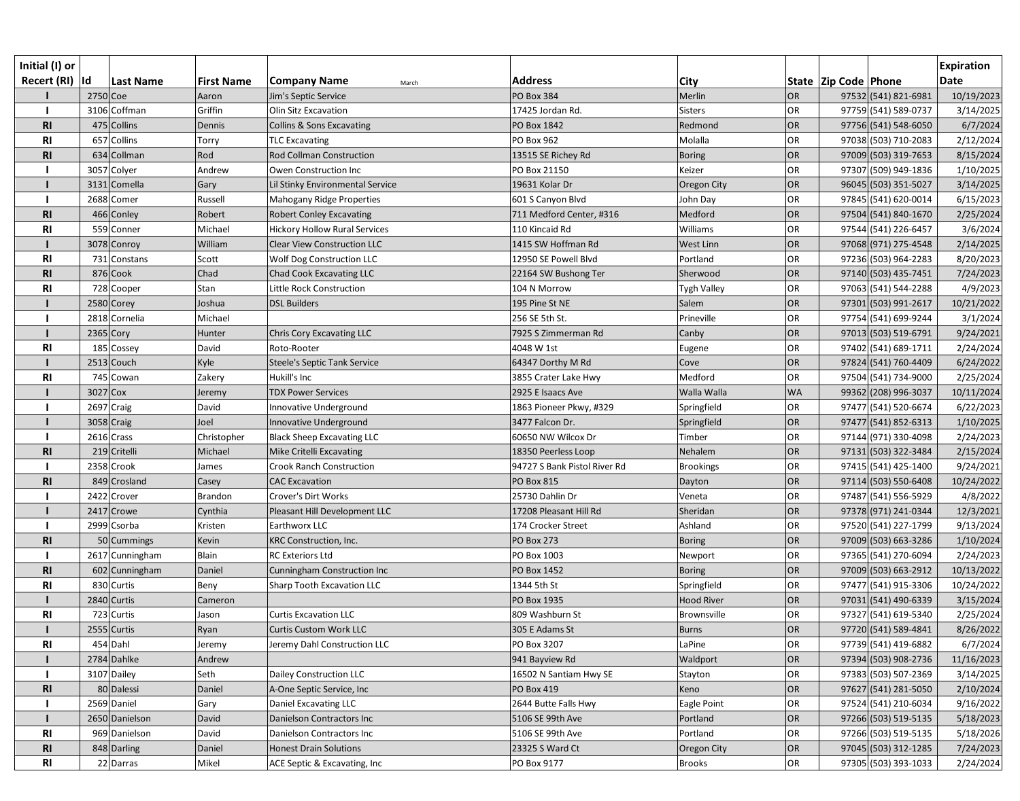| Initial (I) or<br>Recert (RI)  Id |          | <b>Last Name</b> | <b>First Name</b> | <b>Company Name</b><br>March         | <b>Address</b>               | <b>City</b>       |           | State   Zip Code   Phone | <b>Expiration</b><br><b>Date</b> |
|-----------------------------------|----------|------------------|-------------------|--------------------------------------|------------------------------|-------------------|-----------|--------------------------|----------------------------------|
|                                   | 2750 Coe |                  | Aaron             | Jim's Septic Service                 | <b>PO Box 384</b>            | Merlin            | <b>OR</b> | 97532 (541) 821-6981     | 10/19/2023                       |
|                                   |          | 3106 Coffman     | Griffin           | Olin Sitz Excavation                 | 17425 Jordan Rd.             | <b>Sisters</b>    | OR        | 97759 (541) 589-0737     | 3/14/2025                        |
| R1                                |          | 475 Collins      | Dennis            | <b>Collins &amp; Sons Excavating</b> | PO Box 1842                  | Redmond           | <b>OR</b> | 97756 (541) 548-6050     | 6/7/2024                         |
| R <sub>l</sub>                    |          | 657 Collins      | Torry             | <b>TLC Excavating</b>                | PO Box 962                   | Molalla           | <b>OR</b> | 97038 (503) 710-2083     | 2/12/2024                        |
| R1                                |          | 634 Collman      | Rod               | Rod Collman Construction             | 13515 SE Richey Rd           | <b>Boring</b>     | <b>OR</b> | 97009 (503) 319-7653     | 8/15/2024                        |
|                                   |          | 3057 Colyer      | Andrew            | Owen Construction Inc                | PO Box 21150                 | Keizer            | <b>OR</b> | 97307 (509) 949-1836     | 1/10/2025                        |
|                                   |          | 3131 Comella     | Gary              | Lil Stinky Environmental Service     | 19631 Kolar Dr               | Oregon City       | OR        | 96045 (503) 351-5027     | 3/14/2025                        |
|                                   |          | 2688 Comer       | Russell           | Mahogany Ridge Properties            | 601 S Canyon Blvd            | John Day          | <b>OR</b> | 97845 (541) 620-0014     | 6/15/2023                        |
| <b>RI</b>                         |          | 466 Conley       | Robert            | <b>Robert Conley Excavating</b>      | 711 Medford Center, #316     | Medford           | OR        | 97504 (541) 840-1670     | 2/25/2024                        |
| R <sub>l</sub>                    |          | 559 Conner       | Michael           | <b>Hickory Hollow Rural Services</b> | 110 Kincaid Rd               | Williams          | <b>OR</b> | 97544 (541) 226-6457     | 3/6/2024                         |
|                                   |          | 3078 Conroy      | William           | <b>Clear View Construction LLC</b>   | 1415 SW Hoffman Rd           | West Linn         | OR        | 97068 (971) 275-4548     | 2/14/2025                        |
| R <sub>l</sub>                    |          | 731 Constans     | Scott             | <b>Wolf Dog Construction LLC</b>     | 12950 SE Powell Blvd         | Portland          | <b>OR</b> | 97236 (503) 964-2283     | 8/20/2023                        |
| <b>RI</b>                         |          | 876 Cook         | Chad              | Chad Cook Excavating LLC             | 22164 SW Bushong Ter         | Sherwood          | <b>OR</b> | 97140 (503) 435-7451     | 7/24/2023                        |
| R <sub>l</sub>                    |          | 728 Cooper       | Stan              | Little Rock Construction             | 104 N Morrow                 | Tygh Valley       | <b>OR</b> | 97063 (541) 544-2288     | 4/9/2023                         |
|                                   |          | 2580 Corey       | Joshua            | <b>DSL Builders</b>                  | 195 Pine St NE               | Salem             | <b>OR</b> | 97301 (503) 991-2617     | 10/21/2022                       |
|                                   |          | 2818 Cornelia    | Michael           |                                      | 256 SE 5th St.               | Prineville        | OR        | 97754 (541) 699-9244     | 3/1/2024                         |
|                                   |          | 2365 Cory        | Hunter            | <b>Chris Cory Excavating LLC</b>     | 7925 S Zimmerman Rd          | Canby             | <b>OR</b> | 97013 (503) 519-6791     | 9/24/2021                        |
| R <sub>l</sub>                    |          | 185 Cossey       | David             | Roto-Rooter                          | 4048 W 1st                   | Eugene            | OR        | 97402 (541) 689-1711     | 2/24/2024                        |
|                                   |          | 2513 Couch       | Kyle              | <b>Steele's Septic Tank Service</b>  | 64347 Dorthy M Rd            | Cove              | OR        | 97824 (541) 760-4409     | 6/24/2022                        |
| R <sub>l</sub>                    |          | 745 Cowan        | Zakery            | Hukill's Inc                         | 3855 Crater Lake Hwy         | Medford           | <b>OR</b> | 97504 (541) 734-9000     | 2/25/2024                        |
|                                   | 3027 Cox |                  | Jeremy            | <b>TDX Power Services</b>            | 2925 E Isaacs Ave            | Walla Walla       | <b>WA</b> | 99362 (208) 996-3037     | 10/11/2024                       |
|                                   |          | 2697 Craig       | David             | Innovative Underground               | 1863 Pioneer Pkwy, #329      | Springfield       | <b>OR</b> | 97477 (541) 520-6674     | 6/22/2023                        |
|                                   |          | 3058 Craig       | Joel              | Innovative Underground               | 3477 Falcon Dr.              | Springfield       | <b>OR</b> | 97477 (541) 852-6313     | 1/10/2025                        |
|                                   |          | 2616 Crass       | Christopher       | <b>Black Sheep Excavating LLC</b>    | 60650 NW Wilcox Dr           | Timber            | <b>OR</b> | 97144 (971) 330-4098     | 2/24/2023                        |
| <b>RI</b>                         |          | 219 Critelli     | Michael           | Mike Critelli Excavating             | 18350 Peerless Loop          | Nehalem           | <b>OR</b> | 97131 (503) 322-3484     | 2/15/2024                        |
|                                   |          | 2358 Crook       | James             | <b>Crook Ranch Construction</b>      | 94727 S Bank Pistol River Rd | <b>Brookings</b>  | <b>OR</b> | 97415 (541) 425-1400     | 9/24/2021                        |
| R1                                |          | 849 Crosland     | Casey             | <b>CAC Excavation</b>                | <b>PO Box 815</b>            | Dayton            | OR        | 97114 (503) 550-6408     | 10/24/2022                       |
|                                   |          | 2422 Crover      | <b>Brandon</b>    | Crover's Dirt Works                  | 25730 Dahlin Dr              | Veneta            | <b>OR</b> | 97487 (541) 556-5929     | 4/8/2022                         |
|                                   |          | 2417 Crowe       | Cynthia           | Pleasant Hill Development LLC        | 17208 Pleasant Hill Rd       | Sheridan          | OR        | 97378 (971) 241-0344     | 12/3/2021                        |
|                                   |          | 2999 Csorba      | Kristen           | Earthworx LLC                        | 174 Crocker Street           | Ashland           | <b>OR</b> | 97520 (541) 227-1799     | 9/13/2024                        |
| <b>RI</b>                         |          | 50 Cummings      | Kevin             | <b>KRC Construction, Inc.</b>        | <b>PO Box 273</b>            | <b>Boring</b>     | OR        | 97009 (503) 663-3286     | 1/10/2024                        |
|                                   |          | 2617 Cunningham  | Blain             | RC Exteriors Ltd                     | PO Box 1003                  | Newport           | <b>OR</b> | 97365 (541) 270-6094     | 2/24/2023                        |
| <b>RI</b>                         |          | 602 Cunningham   | Daniel            | <b>Cunningham Construction Inc</b>   | PO Box 1452                  | <b>Boring</b>     | OR        | 97009 (503) 663-2912     | 10/13/2022                       |
| <b>RI</b>                         |          | 830 Curtis       | Beny              | Sharp Tooth Excavation LLC           | 1344 5th St                  | Springfield       | <b>OR</b> | 97477 (541) 915-3306     | 10/24/2022                       |
|                                   |          | 2840 Curtis      | Cameron           |                                      | PO Box 1935                  | <b>Hood River</b> | <b>OR</b> | 97031 (541) 490-6339     | 3/15/2024                        |
| <b>RI</b>                         |          | 723 Curtis       | Jason             | <b>Curtis Excavation LLC</b>         | 809 Washburn St              | Brownsville       | <b>OR</b> | 97327 (541) 619-5340     | 2/25/2024                        |
|                                   |          | 2555 Curtis      | Ryan              | Curtis Custom Work LLC               | 305 E Adams St               | <b>Burns</b>      | <b>OR</b> | 97720 (541) 589-4841     | 8/26/2022                        |
| <b>RI</b>                         |          | 454 Dahl         | Jeremy            | Jeremy Dahl Construction LLC         | PO Box 3207                  | LaPine            | <b>OR</b> | 97739 (541) 419-6882     | 6/7/2024                         |
|                                   |          | 2784 Dahlke      | Andrew            |                                      | 941 Bayview Rd               | Waldport          | OR        | 97394 (503) 908-2736     | 11/16/2023                       |
|                                   |          | 3107 Dailey      | Seth              | Dailey Construction LLC              | 16502 N Santiam Hwy SE       | Stayton           | <b>OR</b> | 97383 (503) 507-2369     | 3/14/2025                        |
| <b>RI</b>                         |          | 80 Dalessi       | Daniel            | A-One Septic Service, Inc.           | <b>PO Box 419</b>            | Keno              | <b>OR</b> | 97627 (541) 281-5050     | 2/10/2024                        |
|                                   |          | 2569 Daniel      | Gary              | Daniel Excavating LLC                | 2644 Butte Falls Hwy         | Eagle Point       | OR        | 97524 (541) 210-6034     | 9/16/2022                        |
|                                   |          | 2650 Danielson   | David             | Danielson Contractors Inc            | 5106 SE 99th Ave             | Portland          | <b>OR</b> | 97266 (503) 519-5135     | 5/18/2023                        |
| <b>RI</b>                         |          | 969 Danielson    | David             | Danielson Contractors Inc            | 5106 SE 99th Ave             | Portland          | <b>OR</b> | 97266 (503) 519-5135     | 5/18/2026                        |
| R <sub>l</sub>                    |          | 848 Darling      | Daniel            | <b>Honest Drain Solutions</b>        | 23325 S Ward Ct              | Oregon City       | OR        | 97045 (503) 312-1285     | 7/24/2023                        |
| R <sub>l</sub>                    |          | 22 Darras        | Mikel             | ACE Septic & Excavating, Inc         | PO Box 9177                  | <b>Brooks</b>     | OR        | 97305 (503) 393-1033     | 2/24/2024                        |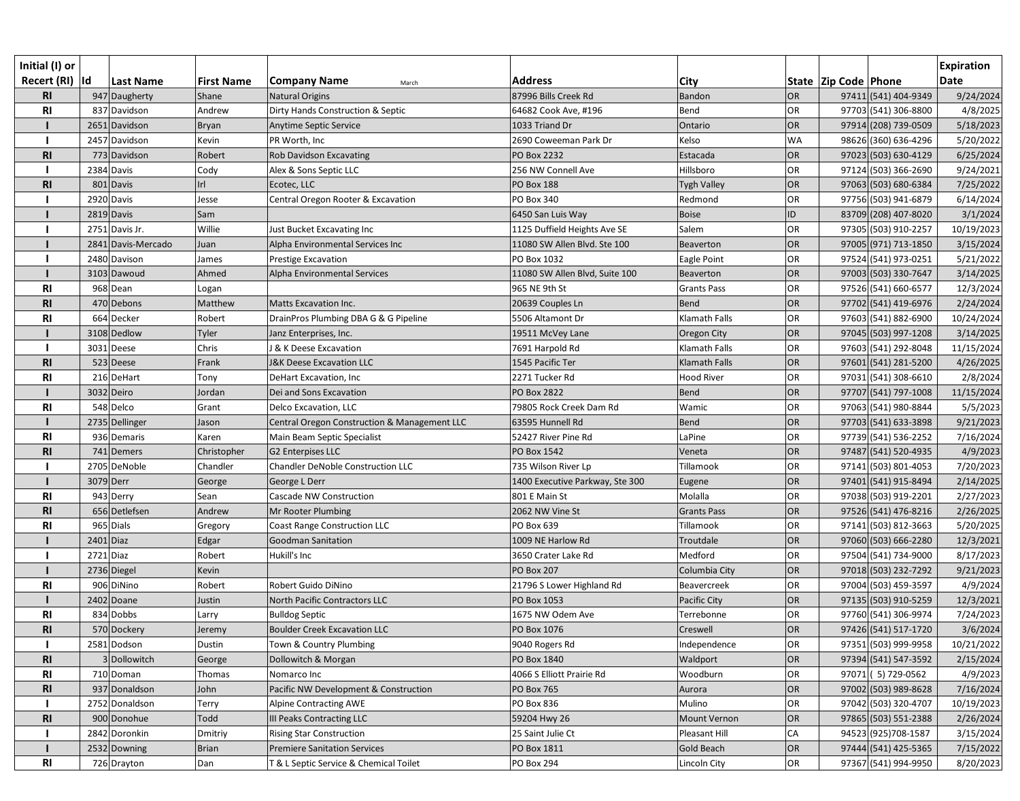| Initial (I) or<br>Recert (RI)  Id |             | <b>Last Name</b>   | <b>First Name</b> | <b>Company Name</b><br>March                 | <b>Address</b>                  | City               |           | State   Zip Code   Phone |                      | <b>Expiration</b><br><b>Date</b> |
|-----------------------------------|-------------|--------------------|-------------------|----------------------------------------------|---------------------------------|--------------------|-----------|--------------------------|----------------------|----------------------------------|
| <b>RI</b>                         |             | 947 Daugherty      | Shane             | <b>Natural Origins</b>                       | 87996 Bills Creek Rd            | Bandon             | OR        |                          | 97411 (541) 404-9349 | 9/24/2024                        |
| R1                                |             | 837 Davidson       | Andrew            | Dirty Hands Construction & Septic            | 64682 Cook Ave, #196            | Bend               | OR        |                          | 97703 (541) 306-8800 | 4/8/2025                         |
|                                   |             | 2651 Davidson      | Bryan             | Anytime Septic Service                       | 1033 Triand Dr                  | Ontario            | OR        |                          | 97914 (208) 739-0509 | 5/18/2023                        |
|                                   |             | 2457 Davidson      | Kevin             | PR Worth, Inc                                | 2690 Coweeman Park Dr           | Kelso              | <b>WA</b> |                          | 98626 (360) 636-4296 | 5/20/2022                        |
| R1                                |             | 773 Davidson       | Robert            | <b>Rob Davidson Excavating</b>               | PO Box 2232                     | Estacada           | OR        |                          | 97023 (503) 630-4129 | 6/25/2024                        |
|                                   |             | 2384 Davis         | Cody              | Alex & Sons Septic LLC                       | 256 NW Connell Ave              | Hillsboro          | OR        |                          | 97124 (503) 366-2690 | 9/24/2021                        |
| <b>RI</b>                         |             | 801 Davis          | Irl               | Ecotec, LLC                                  | PO Box 188                      | <b>Tygh Valley</b> | OR        |                          | 97063 (503) 680-6384 | 7/25/2022                        |
|                                   |             | 2920 Davis         | Jesse             | Central Oregon Rooter & Excavation           | PO Box 340                      | Redmond            | <b>OR</b> |                          | 97756 (503) 941-6879 | 6/14/2024                        |
|                                   |             | 2819 Davis         | Sam               |                                              | 6450 San Luis Way               | <b>Boise</b>       | ID        |                          | 83709 (208) 407-8020 | 3/1/2024                         |
|                                   |             | 2751 Davis Jr.     | Willie            | Just Bucket Excavating Inc                   | 1125 Duffield Heights Ave SE    | Salem              | <b>OR</b> |                          | 97305 (503) 910-2257 | 10/19/2023                       |
|                                   |             | 2841 Davis-Mercado | Juan              | Alpha Environmental Services Inc             | 11080 SW Allen Blvd. Ste 100    | <b>Beaverton</b>   | OR        |                          | 97005 (971) 713-1850 | 3/15/2024                        |
|                                   |             | 2480 Davison       | James             | Prestige Excavation                          | PO Box 1032                     | Eagle Point        | OR        |                          | 97524 (541) 973-0251 | 5/21/2022                        |
|                                   |             | 3103 Dawoud        | Ahmed             | Alpha Environmental Services                 | 11080 SW Allen Blvd, Suite 100  | Beaverton          | OR        |                          | 97003 (503) 330-7647 | 3/14/2025                        |
| R1                                |             | 968 Dean           | Logan             |                                              | 965 NE 9th St                   | <b>Grants Pass</b> | OR        |                          | 97526 (541) 660-6577 | 12/3/2024                        |
| R1                                |             | 470 Debons         | Matthew           | <b>Matts Excavation Inc.</b>                 | 20639 Couples Ln                | Bend               | OR        |                          | 97702 (541) 419-6976 | 2/24/2024                        |
| <b>RI</b>                         |             | 664 Decker         | Robert            | DrainPros Plumbing DBA G & G Pipeline        | 5506 Altamont Dr                | Klamath Falls      | OR        |                          | 97603 (541) 882-6900 | 10/24/2024                       |
|                                   |             | 3108 Dedlow        | Tyler             | Janz Enterprises, Inc.                       | 19511 McVey Lane                | Oregon City        | OR        |                          | 97045 (503) 997-1208 | 3/14/2025                        |
|                                   |             | 3031 Deese         | Chris             | J & K Deese Excavation                       | 7691 Harpold Rd                 | Klamath Falls      | OR        |                          | 97603 (541) 292-8048 | 11/15/2024                       |
| R1                                |             | 523 Deese          | Frank             | <b>J&amp;K Deese Excavation LLC</b>          | 1545 Pacific Ter                | Klamath Falls      | OR        |                          | 97601 (541) 281-5200 | 4/26/2025                        |
| R1                                |             | 216 DeHart         | Tony              | DeHart Excavation, Inc                       | 2271 Tucker Rd                  | <b>Hood River</b>  | OR        |                          | 97031 (541) 308-6610 | 2/8/2024                         |
|                                   |             | 3032 Deiro         | Jordan            | Dei and Sons Excavation                      | <b>PO Box 2822</b>              | Bend               | OR        |                          | 97707 (541) 797-1008 | 11/15/2024                       |
| R <sub>l</sub>                    |             | 548 Delco          | Grant             | Delco Excavation, LLC                        | 79805 Rock Creek Dam Rd         | Wamic              | OR        |                          | 97063 (541) 980-8844 | 5/5/2023                         |
|                                   |             | 2735 Dellinger     | Jason             | Central Oregon Construction & Management LLC | 63595 Hunnell Rd                | Bend               | OR        |                          | 97703 (541) 633-3898 | 9/21/2023                        |
| <b>RI</b>                         |             | 936 Demaris        | Karen             | Main Beam Septic Specialist                  | 52427 River Pine Rd             | LaPine             | OR        |                          | 97739 (541) 536-2252 | 7/16/2024                        |
| R1                                |             | 741 Demers         | Christopher       | <b>G2 Enterpises LLC</b>                     | PO Box 1542                     | Veneta             | OR        |                          | 97487 (541) 520-4935 | 4/9/2023                         |
|                                   |             | 2705 DeNoble       | Chandler          | <b>Chandler DeNoble Construction LLC</b>     | 735 Wilson River Lp             | Tillamook          | <b>OR</b> |                          | 97141 (503) 801-4053 | 7/20/2023                        |
|                                   | 3079 Derr   |                    | George            | George L Derr                                | 1400 Executive Parkway, Ste 300 | Eugene             | OR        |                          | 97401 (541) 915-8494 | 2/14/2025                        |
| R1                                |             | 943 Derry          | Sean              | Cascade NW Construction                      | 801 E Main St                   | Molalla            | OR        |                          | 97038 (503) 919-2201 | 2/27/2023                        |
| <b>RI</b>                         |             | 656 Detlefsen      | Andrew            | Mr Rooter Plumbing                           | 2062 NW Vine St                 | <b>Grants Pass</b> | OR        |                          | 97526 (541) 476-8216 | 2/26/2025                        |
| R1                                |             | 965 Dials          | Gregory           | <b>Coast Range Construction LLC</b>          | PO Box 639                      | Tillamook          | OR        |                          | 97141 (503) 812-3663 | 5/20/2025                        |
|                                   | $2401$ Diaz |                    | Edgar             | <b>Goodman Sanitation</b>                    | 1009 NE Harlow Rd               | Troutdale          | OR        |                          | 97060 (503) 666-2280 | 12/3/2021                        |
|                                   | 2721 Diaz   |                    | Robert            | Hukill's Inc                                 | 3650 Crater Lake Rd             | Medford            | <b>OR</b> |                          | 97504 (541) 734-9000 | 8/17/2023                        |
|                                   |             | 2736 Diegel        | Kevin             |                                              | <b>PO Box 207</b>               | Columbia City      | OR        |                          | 97018 (503) 232-7292 | 9/21/2023                        |
| R1                                |             | 906 DiNino         | Robert            | Robert Guido DiNino                          | 21796 S Lower Highland Rd       | Beavercreek        | <b>OR</b> |                          | 97004 (503) 459-3597 | 4/9/2024                         |
|                                   |             | 2402 Doane         | Justin            | North Pacific Contractors LLC                | PO Box 1053                     | Pacific City       | OR        |                          | 97135 (503) 910-5259 | 12/3/2021                        |
| <b>RI</b>                         |             | 834 Dobbs          | Larry             | <b>Bulldog Septic</b>                        | 1675 NW Odem Ave                | Terrebonne         | OR        |                          | 97760 (541) 306-9974 | 7/24/2023                        |
| R <sub>l</sub>                    |             | 570 Dockery        | Jeremy            | <b>Boulder Creek Excavation LLC</b>          | PO Box 1076                     | Creswell           | OR        |                          | 97426 (541) 517-1720 | 3/6/2024                         |
|                                   |             | 2581 Dodson        | Dustin            | Town & Country Plumbing                      | 9040 Rogers Rd                  | Independence       | <b>OR</b> |                          | 97351 (503) 999-9958 | 10/21/2022                       |
| R <sub>l</sub>                    |             | 3 Dollowitch       | George            | Dollowitch & Morgan                          | PO Box 1840                     | Waldport           | <b>OR</b> |                          | 97394 (541) 547-3592 | 2/15/2024                        |
| <b>RI</b>                         |             | 710 Doman          | Thomas            | Nomarco Inc                                  | 4066 S Elliott Prairie Rd       | Woodburn           | OR        |                          | 97071 (5) 729-0562   | 4/9/2023                         |
| R1                                |             | 937 Donaldson      | John              | Pacific NW Development & Construction        | <b>PO Box 765</b>               | Aurora             | OR        |                          | 97002 (503) 989-8628 | 7/16/2024                        |
|                                   |             | 2752 Donaldson     | Terry             | <b>Alpine Contracting AWE</b>                | <b>PO Box 836</b>               | Mulino             | <b>OR</b> |                          | 97042 (503) 320-4707 | 10/19/2023                       |
| R <sub>l</sub>                    |             | 900 Donohue        | Todd              | III Peaks Contracting LLC                    | 59204 Hwy 26                    | Mount Vernon       | OR        |                          | 97865 (503) 551-2388 | 2/26/2024                        |
|                                   |             | 2842 Doronkin      | Dmitriy           | <b>Rising Star Construction</b>              | 25 Saint Julie Ct               | Pleasant Hill      | <b>CA</b> |                          | 94523 (925) 708-1587 | 3/15/2024                        |
|                                   |             | 2532 Downing       | <b>Brian</b>      | <b>Premiere Sanitation Services</b>          | PO Box 1811                     | <b>Gold Beach</b>  | OR        |                          | 97444 (541) 425-5365 | 7/15/2022                        |
| <b>RI</b>                         |             | 726 Drayton        | Dan               | T & L Septic Service & Chemical Toilet       | <b>PO Box 294</b>               | Lincoln City       | OR        |                          | 97367 (541) 994-9950 | 8/20/2023                        |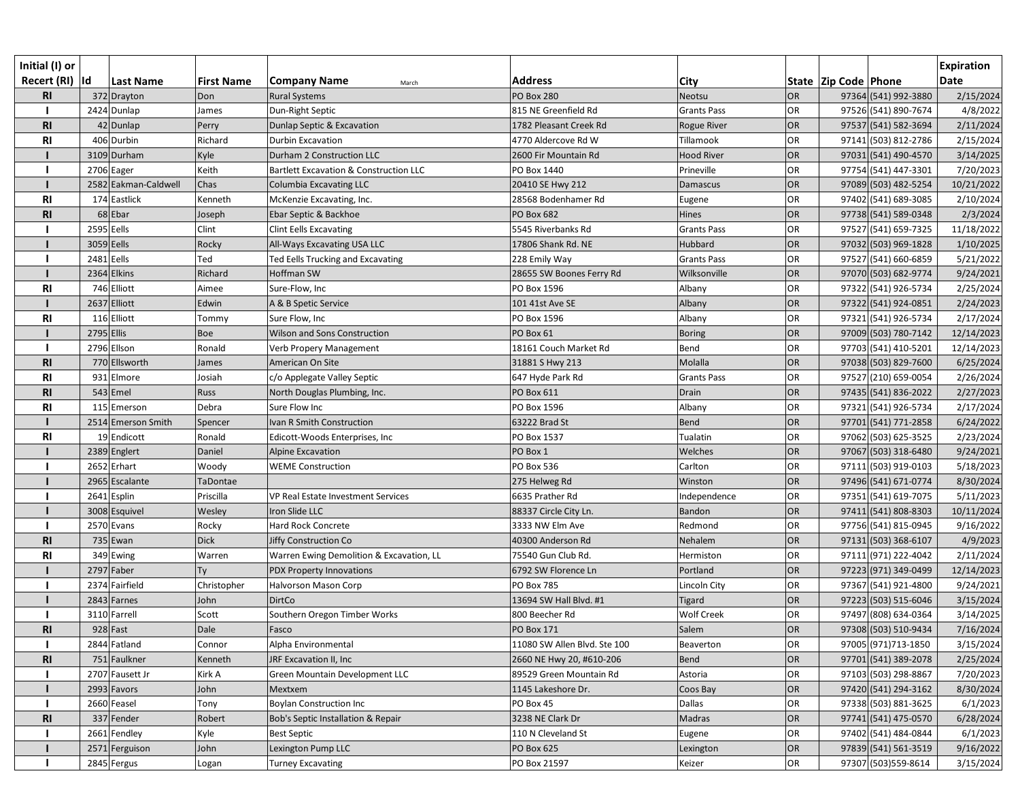| Initial (I) or  |              |                      |                   |                                          |                              |                    |           |                      |                      | <b>Expiration</b> |
|-----------------|--------------|----------------------|-------------------|------------------------------------------|------------------------------|--------------------|-----------|----------------------|----------------------|-------------------|
| Recert (RI)  Id |              | <b>Last Name</b>     | <b>First Name</b> | Company Name<br>March                    | <b>Address</b>               | City               |           | State Zip Code Phone |                      | <b>Date</b>       |
| R <sub>l</sub>  |              | 372 Drayton          | Don               | <b>Rural Systems</b>                     | <b>PO Box 280</b>            | Neotsu             | OR        |                      | 97364 (541) 992-3880 | 2/15/2024         |
|                 |              | 2424 Dunlap          | James             | Dun-Right Septic                         | 815 NE Greenfield Rd         | <b>Grants Pass</b> | OR        |                      | 97526 (541) 890-7674 | 4/8/2022          |
| R1              |              | 42 Dunlap            | Perry             | Dunlap Septic & Excavation               | 1782 Pleasant Creek Rd       | <b>Rogue River</b> | OR        |                      | 97537 (541) 582-3694 | 2/11/2024         |
| R <sub>l</sub>  |              | 406 Durbin           | Richard           | Durbin Excavation                        | 4770 Aldercove Rd W          | Tillamook          | OR        |                      | 97141 (503) 812-2786 | 2/15/2024         |
|                 |              | 3109 Durham          | Kyle              | Durham 2 Construction LLC                | 2600 Fir Mountain Rd         | <b>Hood River</b>  | OR        |                      | 97031 (541) 490-4570 | 3/14/2025         |
|                 |              | 2706 Eager           | Keith             | Bartlett Excavation & Construction LLC   | PO Box 1440                  | Prineville         | OR        |                      | 97754 (541) 447-3301 | 7/20/2023         |
|                 |              | 2582 Eakman-Caldwell | Chas              | Columbia Excavating LLC                  | 20410 SE Hwy 212             | <b>Damascus</b>    | OR        |                      | 97089 (503) 482-5254 | 10/21/2022        |
| <b>RI</b>       |              | 174 Eastlick         | Kenneth           | McKenzie Excavating, Inc.                | 28568 Bodenhamer Rd          | Eugene             | OR        |                      | 97402 (541) 689-3085 | 2/10/2024         |
| R1              |              | 68 Ebar              | Joseph            | Ebar Septic & Backhoe                    | <b>PO Box 682</b>            | Hines              | OR        |                      | 97738 (541) 589-0348 | 2/3/2024          |
|                 | 2595 Eells   |                      | Clint             | <b>Clint Eells Excavating</b>            | 5545 Riverbanks Rd           | <b>Grants Pass</b> | OR        |                      | 97527 (541) 659-7325 | 11/18/2022        |
|                 | 3059 Eells   |                      | Rocky             | All-Ways Excavating USA LLC              | 17806 Shank Rd. NE           | Hubbard            | OR        |                      | 97032 (503) 969-1828 | 1/10/2025         |
|                 | 2481 Eells   |                      | Ted               | Ted Eells Trucking and Excavating        | 228 Emily Way                | <b>Grants Pass</b> | OR        |                      | 97527 (541) 660-6859 | 5/21/2022         |
|                 |              | 2364 Elkins          | Richard           | <b>Hoffman SW</b>                        | 28655 SW Boones Ferry Rd     | Wilksonville       | OR        |                      | 97070 (503) 682-9774 | 9/24/2021         |
| <b>RI</b>       |              | 746 Elliott          | Aimee             | Sure-Flow, Inc                           | PO Box 1596                  | Albany             | <b>OR</b> |                      | 97322 (541) 926-5734 | 2/25/2024         |
|                 |              | 2637 Elliott         | Edwin             | A & B Spetic Service                     | 101 41st Ave SE              | Albany             | OR        |                      | 97322 (541) 924-0851 | 2/24/2023         |
| <b>RI</b>       |              | 116 Elliott          | Tommy             | Sure Flow, Inc                           | PO Box 1596                  | Albany             | OR        |                      | 97321 (541) 926-5734 | 2/17/2024         |
|                 | $2795$ Ellis |                      | Boe               | Wilson and Sons Construction             | PO Box 61                    | <b>Boring</b>      | OR        |                      | 97009 (503) 780-7142 | 12/14/2023        |
|                 |              | 2796 Ellson          | Ronald            | Verb Propery Management                  | 18161 Couch Market Rd        | Bend               | <b>OR</b> |                      | 97703 (541) 410-5201 | 12/14/2023        |
| R1              |              | 770 Ellsworth        | James             | American On Site                         | 31881 S Hwy 213              | Molalla            | OR        |                      | 97038 (503) 829-7600 | 6/25/2024         |
| R <sub>l</sub>  |              | 931 Elmore           | Josiah            | c/o Applegate Valley Septic              | 647 Hyde Park Rd             | <b>Grants Pass</b> | OR        |                      | 97527 (210) 659-0054 | 2/26/2024         |
| R <sub>l</sub>  |              | $543$ Emel           | Russ              | North Douglas Plumbing, Inc.             | PO Box 611                   | Drain              | OR        |                      | 97435 (541) 836-2022 | 2/27/2023         |
| R <sub>l</sub>  |              | 115 Emerson          | Debra             | Sure Flow Inc                            | PO Box 1596                  | Albany             | OR        |                      | 97321 (541) 926-5734 | 2/17/2024         |
|                 |              | 2514 Emerson Smith   | Spencer           | Ivan R Smith Construction                | 63222 Brad St                | Bend               | OR        |                      | 97701 (541) 771-2858 | 6/24/2022         |
| <b>RI</b>       |              | 19 Endicott          | Ronald            | Edicott-Woods Enterprises, Inc           | PO Box 1537                  | Tualatin           | OR        |                      | 97062 (503) 625-3525 | 2/23/2024         |
|                 |              | 2389 Englert         | Daniel            | Alpine Excavation                        | PO Box 1                     | Welches            | OR        |                      | 97067 (503) 318-6480 | 9/24/2021         |
|                 |              | 2652 Erhart          | Woody             | <b>WEME Construction</b>                 | <b>PO Box 536</b>            | Carlton            | OR        |                      | 97111 (503) 919-0103 | 5/18/2023         |
|                 |              | 2965 Escalante       | TaDontae          |                                          | 275 Helweg Rd                | Winston            | OR        |                      | 97496 (541) 671-0774 | 8/30/2024         |
|                 |              | 2641 Esplin          | Priscilla         | VP Real Estate Investment Services       | 6635 Prather Rd              | Independence       | OR        |                      | 97351 (541) 619-7075 | 5/11/2023         |
|                 |              | 3008 Esquivel        | Wesley            | Iron Slide LLC                           | 88337 Circle City Ln.        | Bandon             | OR        |                      | 97411 (541) 808-8303 | 10/11/2024        |
|                 |              | 2570 Evans           | Rocky             | Hard Rock Concrete                       | 3333 NW Elm Ave              | Redmond            | OR        |                      | 97756 (541) 815-0945 | 9/16/2022         |
| <b>RI</b>       |              | $735$ Ewan           | <b>Dick</b>       | <b>Jiffy Construction Co</b>             | 40300 Anderson Rd            | Nehalem            | OR        |                      | 97131 (503) 368-6107 | 4/9/2023          |
| <b>RI</b>       |              | 349 Ewing            | Warren            | Warren Ewing Demolition & Excavation, LL | 75540 Gun Club Rd.           | Hermiston          | OR        |                      | 97111 (971) 222-4042 | 2/11/2024         |
|                 |              | 2797 Faber           | Ty                | <b>PDX Property Innovations</b>          | 6792 SW Florence Ln          | Portland           | OR        |                      | 97223 (971) 349-0499 | 12/14/2023        |
|                 |              | 2374 Fairfield       | Christopher       | Halvorson Mason Corp                     | <b>PO Box 785</b>            | Lincoln City       | OR        |                      | 97367 (541) 921-4800 | 9/24/2021         |
|                 |              | 2843 Farnes          | John              | <b>DirtCo</b>                            | 13694 SW Hall Blvd. #1       | <b>Tigard</b>      | OR        |                      | 97223 (503) 515-6046 | 3/15/2024         |
|                 |              | 3110 Farrell         | Scott             | Southern Oregon Timber Works             | 800 Beecher Rd               | <b>Wolf Creek</b>  | OR        |                      | 97497 (808) 634-0364 | 3/14/2025         |
| R <sub>1</sub>  |              | $928$ Fast           | Dale              | Fasco                                    | <b>PO Box 171</b>            | Salem              | OR        |                      | 97308 (503) 510-9434 | 7/16/2024         |
|                 |              | 2844 Fatland         | Connor            | Alpha Environmental                      | 11080 SW Allen Blvd. Ste 100 | Beaverton          | OR        |                      | 97005 (971) 713-1850 | 3/15/2024         |
| R <sub>1</sub>  |              | 751 Faulkner         | Kenneth           | JRF Excavation II, Inc                   | 2660 NE Hwy 20, #610-206     | Bend               | OR        |                      | 97701 (541) 389-2078 | 2/25/2024         |
|                 |              | 2707 Fausett Jr      | Kirk A            | Green Mountain Development LLC           | 89529 Green Mountain Rd      | Astoria            | OR        |                      | 97103 (503) 298-8867 | 7/20/2023         |
|                 |              | 2993 Favors          | John              | Mextxem                                  | 1145 Lakeshore Dr.           | Coos Bay           | OR        |                      | 97420 (541) 294-3162 | 8/30/2024         |
|                 |              | 2660 Feasel          | Tony              | Boylan Construction Inc                  | PO Box 45                    | Dallas             | <b>OR</b> |                      | 97338 (503) 881-3625 | 6/1/2023          |
| R <sub>l</sub>  |              | 337 Fender           | Robert            | Bob's Septic Installation & Repair       | 3238 NE Clark Dr             | Madras             | OR        |                      | 97741 (541) 475-0570 | 6/28/2024         |
|                 |              | 2661 Fendley         | Kyle              | <b>Best Septic</b>                       | 110 N Cleveland St           | Eugene             | OR        |                      | 97402 (541) 484-0844 | 6/1/2023          |
|                 |              | 2571 Ferguison       | John              | Lexington Pump LLC                       | <b>PO Box 625</b>            | Lexington          | OR        |                      | 97839 (541) 561-3519 | 9/16/2022         |
|                 |              | 2845 Fergus          | Logan             | <b>Turney Excavating</b>                 | PO Box 21597                 | Keizer             | OR        |                      | 97307 (503) 559-8614 | 3/15/2024         |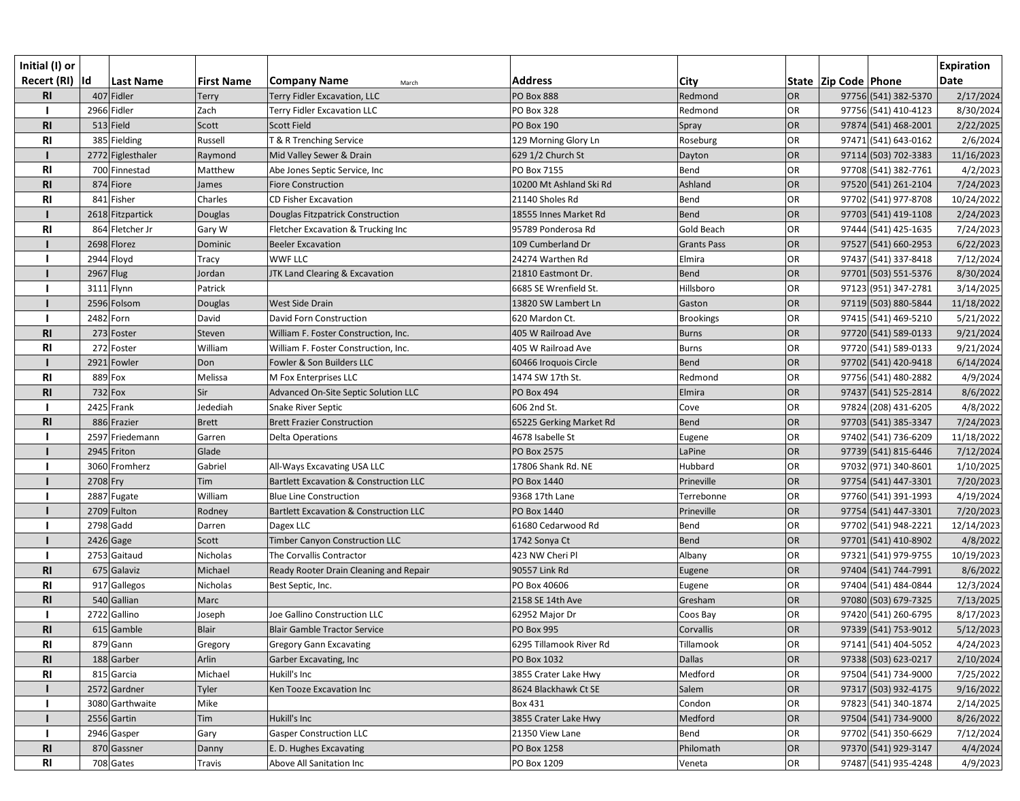| Initial (I) or<br>Recert (RI)  Id |           | <b>Last Name</b>  | <b>First Name</b> | <b>Company Name</b><br>March                      | <b>Address</b>          | City               |           | State   Zip Code   Phone |                      | <b>Expiration</b><br><b>Date</b> |
|-----------------------------------|-----------|-------------------|-------------------|---------------------------------------------------|-------------------------|--------------------|-----------|--------------------------|----------------------|----------------------------------|
| <b>RI</b>                         |           | 407 Fidler        | <b>Terry</b>      | Terry Fidler Excavation, LLC                      | <b>PO Box 888</b>       | Redmond            | OR        |                          | 97756 (541) 382-5370 | 2/17/2024                        |
|                                   |           | 2966 Fidler       | Zach              | <b>Terry Fidler Excavation LLC</b>                | <b>PO Box 328</b>       | Redmond            | OR        |                          | 97756 (541) 410-4123 | 8/30/2024                        |
| R <sub>l</sub>                    |           | $513$ Field       | Scott             | <b>Scott Field</b>                                | <b>PO Box 190</b>       | Spray              | OR        |                          | 97874 (541) 468-2001 | 2/22/2025                        |
| R <sub>l</sub>                    |           | 385 Fielding      | Russell           | T & R Trenching Service                           | 129 Morning Glory Ln    | Roseburg           | OR        |                          | 97471 (541) 643-0162 | 2/6/2024                         |
|                                   |           | 2772 Figlesthaler | Raymond           | Mid Valley Sewer & Drain                          | 629 1/2 Church St       | Dayton             | OR        |                          | 97114 (503) 702-3383 | 11/16/2023                       |
| <b>RI</b>                         |           | 700 Finnestad     | Matthew           | Abe Jones Septic Service, Inc                     | PO Box 7155             | Bend               | OR        |                          | 97708 (541) 382-7761 | 4/2/2023                         |
| R <sub>l</sub>                    |           | 874 Fiore         | James             | <b>Fiore Construction</b>                         | 10200 Mt Ashland Ski Rd | Ashland            | OR        |                          | 97520 (541) 261-2104 | 7/24/2023                        |
| <b>RI</b>                         |           | 841 Fisher        | Charles           | <b>CD Fisher Excavation</b>                       | 21140 Sholes Rd         | Bend               | OR        |                          | 97702 (541) 977-8708 | 10/24/2022                       |
|                                   |           | 2618 Fitzpartick  | Douglas           | Douglas Fitzpatrick Construction                  | 18555 Innes Market Rd   | Bend               | OR        |                          | 97703 (541) 419-1108 | 2/24/2023                        |
| R1                                |           | 864 Fletcher Jr   | Gary W            | Fletcher Excavation & Trucking Inc                | 95789 Ponderosa Rd      | <b>Gold Beach</b>  | OR        |                          | 97444 (541) 425-1635 | 7/24/2023                        |
|                                   |           | 2698 Florez       | Dominic           | <b>Beeler Excavation</b>                          | 109 Cumberland Dr       | <b>Grants Pass</b> | OR        |                          | 97527 (541) 660-2953 | 6/22/2023                        |
|                                   |           | 2944 Floyd        | Tracy             | <b>WWF LLC</b>                                    | 24274 Warthen Rd        | Elmira             | OR        |                          | 97437 (541) 337-8418 | 7/12/2024                        |
|                                   | 2967 Flug |                   | Jordan            | JTK Land Clearing & Excavation                    | 21810 Eastmont Dr.      | Bend               | OR        |                          | 97701 (503) 551-5376 | 8/30/2024                        |
|                                   |           | 3111 Flynn        | Patrick           |                                                   | 6685 SE Wrenfield St.   | Hillsboro          | OR        |                          | 97123 (951) 347-2781 | 3/14/2025                        |
|                                   |           | 2596 Folsom       | Douglas           | West Side Drain                                   | 13820 SW Lambert Ln     | Gaston             | OR        |                          | 97119 (503) 880-5844 | 11/18/2022                       |
|                                   |           | 2482 Forn         | David             | David Forn Construction                           | 620 Mardon Ct.          | <b>Brookings</b>   | OR        |                          | 97415 (541) 469-5210 | 5/21/2022                        |
| R <sub>l</sub>                    |           | 273 Foster        | Steven            | William F. Foster Construction, Inc.              | 405 W Railroad Ave      | <b>Burns</b>       | OR        |                          | 97720 (541) 589-0133 | 9/21/2024                        |
| R1                                |           | 272 Foster        | William           | William F. Foster Construction, Inc.              | 405 W Railroad Ave      | <b>Burns</b>       | OR        |                          | 97720 (541) 589-0133 | 9/21/2024                        |
|                                   |           | 2921 Fowler       | Don               | Fowler & Son Builders LLC                         | 60466 Iroquois Circle   | <b>Bend</b>        | OR        |                          | 97702 (541) 420-9418 | 6/14/2024                        |
| <b>RI</b>                         |           | 889 Fox           | Melissa           | M Fox Enterprises LLC                             | 1474 SW 17th St.        | Redmond            | OR        |                          | 97756 (541) 480-2882 | 4/9/2024                         |
| R <sub>l</sub>                    |           | $732$ Fox         | Sir               | Advanced On-Site Septic Solution LLC              | <b>PO Box 494</b>       | Elmira             | OR        |                          | 97437 (541) 525-2814 | 8/6/2022                         |
|                                   |           | 2425 Frank        | Jedediah          | Snake River Septic                                | 606 2nd St.             | Cove               | OR        |                          | 97824 (208) 431-6205 | 4/8/2022                         |
| R1                                |           | 886 Frazier       | <b>Brett</b>      | <b>Brett Frazier Construction</b>                 | 65225 Gerking Market Rd | <b>Bend</b>        | OR        |                          | 97703 (541) 385-3347 | 7/24/2023                        |
|                                   |           | 2597 Friedemann   | Garren            | <b>Delta Operations</b>                           | 4678 Isabelle St        | Eugene             | OR        |                          | 97402 (541) 736-6209 | 11/18/2022                       |
|                                   |           | 2945 Friton       | Glade             |                                                   | PO Box 2575             | LaPine             | OR        |                          | 97739 (541) 815-6446 | 7/12/2024                        |
|                                   |           | 3060 Fromherz     | Gabriel           | All-Ways Excavating USA LLC                       | 17806 Shank Rd. NE      | Hubbard            | OR        |                          | 97032 (971) 340-8601 | 1/10/2025                        |
|                                   | 2708 Fry  |                   | Tim               | <b>Bartlett Excavation &amp; Construction LLC</b> | PO Box 1440             | Prineville         | OR        |                          | 97754 (541) 447-3301 | 7/20/2023                        |
|                                   |           | 2887 Fugate       | William           | <b>Blue Line Construction</b>                     | 9368 17th Lane          | Terrebonne         | OR        |                          | 97760 (541) 391-1993 | 4/19/2024                        |
|                                   |           | 2709 Fulton       | Rodney            | Bartlett Excavation & Construction LLC            | PO Box 1440             | Prineville         | OR        |                          | 97754 (541) 447-3301 | 7/20/2023                        |
|                                   |           | 2798 Gadd         | Darren            | Dagex LLC                                         | 61680 Cedarwood Rd      | Bend               | OR        |                          | 97702 (541) 948-2221 | 12/14/2023                       |
|                                   |           | $2426$ Gage       | Scott             | <b>Timber Canyon Construction LLC</b>             | 1742 Sonya Ct           | Bend               | OR        |                          | 97701 (541) 410-8902 | 4/8/2022                         |
|                                   |           | 2753 Gaitaud      | Nicholas          | The Corvallis Contractor                          | 423 NW Cheri Pl         | Albany             | <b>OR</b> |                          | 97321 (541) 979-9755 | 10/19/2023                       |
| R <sub>l</sub>                    |           | 675 Galaviz       | Michael           | Ready Rooter Drain Cleaning and Repair            | 90557 Link Rd           | Eugene             | OR        |                          | 97404 (541) 744-7991 | 8/6/2022                         |
| <b>RI</b>                         |           | 917 Gallegos      | Nicholas          | Best Septic, Inc.                                 | PO Box 40606            | Eugene             | <b>OR</b> |                          | 97404 (541) 484-0844 | 12/3/2024                        |
| <b>RI</b>                         |           | 540 Gallian       | Marc              |                                                   | 2158 SE 14th Ave        | Gresham            | OR        |                          | 97080 (503) 679-7325 | 7/13/2025                        |
|                                   |           | 2722 Gallino      | Joseph            | Joe Gallino Construction LLC                      | 62952 Major Dr          | Coos Bay           | OR        |                          | 97420 (541) 260-6795 | 8/17/2023                        |
| R <sub>l</sub>                    |           | 615 Gamble        | <b>Blair</b>      | <b>Blair Gamble Tractor Service</b>               | <b>PO Box 995</b>       | Corvallis          | OR        |                          | 97339 (541) 753-9012 | 5/12/2023                        |
| <b>RI</b>                         |           | 879 Gann          | Gregory           | <b>Gregory Gann Excavating</b>                    | 6295 Tillamook River Rd | Tillamook          | <b>OR</b> |                          | 97141 (541) 404-5052 | 4/24/2023                        |
| <b>RI</b>                         |           | 188 Garber        | Arlin             | Garber Excavating, Inc                            | PO Box 1032             | <b>Dallas</b>      | OR        |                          | 97338 (503) 623-0217 | 2/10/2024                        |
| <b>RI</b>                         |           | 815 Garcia        | Michael           | Hukill's Inc                                      | 3855 Crater Lake Hwy    | Medford            | OR        |                          | 97504 (541) 734-9000 | 7/25/2022                        |
|                                   |           | 2572 Gardner      | Tyler             | Ken Tooze Excavation Inc                          | 8624 Blackhawk Ct SE    | Salem              | OR        |                          | 97317 (503) 932-4175 | 9/16/2022                        |
|                                   |           | 3080 Garthwaite   | Mike              |                                                   | Box 431                 | Condon             | <b>OR</b> |                          | 97823 (541) 340-1874 | 2/14/2025                        |
|                                   |           | 2556 Gartin       | Tim               | Hukill's Inc                                      | 3855 Crater Lake Hwy    | Medford            | OR        |                          | 97504 (541) 734-9000 | 8/26/2022                        |
|                                   |           | 2946 Gasper       | Gary              | <b>Gasper Construction LLC</b>                    | 21350 View Lane         | Bend               | <b>OR</b> |                          | 97702 (541) 350-6629 | 7/12/2024                        |
| R <sub>l</sub>                    |           | 870 Gassner       | Danny             | E. D. Hughes Excavating                           | PO Box 1258             | Philomath          | <b>OR</b> |                          | 97370 (541) 929-3147 | 4/4/2024                         |
| <b>RI</b>                         |           | 708 Gates         | Travis            | Above All Sanitation Inc                          | PO Box 1209             | Veneta             | OR        |                          | 97487 (541) 935-4248 | 4/9/2023                         |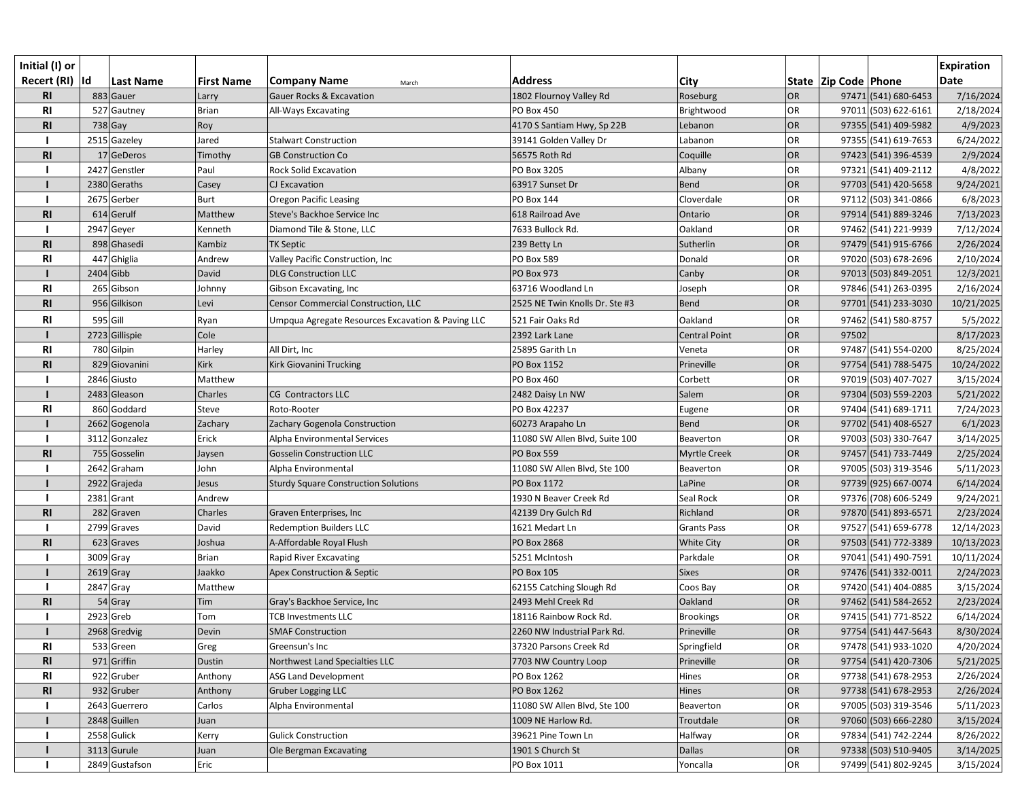| Initial (I) or                   |             |                             |                   |                                                           |                                      |                      |           |                          |                                              | <b>Expiration</b>       |
|----------------------------------|-------------|-----------------------------|-------------------|-----------------------------------------------------------|--------------------------------------|----------------------|-----------|--------------------------|----------------------------------------------|-------------------------|
| Recert (RI)  Id                  |             | <b>Last Name</b>            | <b>First Name</b> | <b>Company Name</b><br>March                              | <b>Address</b>                       | City                 |           | State   Zip Code   Phone |                                              | <b>Date</b>             |
| R1                               |             | 883 Gauer                   | Larry             | <b>Gauer Rocks &amp; Excavation</b>                       | 1802 Flournoy Valley Rd              | Roseburg             | OR        |                          | 97471 (541) 680-6453                         | 7/16/2024               |
| R <sub>l</sub>                   |             | 527 Gautney                 | <b>Brian</b>      | All-Ways Excavating                                       | PO Box 450                           | Brightwood           | OR        |                          | 97011 (503) 622-6161                         | 2/18/2024               |
| R <sub>l</sub>                   |             | $738$ Gay                   | Roy               |                                                           | 4170 S Santiam Hwy, Sp 22B           | Lebanon              | OR        |                          | 97355 (541) 409-5982                         | 4/9/2023                |
|                                  |             | 2515 Gazeley                | Jared             | <b>Stalwart Construction</b>                              | 39141 Golden Valley Dr               | Labanon              | OR<br>OR  |                          | 97355 (541) 619-7653                         | 6/24/2022               |
| R1                               |             | 17 GeDeros<br>2427 Genstler | Timothy           | <b>GB Construction Co</b><br><b>Rock Solid Excavation</b> | 56575 Roth Rd<br>PO Box 3205         | Coquille             |           |                          | 97423 (541) 396-4539<br>97321 (541) 409-2112 | 2/9/2024                |
|                                  |             | 2380 Geraths                | Paul              |                                                           |                                      | Albany<br>Bend       | OR<br>OR  |                          |                                              | 4/8/2022                |
|                                  |             | 2675 Gerber                 | Casey<br>Burt     | CJ Excavation<br><b>Oregon Pacific Leasing</b>            | 63917 Sunset Dr<br><b>PO Box 144</b> | Cloverdale           | OR        |                          | 97703 (541) 420-5658<br>97112 (503) 341-0866 | 9/24/2021               |
| R1                               |             | 614 Gerulf                  | Matthew           | Steve's Backhoe Service Inc                               | 618 Railroad Ave                     | Ontario              | OR        |                          | 97914 (541) 889-3246                         | 6/8/2023<br>7/13/2023   |
|                                  |             | 2947 Geyer                  | Kenneth           | Diamond Tile & Stone, LLC                                 | 7633 Bullock Rd.                     | Oakland              | OR        |                          | 97462 (541) 221-9939                         | 7/12/2024               |
| <b>RI</b>                        |             | 898 Ghasedi                 | Kambiz            | <b>TK Septic</b>                                          | 239 Betty Ln                         | Sutherlin            | OR        |                          | 97479 (541) 915-6766                         | 2/26/2024               |
| R <sub>l</sub>                   |             | 447 Ghiglia                 | Andrew            | Valley Pacific Construction, Inc                          | PO Box 589                           | Donald               | OR        |                          | 97020 (503) 678-2696                         | 2/10/2024               |
|                                  | $2404$ Gibb |                             | David             | <b>DLG Construction LLC</b>                               | <b>PO Box 973</b>                    | Canby                | OR        |                          | 97013 (503) 849-2051                         | 12/3/2021               |
| R <sub>l</sub>                   |             | 265 Gibson                  | Johnny            | Gibson Excavating, Inc                                    | 63716 Woodland Ln                    | Joseph               | <b>OR</b> |                          | 97846 (541) 263-0395                         | 2/16/2024               |
| R <sub>1</sub>                   |             | 956 Gilkison                | Levi              | Censor Commercial Construction, LLC                       | 2525 NE Twin Knolls Dr. Ste #3       | Bend                 | OR        |                          | 97701 (541) 233-3030                         | 10/21/2025              |
|                                  | $595$ Gill  |                             |                   |                                                           | 521 Fair Oaks Rd                     | Oakland              | OR        |                          | 97462 (541) 580-8757                         |                         |
| <b>RI</b>                        |             | 2723 Gillispie              | Ryan<br>Cole      | Umpqua Agregate Resources Excavation & Paving LLC         | 2392 Lark Lane                       | <b>Central Point</b> | OR        | 97502                    |                                              | 5/5/2022<br>8/17/2023   |
|                                  |             | 780 Gilpin                  |                   | All Dirt, Inc                                             | 25895 Garith Ln                      |                      | OR        |                          | 97487 (541) 554-0200                         |                         |
| R <sub>l</sub><br>R <sub>l</sub> |             | 829 Giovanini               | Harley<br>Kirk    | Kirk Giovanini Trucking                                   | PO Box 1152                          | Veneta<br>Prineville | OR        |                          | 97754 (541) 788-5475                         | 8/25/2024<br>10/24/2022 |
|                                  |             | 2846 Giusto                 | Matthew           |                                                           | <b>PO Box 460</b>                    | Corbett              | <b>OR</b> |                          | 97019 (503) 407-7027                         | 3/15/2024               |
|                                  |             | 2483 Gleason                | Charles           | CG Contractors LLC                                        | 2482 Daisy Ln NW                     | Salem                | OR        |                          | 97304 (503) 559-2203                         | 5/21/2022               |
| <b>RI</b>                        |             | 860 Goddard                 | Steve             | Roto-Rooter                                               | PO Box 42237                         |                      | <b>OR</b> |                          | 97404 (541) 689-1711                         | 7/24/2023               |
|                                  |             | 2662 Gogenola               | Zachary           | Zachary Gogenola Construction                             | 60273 Arapaho Ln                     | Eugene<br>Bend       | OR        |                          | 97702 (541) 408-6527                         | 6/1/2023                |
|                                  |             | 3112 Gonzalez               | Erick             | Alpha Environmental Services                              | 11080 SW Allen Blvd, Suite 100       | Beaverton            | <b>OR</b> |                          | 97003 (503) 330-7647                         | 3/14/2025               |
| R <sub>l</sub>                   |             | 755 Gosselin                | Jaysen            | <b>Gosselin Construction LLC</b>                          | <b>PO Box 559</b>                    | Myrtle Creek         | OR        |                          | 97457 (541) 733-7449                         | 2/25/2024               |
|                                  |             | 2642 Graham                 | John              | Alpha Environmental                                       | 11080 SW Allen Blvd, Ste 100         | Beaverton            | OR        |                          | 97005 (503) 319-3546                         | 5/11/2023               |
|                                  |             | 2922 Grajeda                | Jesus             | <b>Sturdy Square Construction Solutions</b>               | PO Box 1172                          | LaPine               | OR        |                          | 97739 (925) 667-0074                         | 6/14/2024               |
|                                  |             | $2381$ Grant                | Andrew            |                                                           | 1930 N Beaver Creek Rd               | Seal Rock            | OR        |                          | 97376 (708) 606-5249                         | 9/24/2021               |
| R1                               |             | $282$ Graven                | Charles           | Graven Enterprises, Inc                                   | 42139 Dry Gulch Rd                   | Richland             | OR        |                          | 97870 (541) 893-6571                         | 2/23/2024               |
|                                  |             | 2799 Graves                 | David             | <b>Redemption Builders LLC</b>                            | 1621 Medart Ln                       | <b>Grants Pass</b>   | OR        |                          | 97527 (541) 659-6778                         | 12/14/2023              |
| R1                               |             | 623 Graves                  | Joshua            | A-Affordable Royal Flush                                  | <b>PO Box 2868</b>                   | <b>White City</b>    | OR        |                          | 97503 (541) 772-3389                         | 10/13/2023              |
|                                  | 3009 Gray   |                             | <b>Brian</b>      | Rapid River Excavating                                    | 5251 McIntosh                        | Parkdale             | <b>OR</b> |                          | 97041 (541) 490-7591                         | 10/11/2024              |
|                                  |             | $2619$ Gray                 | Jaakko            | Apex Construction & Septic                                | <b>PO Box 105</b>                    | <b>Sixes</b>         | OR        |                          | 97476 (541) 332-0011                         | 2/24/2023               |
|                                  |             | 2847 Gray                   | Matthew           |                                                           | 62155 Catching Slough Rd             | Coos Bay             | OR        |                          | 97420 (541) 404-0885                         | 3/15/2024               |
| R <sub>1</sub>                   |             | 54 Gray                     | Tim               | Gray's Backhoe Service, Inc                               | 2493 Mehl Creek Rd                   | Oakland              | OR        |                          | 97462 (541) 584-2652                         | 2/23/2024               |
|                                  |             | 2923 Greb                   | Tom               | <b>TCB Investments LLC</b>                                | 18116 Rainbow Rock Rd.               | <b>Brookings</b>     | <b>OR</b> |                          | 97415 (541) 771-8522                         | 6/14/2024               |
|                                  |             | 2968 Gredvig                | Devin             | <b>SMAF Construction</b>                                  | 2260 NW Industrial Park Rd.          | Prineville           | <b>OR</b> |                          | 97754 (541) 447-5643                         | 8/30/2024               |
| R <sub>l</sub>                   |             | 533 Green                   | Greg              | Greensun's Inc                                            | 37320 Parsons Creek Rd               | Springfield          | OR        |                          | 97478 (541) 933-1020                         | 4/20/2024               |
| <b>RI</b>                        |             | $971$ Griffin               | Dustin            | Northwest Land Specialties LLC                            | 7703 NW Country Loop                 | Prineville           | OR        |                          | 97754 (541) 420-7306                         | 5/21/2025               |
| R <sub>l</sub>                   |             | 922 Gruber                  | Anthony           | <b>ASG Land Development</b>                               | PO Box 1262                          | Hines                | OR        |                          | 97738 (541) 678-2953                         | 2/26/2024               |
| R <sub>l</sub>                   |             | 932 Gruber                  | Anthony           | <b>Gruber Logging LLC</b>                                 | PO Box 1262                          | Hines                | OR        |                          | 97738 (541) 678-2953                         | 2/26/2024               |
|                                  |             | 2643 Guerrero               | Carlos            | Alpha Environmental                                       | 11080 SW Allen Blvd, Ste 100         | Beaverton            | OR        |                          | 97005 (503) 319-3546                         | 5/11/2023               |
|                                  |             | 2848 Guillen                | Juan              |                                                           | 1009 NE Harlow Rd.                   | Troutdale            | OR        |                          | 97060 (503) 666-2280                         | 3/15/2024               |
|                                  |             | 2558 Gulick                 | Kerry             | <b>Gulick Construction</b>                                | 39621 Pine Town Ln                   | Halfway              | OR        |                          | 97834 (541) 742-2244                         | 8/26/2022               |
|                                  |             | 3113 Gurule                 | Juan              | Ole Bergman Excavating                                    | 1901 S Church St                     | <b>Dallas</b>        | OR        |                          | 97338 (503) 510-9405                         | 3/14/2025               |
|                                  |             | 2849 Gustafson              | Eric              |                                                           | PO Box 1011                          | Yoncalla             | OR        |                          | 97499 (541) 802-9245                         | 3/15/2024               |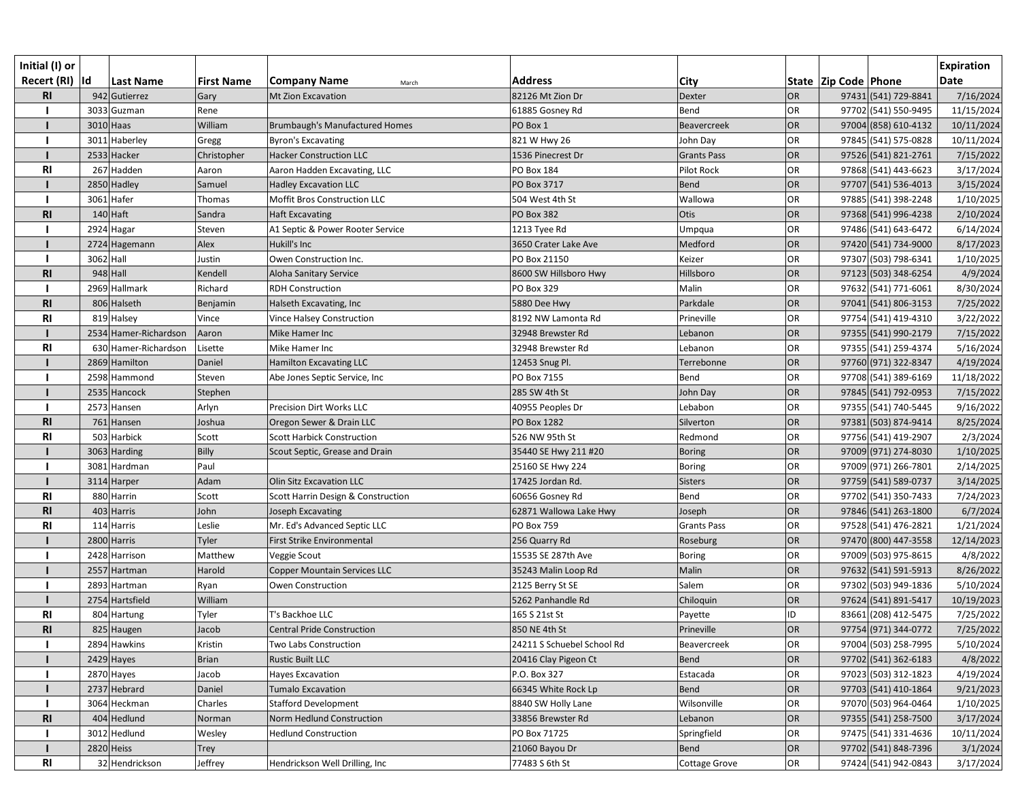| Initial (I) or<br>Recert (RI)  Id |           | <b>Last Name</b>      | <b>First Name</b> | <b>Company Name</b><br>March                  | <b>Address</b>             | <b>City</b>        |           | State  Zip Code  Phone | <b>Expiration</b><br><b>Date</b> |
|-----------------------------------|-----------|-----------------------|-------------------|-----------------------------------------------|----------------------------|--------------------|-----------|------------------------|----------------------------------|
| <b>RI</b>                         |           | 942 Gutierrez         | Gary              | Mt Zion Excavation                            | 82126 Mt Zion Dr           | Dexter             | <b>OR</b> | 97431 (541) 729-8841   | 7/16/2024                        |
|                                   |           | 3033 Guzman           | Rene              |                                               | 61885 Gosney Rd            | Bend               | <b>OR</b> | 97702 (541) 550-9495   | 11/15/2024                       |
|                                   |           | $3010$ Haas           | William           | Brumbaugh's Manufactured Homes                | PO Box 1                   | Beavercreek        | <b>OR</b> | 97004 (858) 610-4132   | 10/11/2024                       |
|                                   |           | 3011 Haberley         | Gregg             | <b>Byron's Excavating</b>                     | 821 W Hwy 26               | John Day           | <b>OR</b> | 97845 (541) 575-0828   | 10/11/2024                       |
|                                   |           | 2533 Hacker           | Christopher       | <b>Hacker Construction LLC</b>                | 1536 Pinecrest Dr          | <b>Grants Pass</b> | <b>OR</b> | 97526 (541) 821-2761   | 7/15/2022                        |
| <b>RI</b>                         |           | 267 Hadden            | Aaron             | Aaron Hadden Excavating, LLC                  | PO Box 184                 | Pilot Rock         | <b>OR</b> | 97868 (541) 443-6623   | 3/17/2024                        |
|                                   |           | 2850 Hadley           | Samuel            | <b>Hadley Excavation LLC</b>                  | PO Box 3717                | <b>Bend</b>        | <b>OR</b> | 97707 (541) 536-4013   | 3/15/2024                        |
|                                   |           | 3061 Hafer            | Thomas            | Moffit Bros Construction LLC                  | 504 West 4th St            | Wallowa            | OR        | 97885 (541) 398-2248   | 1/10/2025                        |
| <b>RI</b>                         |           | 140 Haft              | Sandra            | <b>Haft Excavating</b>                        | <b>PO Box 382</b>          | Otis               | OR        | 97368 (541) 996-4238   | 2/10/2024                        |
|                                   |           | 2924 Hagar            | Steven            | A1 Septic & Power Rooter Service              | 1213 Tyee Rd               | Umpqua             | <b>OR</b> | 97486 (541) 643-6472   | 6/14/2024                        |
|                                   |           | 2724 Hagemann         | Alex              | Hukill's Inc                                  | 3650 Crater Lake Ave       | Medford            | OR        | 97420 (541) 734-9000   | 8/17/2023                        |
|                                   | 3062 Hall |                       | Justin            | Owen Construction Inc.                        | PO Box 21150               | Keizer             | <b>OR</b> | 97307 (503) 798-6341   | 1/10/2025                        |
| <b>RI</b>                         |           | $948$ Hall            | Kendell           | Aloha Sanitary Service                        | 8600 SW Hillsboro Hwy      | Hillsboro          | <b>OR</b> | 97123 (503) 348-6254   | 4/9/2024                         |
|                                   |           | 2969 Hallmark         | Richard           | <b>RDH Construction</b>                       | <b>PO Box 329</b>          | Malin              | <b>OR</b> | 97632 (541) 771-6061   | 8/30/2024                        |
| R <sub>l</sub>                    |           | 806 Halseth           | Benjamin          | Halseth Excavating, Inc                       | 5880 Dee Hwy               | Parkdale           | <b>OR</b> | 97041 (541) 806-3153   | 7/25/2022                        |
| R <sub>l</sub>                    |           | 819 Halsey            | Vince             | Vince Halsey Construction                     | 8192 NW Lamonta Rd         | Prineville         | OR        | 97754 (541) 419-4310   | 3/22/2022                        |
|                                   |           | 2534 Hamer-Richardson | Aaron             | Mike Hamer Inc                                | 32948 Brewster Rd          | Lebanon            | <b>OR</b> | 97355 (541) 990-2179   | 7/15/2022                        |
| R <sub>l</sub>                    |           | 630 Hamer-Richardson  | Lisette           | Mike Hamer Inc                                | 32948 Brewster Rd          | Lebanon            | <b>OR</b> | 97355 (541) 259-4374   | 5/16/2024                        |
|                                   |           | 2869 Hamilton         | Daniel            | <b>Hamilton Excavating LLC</b>                | 12453 Snug Pl.             | Terrebonne         | OR        | 97760 (971) 322-8347   | 4/19/2024                        |
|                                   |           | 2598 Hammond          | Steven            | Abe Jones Septic Service, Inc                 | PO Box 7155                | Bend               | <b>OR</b> | 97708 (541) 389-6169   | 11/18/2022                       |
|                                   |           | 2535 Hancock          | Stephen           |                                               | 285 SW 4th St              | John Day           | <b>OR</b> | 97845 (541) 792-0953   | 7/15/2022                        |
|                                   |           | 2573 Hansen           | Arlyn             | <b>Precision Dirt Works LLC</b>               | 40955 Peoples Dr           | Lebabon            | <b>OR</b> | 97355 (541) 740-5445   | 9/16/2022                        |
| R1                                |           | 761 Hansen            | Joshua            | Oregon Sewer & Drain LLC                      | PO Box 1282                | Silverton          | <b>OR</b> | 97381 (503) 874-9414   | 8/25/2024                        |
| <b>RI</b>                         |           | 503 Harbick           | Scott             | <b>Scott Harbick Construction</b>             | 526 NW 95th St             | Redmond            | <b>OR</b> | 97756 (541) 419-2907   | 2/3/2024                         |
|                                   |           | 3063 Harding          | Billy             | Scout Septic, Grease and Drain                | 35440 SE Hwy 211 #20       | <b>Boring</b>      | <b>OR</b> | 97009 (971) 274-8030   | 1/10/2025                        |
|                                   |           | 3081 Hardman          | Paul              |                                               | 25160 SE Hwy 224           | <b>Boring</b>      | <b>OR</b> | 97009 (971) 266-7801   | 2/14/2025                        |
|                                   |           | 3114 Harper           | Adam              | <b>Olin Sitz Excavation LLC</b>               | 17425 Jordan Rd.           | <b>Sisters</b>     | OR        | 97759 (541) 589-0737   | 3/14/2025                        |
| R1                                |           | 880 Harrin            | Scott             | <b>Scott Harrin Design &amp; Construction</b> | 60656 Gosney Rd            | Bend               | <b>OR</b> | 97702 (541) 350-7433   | 7/24/2023                        |
| <b>RI</b>                         |           | 403 Harris            | John              | Joseph Excavating                             | 62871 Wallowa Lake Hwy     | Joseph             | <b>OR</b> | 97846 (541) 263-1800   | 6/7/2024                         |
| <b>RI</b>                         |           | 114 Harris            | Leslie            | Mr. Ed's Advanced Septic LLC                  | PO Box 759                 | <b>Grants Pass</b> | <b>OR</b> | 97528 (541) 476-2821   | 1/21/2024                        |
|                                   |           | 2800 Harris           | Tyler             | First Strike Environmental                    | 256 Quarry Rd              | Roseburg           | OR        | 97470 (800) 447-3558   | 12/14/2023                       |
|                                   |           | 2428 Harrison         | Matthew           | Veggie Scout                                  | 15535 SE 287th Ave         | <b>Boring</b>      | <b>OR</b> | 97009 (503) 975-8615   | 4/8/2022                         |
|                                   |           | 2557 Hartman          | Harold            | <b>Copper Mountain Services LLC</b>           | 35243 Malin Loop Rd        | Malin              | OR        | 97632 (541) 591-5913   | 8/26/2022                        |
|                                   |           | 2893 Hartman          | Ryan              | Owen Construction                             | 2125 Berry St SE           | Salem              | <b>OR</b> | 97302 (503) 949-1836   | 5/10/2024                        |
|                                   |           | 2754 Hartsfield       | William           |                                               | 5262 Panhandle Rd          | Chiloquin          | <b>OR</b> | 97624 (541) 891-5417   | 10/19/2023                       |
| <b>RI</b>                         |           | 804 Hartung           | Tyler             | T's Backhoe LLC                               | 165 S 21st St              | Payette            | ID        | 83661 (208) 412-5475   | 7/25/2022                        |
| R <sub>l</sub>                    |           | 825 Haugen            | Jacob             | <b>Central Pride Construction</b>             | 850 NE 4th St              | Prineville         | <b>OR</b> | 97754 (971) 344-0772   | 7/25/2022                        |
|                                   |           | 2894 Hawkins          | Kristin           | Two Labs Construction                         | 24211 S Schuebel School Rd | Beavercreek        | OR        | 97004 (503) 258-7995   | 5/10/2024                        |
|                                   |           | $2429$ Hayes          | <b>Brian</b>      | <b>Rustic Built LLC</b>                       | 20416 Clay Pigeon Ct       | <b>Bend</b>        | OR        | 97702 (541) 362-6183   | 4/8/2022                         |
|                                   |           | 2870 Hayes            | Jacob             | <b>Hayes Excavation</b>                       | P.O. Box 327               | Estacada           | <b>OR</b> | 97023 (503) 312-1823   | 4/19/2024                        |
|                                   |           | 2737 Hebrard          | Daniel            | <b>Tumalo Excavation</b>                      | 66345 White Rock Lp        | <b>Bend</b>        | <b>OR</b> | 97703 (541) 410-1864   | 9/21/2023                        |
|                                   |           | 3064 Heckman          | Charles           | <b>Stafford Development</b>                   | 8840 SW Holly Lane         | Wilsonville        | OR        | 97070 (503) 964-0464   | 1/10/2025                        |
| <b>RI</b>                         |           | 404 Hedlund           | Norman            | Norm Hedlund Construction                     | 33856 Brewster Rd          | Lebanon            | <b>OR</b> | 97355 (541) 258-7500   | 3/17/2024                        |
|                                   |           | 3012 Hedlund          | Wesley            | <b>Hedlund Construction</b>                   | PO Box 71725               | Springfield        | <b>OR</b> | 97475 (541) 331-4636   | 10/11/2024                       |
|                                   |           | 2820 Heiss            | Trey              |                                               | 21060 Bayou Dr             | <b>Bend</b>        | OR        | 97702 (541) 848-7396   | 3/1/2024                         |
| R1                                |           | 32 Hendrickson        | Jeffrey           | Hendrickson Well Drilling, Inc                | 77483 S 6th St             | Cottage Grove      | OR        | 97424 (541) 942-0843   | 3/17/2024                        |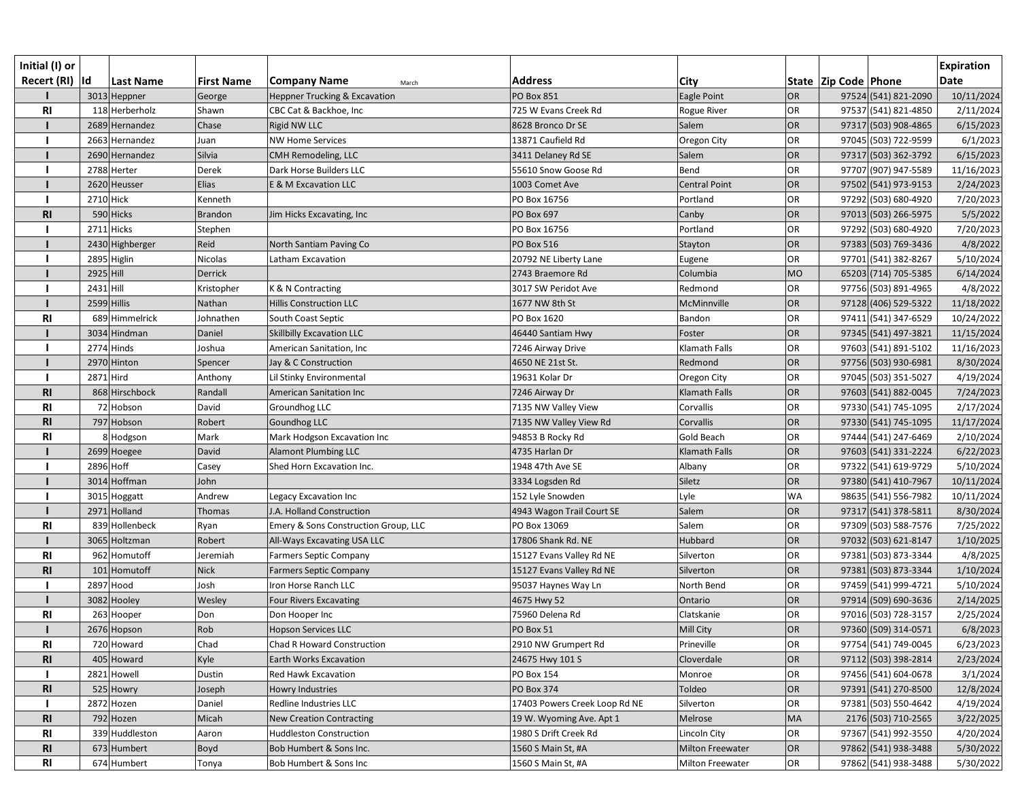| Initial (I) or<br>Recert (RI)  Id |             | <b>Last Name</b> | <b>First Name</b> | <b>Company Name</b><br>March             | <b>Address</b>                | City                    |           | State   Zip Code   Phone |                      | <b>Expiration</b><br><b>Date</b> |
|-----------------------------------|-------------|------------------|-------------------|------------------------------------------|-------------------------------|-------------------------|-----------|--------------------------|----------------------|----------------------------------|
|                                   |             | 3013 Heppner     | George            | <b>Heppner Trucking &amp; Excavation</b> | <b>PO Box 851</b>             | Eagle Point             | OR        |                          | 97524 (541) 821-2090 | 10/11/2024                       |
| R1                                |             | 118 Herberholz   | Shawn             | CBC Cat & Backhoe, Inc                   | 725 W Evans Creek Rd          | Rogue River             | OR        |                          | 97537 (541) 821-4850 | 2/11/2024                        |
|                                   |             | 2689 Hernandez   | Chase             | Rigid NW LLC                             | 8628 Bronco Dr SE             | Salem                   | OR        |                          | 97317 (503) 908-4865 | 6/15/2023                        |
|                                   |             | 2663 Hernandez   | Juan              | <b>NW Home Services</b>                  | 13871 Caufield Rd             | Oregon City             | OR        |                          | 97045 (503) 722-9599 | 6/1/2023                         |
|                                   |             | 2690 Hernandez   | Silvia            | CMH Remodeling, LLC                      | 3411 Delaney Rd SE            | Salem                   | OR        |                          | 97317 (503) 362-3792 | 6/15/2023                        |
|                                   |             | 2788 Herter      | Derek             | Dark Horse Builders LLC                  | 55610 Snow Goose Rd           | Bend                    | OR        |                          | 97707 (907) 947-5589 | 11/16/2023                       |
|                                   |             | 2620 Heusser     | Elias             | E & M Excavation LLC                     | 1003 Comet Ave                | <b>Central Point</b>    | OR        |                          | 97502 (541) 973-9153 | 2/24/2023                        |
|                                   | 2710 Hick   |                  | Kenneth           |                                          | PO Box 16756                  | Portland                | <b>OR</b> |                          | 97292 (503) 680-4920 | 7/20/2023                        |
| <b>RI</b>                         |             | 590 Hicks        | <b>Brandon</b>    | Jim Hicks Excavating, Inc                | <b>PO Box 697</b>             | Canby                   | OR        |                          | 97013 (503) 266-5975 | 5/5/2022                         |
|                                   |             | 2711 Hicks       | Stephen           |                                          | PO Box 16756                  | Portland                | OR        |                          | 97292 (503) 680-4920 | 7/20/2023                        |
|                                   |             | 2430 Highberger  | Reid              | North Santiam Paving Co                  | <b>PO Box 516</b>             | Stayton                 | OR        |                          | 97383 (503) 769-3436 | 4/8/2022                         |
|                                   |             | 2895 Higlin      | Nicolas           | Latham Excavation                        | 20792 NE Liberty Lane         | Eugene                  | OR        |                          | 97701 (541) 382-8267 | 5/10/2024                        |
|                                   | 2925 Hill   |                  | Derrick           |                                          | 2743 Braemore Rd              | Columbia                | <b>MO</b> |                          | 65203 (714) 705-5385 | 6/14/2024                        |
|                                   | $2431$ Hill |                  | Kristopher        | K & N Contracting                        | 3017 SW Peridot Ave           | Redmond                 | OR        |                          | 97756 (503) 891-4965 | 4/8/2022                         |
|                                   |             | $2599$ Hillis    | Nathan            | <b>Hillis Construction LLC</b>           | 1677 NW 8th St                | McMinnville             | OR        |                          | 97128 (406) 529-5322 | 11/18/2022                       |
| <b>RI</b>                         |             | 689 Himmelrick   | Johnathen         | South Coast Septic                       | PO Box 1620                   | Bandon                  | OR        |                          | 97411 (541) 347-6529 | 10/24/2022                       |
|                                   |             | 3034 Hindman     | Daniel            | <b>Skillbilly Excavation LLC</b>         | 46440 Santiam Hwy             | Foster                  | OR        |                          | 97345 (541) 497-3821 | 11/15/2024                       |
|                                   |             | $2774$ Hinds     | Joshua            | American Sanitation, Inc                 | 7246 Airway Drive             | Klamath Falls           | <b>OR</b> |                          | 97603 (541) 891-5102 | 11/16/2023                       |
|                                   |             | 2970 Hinton      | Spencer           | Jay & C Construction                     | 4650 NE 21st St.              | Redmond                 | OR        |                          | 97756 (503) 930-6981 | 8/30/2024                        |
|                                   | 2871 Hird   |                  | Anthony           | Lil Stinky Environmental                 | 19631 Kolar Dr                | Oregon City             | OR        |                          | 97045 (503) 351-5027 | 4/19/2024                        |
| R1                                |             | 868 Hirschbock   | Randall           | American Sanitation Inc                  | 7246 Airway Dr                | Klamath Falls           | OR        |                          | 97603 (541) 882-0045 | 7/24/2023                        |
| R <sub>l</sub>                    |             | 72 Hobson        | David             | Groundhog LLC                            | 7135 NW Valley View           | Corvallis               | OR        |                          | 97330 (541) 745-1095 | 2/17/2024                        |
| R1                                |             | 797 Hobson       | Robert            | Goundhog LLC                             | 7135 NW Valley View Rd        | Corvallis               | OR        |                          | 97330 (541) 745-1095 | 11/17/2024                       |
| <b>RI</b>                         |             | 8 Hodgson        | Mark              | Mark Hodgson Excavation Inc              | 94853 B Rocky Rd              | Gold Beach              | <b>OR</b> |                          | 97444 (541) 247-6469 | 2/10/2024                        |
|                                   |             | 2699 Hoegee      | David             | <b>Alamont Plumbing LLC</b>              | 4735 Harlan Dr                | Klamath Falls           | OR        |                          | 97603 (541) 331-2224 | 6/22/2023                        |
|                                   |             | 2896 Hoff        | Casey             | Shed Horn Excavation Inc.                | 1948 47th Ave SE              | Albany                  | <b>OR</b> |                          | 97322 (541) 619-9729 | 5/10/2024                        |
|                                   |             | 3014 Hoffman     | John              |                                          | 3334 Logsden Rd               | Siletz                  | OR        |                          | 97380 (541) 410-7967 | 10/11/2024                       |
|                                   |             | 3015 Hoggatt     | Andrew            | Legacy Excavation Inc                    | 152 Lyle Snowden              | Lyle                    | <b>WA</b> |                          | 98635 (541) 556-7982 | 10/11/2024                       |
|                                   |             | 2971 Holland     | Thomas            | J.A. Holland Construction                | 4943 Wagon Trail Court SE     | Salem                   | OR        |                          | 97317 (541) 378-5811 | 8/30/2024                        |
| <b>RI</b>                         |             | 839 Hollenbeck   | Ryan              | Emery & Sons Construction Group, LLC     | PO Box 13069                  | Salem                   | OR        |                          | 97309 (503) 588-7576 | 7/25/2022                        |
|                                   |             | 3065 Holtzman    | Robert            | All-Ways Excavating USA LLC              | 17806 Shank Rd. NE            | Hubbard                 | OR        |                          | 97032 (503) 621-8147 | 1/10/2025                        |
| <b>RI</b>                         |             | 962 Homutoff     | Jeremiah          | <b>Farmers Septic Company</b>            | 15127 Evans Valley Rd NE      | Silverton               | <b>OR</b> |                          | 97381 (503) 873-3344 | 4/8/2025                         |
| <b>RI</b>                         |             | 101 Homutoff     | <b>Nick</b>       | <b>Farmers Septic Company</b>            | 15127 Evans Valley Rd NE      | Silverton               | OR        |                          | 97381 (503) 873-3344 | 1/10/2024                        |
|                                   |             | 2897 Hood        | Josh              | Iron Horse Ranch LLC                     | 95037 Haynes Way Ln           | North Bend              | OR        |                          | 97459 (541) 999-4721 | 5/10/2024                        |
|                                   |             | 3082 Hooley      | Wesley            | <b>Four Rivers Excavating</b>            | 4675 Hwy 52                   | Ontario                 | OR        |                          | 97914 (509) 690-3636 | 2/14/2025                        |
| <b>RI</b>                         |             | 263 Hooper       | Don               | Don Hooper Inc                           | 75960 Delena Rd               | Clatskanie              | OR        |                          | 97016 (503) 728-3157 | 2/25/2024                        |
|                                   |             | 2676 Hopson      | Rob               | <b>Hopson Services LLC</b>               | PO Box 51                     | Mill City               | OR        |                          | 97360 (509) 314-0571 | 6/8/2023                         |
| <b>RI</b>                         |             | 720 Howard       | Chad              | <b>Chad R Howard Construction</b>        | 2910 NW Grumpert Rd           | Prineville              | <b>OR</b> |                          | 97754 (541) 749-0045 | 6/23/2023                        |
| <b>RI</b>                         |             | 405 Howard       | Kyle              | <b>Earth Works Excavation</b>            | 24675 Hwy 101 S               | Cloverdale              | OR        |                          | 97112 (503) 398-2814 | 2/23/2024                        |
|                                   |             | 2821 Howell      | Dustin            | Red Hawk Excavation                      | <b>PO Box 154</b>             | Monroe                  | <b>OR</b> |                          | 97456 (541) 604-0678 | 3/1/2024                         |
| R <sub>l</sub>                    |             | 525 Howry        | Joseph            | Howry Industries                         | <b>PO Box 374</b>             | Toldeo                  | <b>OR</b> |                          | 97391 (541) 270-8500 | 12/8/2024                        |
|                                   |             | 2872 Hozen       | Daniel            | Redline Industries LLC                   | 17403 Powers Creek Loop Rd NE | Silverton               | <b>OR</b> |                          | 97381 (503) 550-4642 | 4/19/2024                        |
| R <sub>l</sub>                    |             | 792 Hozen        | Micah             | <b>New Creation Contracting</b>          | 19 W. Wyoming Ave. Apt 1      | Melrose                 | <b>MA</b> |                          | 2176 (503) 710-2565  | 3/22/2025                        |
| <b>RI</b>                         |             | 339 Huddleston   | Aaron             | <b>Huddleston Construction</b>           | 1980 S Drift Creek Rd         | Lincoln City            | OR        |                          | 97367 (541) 992-3550 | 4/20/2024                        |
| R <sub>l</sub>                    |             | 673 Humbert      | Boyd              | Bob Humbert & Sons Inc.                  | 1560 S Main St, #A            | <b>Milton Freewater</b> | <b>OR</b> |                          | 97862 (541) 938-3488 | 5/30/2022                        |
| <b>RI</b>                         |             | 674 Humbert      | Tonya             | Bob Humbert & Sons Inc                   | 1560 S Main St, #A            | Milton Freewater        | OR        |                          | 97862 (541) 938-3488 | 5/30/2022                        |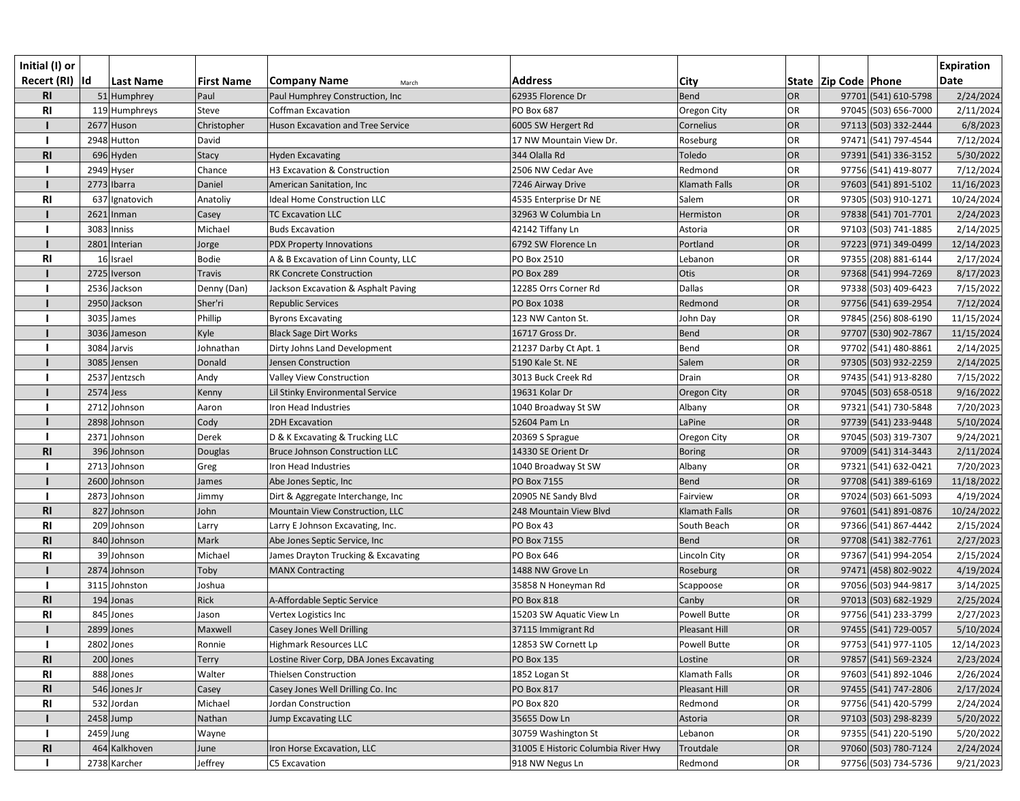| Initial (I) or  |             |                |                   |                                          |                                     |                      |           |                          |                      | <b>Expiration</b> |
|-----------------|-------------|----------------|-------------------|------------------------------------------|-------------------------------------|----------------------|-----------|--------------------------|----------------------|-------------------|
| Recert (RI)  Id |             | Last Name      | <b>First Name</b> | <b>Company Name</b><br>March             | <b>Address</b>                      | <b>City</b>          |           | State   Zip Code   Phone |                      | <b>Date</b>       |
| <b>RI</b>       |             | 51 Humphrey    | Paul              | Paul Humphrey Construction, Inc          | 62935 Florence Dr                   | <b>Bend</b>          | <b>OR</b> |                          | 97701 (541) 610-5798 | 2/24/2024         |
| R <sub>l</sub>  |             | 119 Humphreys  | Steve             | Coffman Excavation                       | PO Box 687                          | Oregon City          | OR        |                          | 97045 (503) 656-7000 | 2/11/2024         |
|                 |             | 2677 Huson     | Christopher       | <b>Huson Excavation and Tree Service</b> | 6005 SW Hergert Rd                  | Cornelius            | OR        |                          | 97113 (503) 332-2444 | 6/8/2023          |
|                 |             | 2948 Hutton    | David             |                                          | 17 NW Mountain View Dr.             | Roseburg             | OR        |                          | 97471 (541) 797-4544 | 7/12/2024         |
| <b>RI</b>       |             | $696$ Hyden    | <b>Stacy</b>      | <b>Hyden Excavating</b>                  | 344 Olalla Rd                       | Toledo               | <b>OR</b> |                          | 97391 (541) 336-3152 | 5/30/2022         |
|                 |             | 2949 Hyser     | Chance            | H3 Excavation & Construction             | 2506 NW Cedar Ave                   | Redmond              | OR        |                          | 97756 (541) 419-8077 | 7/12/2024         |
|                 |             | 2773 Ibarra    | Daniel            | American Sanitation, Inc                 | 7246 Airway Drive                   | Klamath Falls        | <b>OR</b> |                          | 97603 (541) 891-5102 | 11/16/2023        |
| RI              |             | 637 Ignatovich | Anatoliy          | Ideal Home Construction LLC              | 4535 Enterprise Dr NE               | Salem                | OR        |                          | 97305 (503) 910-1271 | 10/24/2024        |
|                 |             | $2621$  Inman  | Casey             | <b>TC Excavation LLC</b>                 | 32963 W Columbia Ln                 | Hermiston            | <b>OR</b> |                          | 97838 (541) 701-7701 | 2/24/2023         |
|                 |             | 3083 Inniss    | Michael           | <b>Buds Excavation</b>                   | 42142 Tiffany Ln                    | Astoria              | OR        |                          | 97103 (503) 741-1885 | 2/14/2025         |
|                 |             | 2801 Interian  | Jorge             | PDX Property Innovations                 | 6792 SW Florence Ln                 | Portland             | OR        |                          | 97223 (971) 349-0499 | 12/14/2023        |
| <b>RI</b>       |             | 16 Israel      | <b>Bodie</b>      | A & B Excavation of Linn County, LLC     | PO Box 2510                         | Lebanon              | OR        |                          | 97355 (208) 881-6144 | 2/17/2024         |
|                 |             | 2725 lverson   | <b>Travis</b>     | <b>RK Concrete Construction</b>          | PO Box 289                          | Otis                 | OR        |                          | 97368 (541) 994-7269 | 8/17/2023         |
|                 |             | 2536 Jackson   | Denny (Dan)       | Jackson Excavation & Asphalt Paving      | 12285 Orrs Corner Rd                | <b>Dallas</b>        | OR        |                          | 97338 (503) 409-6423 | 7/15/2022         |
|                 |             | 2950 Jackson   | Sher'ri           | <b>Republic Services</b>                 | PO Box 1038                         | Redmond              | OR        |                          | 97756 (541) 639-2954 | 7/12/2024         |
|                 |             | 3035 James     | Phillip           | <b>Byrons Excavating</b>                 | 123 NW Canton St.                   | John Day             | OR        |                          | 97845 (256) 808-6190 | 11/15/2024        |
|                 |             | 3036 Jameson   | Kyle              | <b>Black Sage Dirt Works</b>             | 16717 Gross Dr.                     | <b>Bend</b>          | OR        |                          | 97707 (530) 902-7867 | 11/15/2024        |
|                 |             | 3084 Jarvis    | Johnathan         | Dirty Johns Land Development             | 21237 Darby Ct Apt. 1               | Bend                 | OR        |                          | 97702 (541) 480-8861 | 2/14/2025         |
|                 |             | 3085 Jensen    | Donald            | Jensen Construction                      | 5190 Kale St. NE                    | Salem                | OR        |                          | 97305 (503) 932-2259 | 2/14/2025         |
|                 |             | 2537 Jentzsch  | Andy              | Valley View Construction                 | 3013 Buck Creek Rd                  | Drain                | OR        |                          | 97435 (541) 913-8280 | 7/15/2022         |
|                 | $2574$ Jess |                | Kenny             | Lil Stinky Environmental Service         | 19631 Kolar Dr                      | Oregon City          | OR        |                          | 97045 (503) 658-0518 | 9/16/2022         |
|                 |             | 2712 Johnson   | Aaron             | Iron Head Industries                     | 1040 Broadway St SW                 | Albany               | OR        |                          | 97321 (541) 730-5848 | 7/20/2023         |
|                 |             | 2898 Johnson   | Cody              | 2DH Excavation                           | 52604 Pam Ln                        | LaPine               | <b>OR</b> |                          | 97739 (541) 233-9448 | 5/10/2024         |
|                 |             | 2371 Johnson   | Derek             | D & K Excavating & Trucking LLC          | 20369 S Sprague                     | Oregon City          | OR        |                          | 97045 (503) 319-7307 | 9/24/2021         |
| <b>RI</b>       |             | 396 Johnson    | Douglas           | Bruce Johnson Construction LLC           | 14330 SE Orient Dr                  | <b>Boring</b>        | OR        |                          | 97009 (541) 314-3443 | 2/11/2024         |
|                 |             | 2713 Johnson   | Greg              | Iron Head Industries                     | 1040 Broadway St SW                 | Albany               | <b>OR</b> |                          | 97321 (541) 632-0421 | 7/20/2023         |
|                 |             | 2600 Johnson   | James             | Abe Jones Septic, Inc                    | PO Box 7155                         | Bend                 | <b>OR</b> |                          | 97708 (541) 389-6169 | 11/18/2022        |
|                 |             | 2873 Johnson   | Jimmy             | Dirt & Aggregate Interchange, Inc        | 20905 NE Sandy Blvd                 | Fairview             | <b>OR</b> |                          | 97024 (503) 661-5093 | 4/19/2024         |
| <b>RI</b>       |             | 827 Johnson    | John              | Mountain View Construction, LLC          | 248 Mountain View Blvd              | <b>Klamath Falls</b> | <b>OR</b> |                          | 97601 (541) 891-0876 | 10/24/2022        |
| <b>RI</b>       |             | 209 Johnson    | Larry             | Larry E Johnson Excavating, Inc.         | PO Box 43                           | South Beach          | OR        |                          | 97366 (541) 867-4442 | 2/15/2024         |
| <b>RI</b>       |             | 840 Johnson    | Mark              | Abe Jones Septic Service, Inc            | PO Box 7155                         | Bend                 | OR        |                          | 97708 (541) 382-7761 | 2/27/2023         |
| <b>RI</b>       |             | 39 Johnson     | Michael           | James Drayton Trucking & Excavating      | PO Box 646                          | Lincoln City         | OR        |                          | 97367 (541) 994-2054 | 2/15/2024         |
|                 |             | 2874 Johnson   | Toby              | <b>MANX Contracting</b>                  | 1488 NW Grove Ln                    | Roseburg             | <b>OR</b> |                          | 97471 (458) 802-9022 | 4/19/2024         |
|                 |             | 3115 Johnston  | Joshua            |                                          | 35858 N Honeyman Rd                 | Scappoose            | OR        |                          | 97056 (503) 944-9817 | 3/14/2025         |
| <b>RI</b>       |             | 194 Jonas      | Rick              | A-Affordable Septic Service              | <b>PO Box 818</b>                   | Canby                | <b>OR</b> |                          | 97013 (503) 682-1929 | 2/25/2024         |
| <b>RI</b>       |             | 845 Jones      | Jason             | Vertex Logistics Inc                     | 15203 SW Aquatic View Ln            | <b>Powell Butte</b>  | OR        |                          | 97756 (541) 233-3799 | 2/27/2023         |
|                 |             | $2899$ Jones   | Maxwell           | Casey Jones Well Drilling                | 37115 Immigrant Rd                  | Pleasant Hill        | <b>OR</b> |                          | 97455 (541) 729-0057 | 5/10/2024         |
|                 |             | 2802 Jones     | Ronnie            | Highmark Resources LLC                   | 12853 SW Cornett Lp                 | <b>Powell Butte</b>  | OR        |                          | 97753 (541) 977-1105 | 12/14/2023        |
| <b>RI</b>       |             | 200 Jones      | <b>Terry</b>      | Lostine River Corp, DBA Jones Excavating | <b>PO Box 135</b>                   | Lostine              | OR        |                          | 97857 (541) 569-2324 | 2/23/2024         |
| R <sub>l</sub>  |             | 888 Jones      | Walter            | <b>Thielsen Construction</b>             | 1852 Logan St                       | Klamath Falls        | OR        |                          | 97603 (541) 892-1046 | 2/26/2024         |
| <b>RI</b>       |             | 546 Jones Jr   | Casey             | Casey Jones Well Drilling Co. Inc        | <b>PO Box 817</b>                   | Pleasant Hill        | <b>OR</b> |                          | 97455 (541) 747-2806 | 2/17/2024         |
| RI              |             | 532 Jordan     | Michael           | Jordan Construction                      | <b>PO Box 820</b>                   | Redmond              | OR        |                          | 97756 (541) 420-5799 | 2/24/2024         |
|                 |             | $2458$ Jump    | Nathan            | Jump Excavating LLC                      | 35655 Dow Ln                        | Astoria              | OR        |                          | 97103 (503) 298-8239 | 5/20/2022         |
|                 | 2459 Jung   |                | Wayne             |                                          | 30759 Washington St                 | Lebanon              | OR        |                          | 97355 (541) 220-5190 | 5/20/2022         |
| <b>RI</b>       |             | 464 Kalkhoven  | June              | Iron Horse Excavation, LLC               | 31005 E Historic Columbia River Hwy | Troutdale            | OR        |                          | 97060 (503) 780-7124 | 2/24/2024         |
|                 |             | 2738 Karcher   | Jeffrey           | C5 Excavation                            | 918 NW Negus Ln                     | Redmond              | OR        |                          | 97756 (503) 734-5736 | 9/21/2023         |
|                 |             |                |                   |                                          |                                     |                      |           |                          |                      |                   |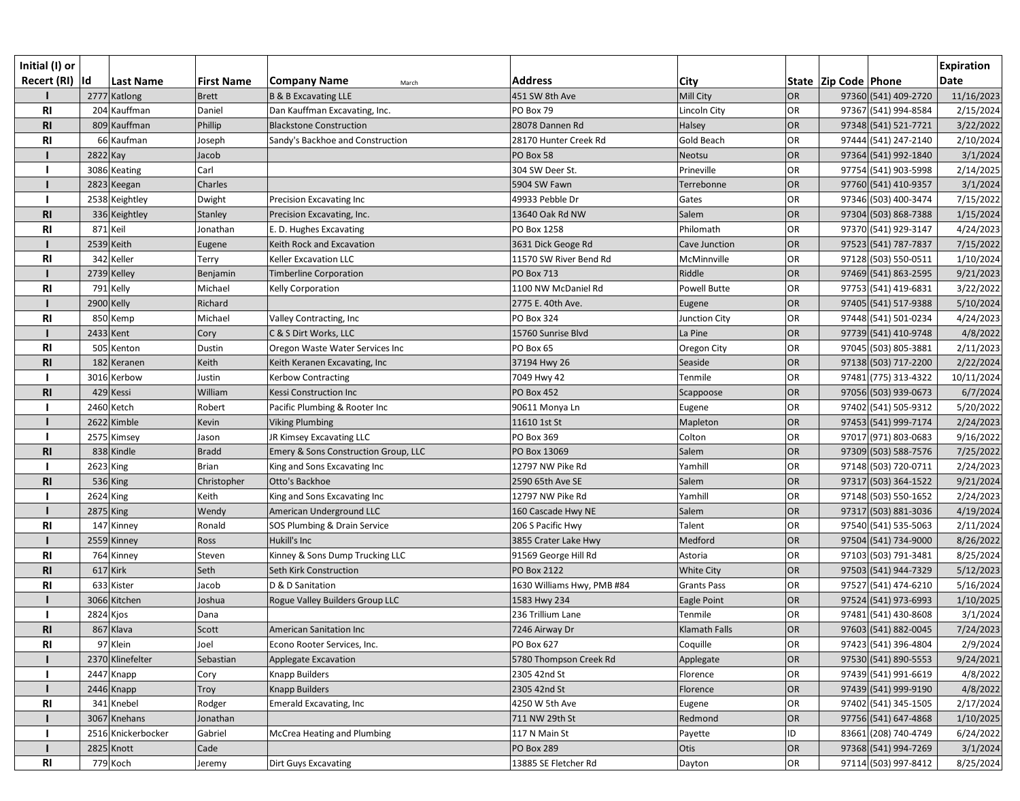| Initial (I) or<br>Recert (RI)  Id |           | <b>Last Name</b>   | <b>First Name</b> | <b>Company Name</b><br>March         | <b>Address</b>             | <b>City</b>          |           | State  Zip Code  Phone | <b>Expiration</b><br><b>Date</b> |
|-----------------------------------|-----------|--------------------|-------------------|--------------------------------------|----------------------------|----------------------|-----------|------------------------|----------------------------------|
|                                   |           | 2777 Katlong       | <b>Brett</b>      | <b>B &amp; B Excavating LLE</b>      | 451 SW 8th Ave             | Mill City            | <b>OR</b> | 97360 (541) 409-2720   | 11/16/2023                       |
| R <sub>l</sub>                    |           | 204 Kauffman       | Daniel            | Dan Kauffman Excavating, Inc.        | PO Box 79                  | Lincoln City         | OR        | 97367 (541) 994-8584   | 2/15/2024                        |
| R <sub>l</sub>                    |           | 809 Kauffman       | Phillip           | <b>Blackstone Construction</b>       | 28078 Dannen Rd            | Halsey               | OR        | 97348 (541) 521-7721   | 3/22/2022                        |
| R <sub>l</sub>                    |           | 66 Kaufman         | Joseph            | Sandy's Backhoe and Construction     | 28170 Hunter Creek Rd      | Gold Beach           | <b>OR</b> | 97444 (541) 247-2140   | 2/10/2024                        |
|                                   | 2822 Kay  |                    | Jacob             |                                      | PO Box 58                  | Neotsu               | <b>OR</b> | 97364 (541) 992-1840   | 3/1/2024                         |
|                                   |           | 3086 Keating       | Carl              |                                      | 304 SW Deer St.            | Prineville           | <b>OR</b> | 97754 (541) 903-5998   | 2/14/2025                        |
|                                   |           | 2823 Keegan        | Charles           |                                      | 5904 SW Fawn               | Terrebonne           | <b>OR</b> | 97760 (541) 410-9357   | 3/1/2024                         |
|                                   |           | 2538 Keightley     | Dwight            | Precision Excavating Inc             | 49933 Pebble Dr            | Gates                | <b>OR</b> | 97346 (503) 400-3474   | 7/15/2022                        |
| <b>RI</b>                         |           | 336 Keightley      | Stanley           | Precision Excavating, Inc.           | 13640 Oak Rd NW            | Salem                | OR        | 97304 (503) 868-7388   | 1/15/2024                        |
| R <sub>l</sub>                    | 871 Keil  |                    | Jonathan          | E. D. Hughes Excavating              | PO Box 1258                | Philomath            | <b>OR</b> | 97370 (541) 929-3147   | 4/24/2023                        |
|                                   |           | 2539 Keith         | Eugene            | Keith Rock and Excavation            | 3631 Dick Geoge Rd         | Cave Junction        | OR        | 97523 (541) 787-7837   | 7/15/2022                        |
| R <sub>l</sub>                    |           | 342 Keller         | Terry             | Keller Excavation LLC                | 11570 SW River Bend Rd     | McMinnville          | <b>OR</b> | 97128 (503) 550-0511   | 1/10/2024                        |
|                                   |           | 2739 Kelley        | Benjamin          | <b>Timberline Corporation</b>        | <b>PO Box 713</b>          | Riddle               | <b>OR</b> | 97469 (541) 863-2595   | 9/21/2023                        |
| R <sub>l</sub>                    |           | 791 Kelly          | Michael           | Kelly Corporation                    | 1100 NW McDaniel Rd        | <b>Powell Butte</b>  | <b>OR</b> | 97753 (541) 419-6831   | 3/22/2022                        |
|                                   |           | 2900 Kelly         | Richard           |                                      | 2775 E. 40th Ave.          | Eugene               | <b>OR</b> | 97405 (541) 517-9388   | 5/10/2024                        |
| R <sub>l</sub>                    |           | 850 Kemp           | Michael           | Valley Contracting, Inc              | <b>PO Box 324</b>          | <b>Junction City</b> | OR        | 97448 (541) 501-0234   | 4/24/2023                        |
|                                   | 2433 Kent |                    | Cory              | C & S Dirt Works, LLC                | 15760 Sunrise Blvd         | La Pine              | <b>OR</b> | 97739 (541) 410-9748   | 4/8/2022                         |
| R <sub>l</sub>                    |           | 505 Kenton         | Dustin            | Oregon Waste Water Services Inc      | PO Box 65                  | Oregon City          | <b>OR</b> | 97045 (503) 805-3881   | 2/11/2023                        |
| <b>RI</b>                         |           | 182 Keranen        | Keith             | Keith Keranen Excavating, Inc        | 37194 Hwy 26               | Seaside              | OR        | 97138 (503) 717-2200   | 2/22/2024                        |
|                                   |           | 3016 Kerbow        | Justin            | <b>Kerbow Contracting</b>            | 7049 Hwy 42                | Tenmile              | <b>OR</b> | 97481 (775) 313-4322   | 10/11/2024                       |
| R1                                |           | 429 Kessi          | William           | Kessi Construction Inc               | <b>PO Box 452</b>          | Scappoose            | <b>OR</b> | 97056 (503) 939-0673   | 6/7/2024                         |
|                                   |           | 2460 Ketch         | Robert            | Pacific Plumbing & Rooter Inc        | 90611 Monya Ln             | Eugene               | <b>OR</b> | 97402 (541) 505-9312   | 5/20/2022                        |
|                                   |           | 2622 Kimble        | Kevin             | <b>Viking Plumbing</b>               | 11610 1st St               | Mapleton             | <b>OR</b> | 97453 (541) 999-7174   | 2/24/2023                        |
|                                   |           | 2575 Kimsey        | Jason             | JR Kimsey Excavating LLC             | PO Box 369                 | Colton               | <b>OR</b> | 97017 (971) 803-0683   | 9/16/2022                        |
| <b>RI</b>                         |           | 838 Kindle         | <b>Bradd</b>      | Emery & Sons Construction Group, LLC | PO Box 13069               | Salem                | <b>OR</b> | 97309 (503) 588-7576   | 7/25/2022                        |
|                                   | 2623 King |                    | <b>Brian</b>      | King and Sons Excavating Inc         | 12797 NW Pike Rd           | Yamhill              | <b>OR</b> | 97148 (503) 720-0711   | 2/24/2023                        |
| R1                                |           | 536 King           | Christopher       | Otto's Backhoe                       | 2590 65th Ave SE           | Salem                | OR        | 97317 (503) 364-1522   | 9/21/2024                        |
|                                   | 2624 King |                    | Keith             | King and Sons Excavating Inc         | 12797 NW Pike Rd           | Yamhill              | <b>OR</b> | 97148 (503) 550-1652   | 2/24/2023                        |
|                                   | 2875 King |                    | Wendy             | American Underground LLC             | 160 Cascade Hwy NE         | Salem                | OR        | 97317 (503) 881-3036   | 4/19/2024                        |
| <b>RI</b>                         |           | 147 Kinney         | Ronald            | SOS Plumbing & Drain Service         | 206 S Pacific Hwy          | Talent               | <b>OR</b> | 97540 (541) 535-5063   | 2/11/2024                        |
|                                   |           | 2559 Kinney        | Ross              | Hukill's Inc                         | 3855 Crater Lake Hwy       | Medford              | OR        | 97504 (541) 734-9000   | 8/26/2022                        |
| <b>RI</b>                         |           | 764 Kinney         | Steven            | Kinney & Sons Dump Trucking LLC      | 91569 George Hill Rd       | Astoria              | <b>OR</b> | 97103 (503) 791-3481   | 8/25/2024                        |
| <b>RI</b>                         |           | $617$ Kirk         | Seth              | Seth Kirk Construction               | <b>PO Box 2122</b>         | White City           | OR        | 97503 (541) 944-7329   | 5/12/2023                        |
| R <sub>l</sub>                    |           | 633 Kister         | Jacob             | D & D Sanitation                     | 1630 Williams Hwy, PMB #84 | <b>Grants Pass</b>   | <b>OR</b> | 97527 (541) 474-6210   | 5/16/2024                        |
|                                   |           | 3066 Kitchen       | Joshua            | Rogue Valley Builders Group LLC      | 1583 Hwy 234               | Eagle Point          | <b>OR</b> | 97524 (541) 973-6993   | 1/10/2025                        |
|                                   | 2824 Kjos |                    | Dana              |                                      | 236 Trillium Lane          | Tenmile              | <b>OR</b> | 97481 (541) 430-8608   | 3/1/2024                         |
| R <sub>l</sub>                    |           | 867 Klava          | Scott             | <b>American Sanitation Inc</b>       | 7246 Airway Dr             | Klamath Falls        | <b>OR</b> | 97603 (541) 882-0045   | 7/24/2023                        |
| <b>RI</b>                         |           | 97 Klein           | Joel              | Econo Rooter Services, Inc.          | PO Box 627                 | Coquille             | <b>OR</b> | 97423 (541) 396-4804   | 2/9/2024                         |
|                                   |           | 2370 Klinefelter   | Sebastian         | <b>Applegate Excavation</b>          | 5780 Thompson Creek Rd     | Applegate            | OR        | 97530 (541) 890-5553   | 9/24/2021                        |
|                                   |           | 2447 Knapp         | Cory              | Knapp Builders                       | 2305 42nd St               | Florence             | <b>OR</b> | 97439 (541) 991-6619   | 4/8/2022                         |
|                                   |           | 2446 Knapp         | Troy              | <b>Knapp Builders</b>                | 2305 42nd St               | Florence             | <b>OR</b> | 97439 (541) 999-9190   | 4/8/2022                         |
| <b>RI</b>                         |           | 341 Knebel         | Rodger            | <b>Emerald Excavating, Inc</b>       | 4250 W 5th Ave             | Eugene               | OR        | 97402 (541) 345-1505   | 2/17/2024                        |
|                                   |           | 3067 Knehans       | Jonathan          |                                      | 711 NW 29th St             | Redmond              | <b>OR</b> | 97756 (541) 647-4868   | 1/10/2025                        |
|                                   |           | 2516 Knickerbocker | Gabriel           | McCrea Heating and Plumbing          | 117 N Main St              | Payette              | ID        | 83661 (208) 740-4749   | 6/24/2022                        |
|                                   |           | 2825 Knott         | Cade              |                                      | <b>PO Box 289</b>          | Otis                 | <b>OR</b> | 97368 (541) 994-7269   | 3/1/2024                         |
| R <sub>l</sub>                    |           | 779 Koch           | Jeremy            | Dirt Guys Excavating                 | 13885 SE Fletcher Rd       | Dayton               | OR        | 97114 (503) 997-8412   | 8/25/2024                        |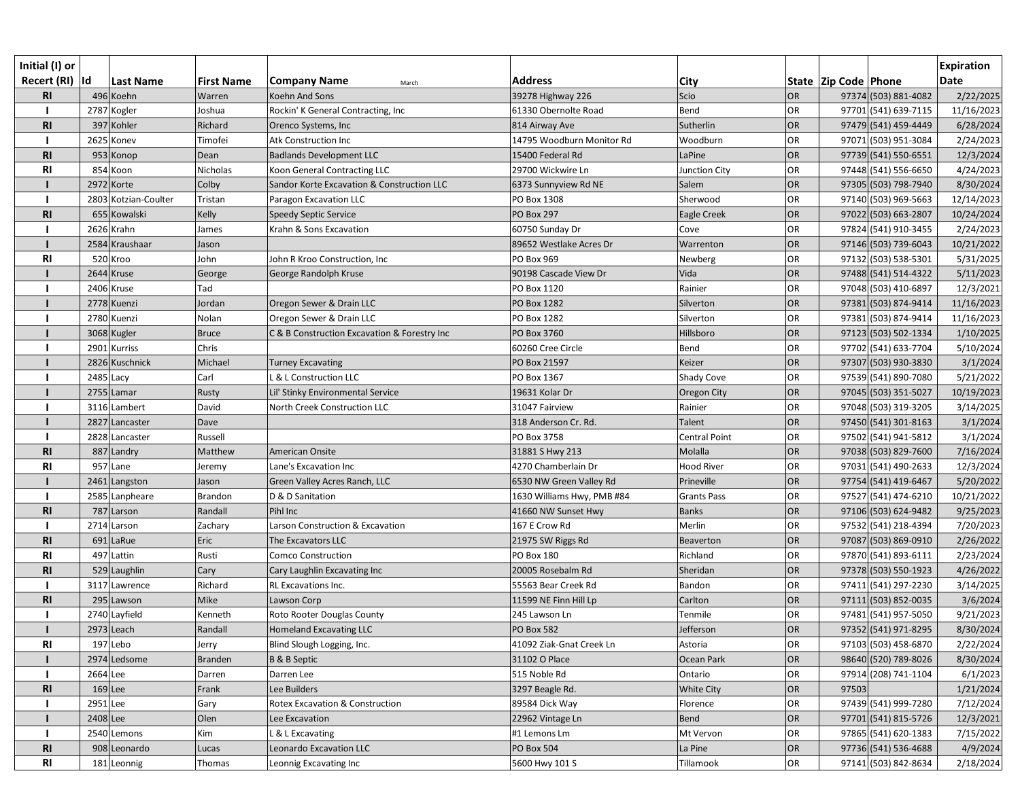| Initial (I) or  |                      |                   |                                              |                            |                    |           |                          |                      | <b>Expiration</b> |
|-----------------|----------------------|-------------------|----------------------------------------------|----------------------------|--------------------|-----------|--------------------------|----------------------|-------------------|
| Recert (RI)  Id | Last Name            | <b>First Name</b> | <b>Company Name</b><br>March                 | <b>Address</b>             | <b>City</b>        |           | State   Zip Code   Phone |                      | <b>Date</b>       |
| R <sub>l</sub>  | 496 Koehn            | Warren            | Koehn And Sons                               | 39278 Highway 226          | Scio               | <b>OR</b> |                          | 97374 (503) 881-4082 | 2/22/2025         |
|                 | 2787 Kogler          | Joshua            | Rockin' K General Contracting, Inc           | 61330 Obernolte Road       | Bend               | OR        |                          | 97701 (541) 639-7115 | 11/16/2023        |
| R <sub>l</sub>  | 397 Kohler           | Richard           | Orenco Systems, Inc                          | 814 Airway Ave             | Sutherlin          | OR        |                          | 97479 (541) 459-4449 | 6/28/2024         |
|                 | 2625 Konev           | Timofei           | Atk Construction Inc                         | 14795 Woodburn Monitor Rd  | Woodburn           | <b>OR</b> |                          | 97071 (503) 951-3084 | 2/24/2023         |
| <b>RI</b>       | 953 Konop            | Dean              | <b>Badlands Development LLC</b>              | 15400 Federal Rd           | LaPine             | <b>OR</b> |                          | 97739 (541) 550-6551 | 12/3/2024         |
| <b>RI</b>       | 854 Koon             | Nicholas          | Koon General Contracting LLC                 | 29700 Wickwire Ln          | Junction City      | <b>OR</b> |                          | 97448 (541) 556-6650 | 4/24/2023         |
|                 | 2972 Korte           | Colby             | Sandor Korte Excavation & Construction LLC   | 6373 Sunnyview Rd NE       | Salem              | OR        |                          | 97305 (503) 798-7940 | 8/30/2024         |
|                 | 2803 Kotzian-Coulter | Tristan           | Paragon Excavation LLC                       | PO Box 1308                | Sherwood           | <b>OR</b> |                          | 97140 (503) 969-5663 | 12/14/2023        |
| R <sub>l</sub>  | 655 Kowalski         | Kelly             | Speedy Septic Service                        | <b>PO Box 297</b>          | Eagle Creek        | OR        |                          | 97022 (503) 663-2807 | 10/24/2024        |
|                 | 2626 Krahn           | James             | Krahn & Sons Excavation                      | 60750 Sunday Dr            | Cove               | OR        |                          | 97824 (541) 910-3455 | 2/24/2023         |
|                 | 2584 Kraushaar       | Jason             |                                              | 89652 Westlake Acres Dr    | Warrenton          | OR        |                          | 97146 (503) 739-6043 | 10/21/2022        |
| <b>RI</b>       | 520 Kroo             | John              | John R Kroo Construction, Inc                | PO Box 969                 | Newberg            | OR        |                          | 97132 (503) 538-5301 | 5/31/2025         |
|                 | 2644 Kruse           | George            | George Randolph Kruse                        | 90198 Cascade View Dr      | Vida               | OR        |                          | 97488 (541) 514-4322 | 5/11/2023         |
|                 | 2406 Kruse           | Tad               |                                              | PO Box 1120                | Rainier            | <b>OR</b> |                          | 97048 (503) 410-6897 | 12/3/2021         |
|                 | 2778 Kuenzi          | Jordan            | Oregon Sewer & Drain LLC                     | PO Box 1282                | Silverton          | OR        |                          | 97381 (503) 874-9414 | 11/16/2023        |
|                 | 2780 Kuenzi          | Nolan             | Oregon Sewer & Drain LLC                     | PO Box 1282                | Silverton          | <b>OR</b> |                          | 97381 (503) 874-9414 | 11/16/2023        |
|                 | 3068 Kugler          | <b>Bruce</b>      | C & B Construction Excavation & Forestry Inc | PO Box 3760                | Hillsboro          | OR        |                          | 97123 (503) 502-1334 | 1/10/2025         |
|                 | 2901 Kurriss         | Chris             |                                              | 60260 Cree Circle          | Bend               | OR        |                          | 97702 (541) 633-7704 | 5/10/2024         |
|                 | 2826 Kuschnick       | Michael           | <b>Turney Excavating</b>                     | PO Box 21597               | Keizer             | OR        |                          | 97307 (503) 930-3830 | 3/1/2024          |
|                 | 2485 Lacy            | Carl              | & L Construction LLC                         | PO Box 1367                | Shady Cove         | OR        |                          | 97539 (541) 890-7080 | 5/21/2022         |
|                 | 2755 Lamar           | Rusty             | Lil' Stinky Environmental Service            | 19631 Kolar Dr             | Oregon City        | OR        |                          | 97045 (503) 351-5027 | 10/19/2023        |
|                 | 3116 Lambert         | David             | North Creek Construction LLC                 | 31047 Fairview             | Rainier            | <b>OR</b> |                          | 97048 (503) 319-3205 | 3/14/2025         |
|                 | 2827 Lancaster       | Dave              |                                              | 318 Anderson Cr. Rd.       | Talent             | <b>OR</b> |                          | 97450 (541) 301-8163 | 3/1/2024          |
|                 | 2828 Lancaster       | Russell           |                                              | PO Box 3758                | Central Point      | <b>OR</b> |                          | 97502 (541) 941-5812 | 3/1/2024          |
| <b>RI</b>       | 887 Landry           | Matthew           | American Onsite                              | 31881 S Hwy 213            | Molalla            | OR        |                          | 97038 (503) 829-7600 | 7/16/2024         |
| <b>RI</b>       | 957 Lane             | Jeremy            | Lane's Excavation Inc                        | 4270 Chamberlain Dr        | <b>Hood River</b>  | <b>OR</b> |                          | 97031 (541) 490-2633 | 12/3/2024         |
|                 | 2461 Langston        | Jason             | Green Valley Acres Ranch, LLC                | 6530 NW Green Valley Rd    | Prineville         | OR        |                          | 97754 (541) 419-6467 | 5/20/2022         |
|                 | 2585 Lanpheare       | Brandon           | D & D Sanitation                             | 1630 Williams Hwy, PMB #84 | <b>Grants Pass</b> | <b>OR</b> |                          | 97527 (541) 474-6210 | 10/21/2022        |
| <b>RI</b>       | 787 Larson           | Randall           | Pihl Inc                                     | 41660 NW Sunset Hwy        | <b>Banks</b>       | OR        |                          | 97106 (503) 624-9482 | 9/25/2023         |
|                 | 2714 Larson          | Zachary           | Larson Construction & Excavation             | 167 E Crow Rd              | Merlin             | <b>OR</b> |                          | 97532 (541) 218-4394 | 7/20/2023         |
| <b>RI</b>       | $691$ LaRue          | Eric              | The Excavators LLC                           | 21975 SW Riggs Rd          | Beaverton          | OR        |                          | 97087 (503) 869-0910 | 2/26/2022         |
| <b>RI</b>       | 497 Lattin           | Rusti             | <b>Comco Construction</b>                    | <b>PO Box 180</b>          | Richland           | OR        |                          | 97870 (541) 893-6111 | 2/23/2024         |
| <b>RI</b>       | 529 Laughlin         | Cary              | Cary Laughlin Excavating Inc                 | 20005 Rosebalm Rd          | Sheridan           | OR        |                          | 97378 (503) 550-1923 | 4/26/2022         |
|                 | 3117 Lawrence        | Richard           | RL Excavations Inc.                          | 55563 Bear Creek Rd        | Bandon             | <b>OR</b> |                          | 97411 (541) 297-2230 | 3/14/2025         |
| <b>RI</b>       | 295 Lawson           | Mike              | Lawson Corp                                  | 11599 NE Finn Hill Lp      | Carlton            | OR        |                          | 97111 (503) 852-0035 | 3/6/2024          |
|                 | 2740 Layfield        | Kenneth           | Roto Rooter Douglas County                   | 245 Lawson Ln              | Tenmile            | <b>OR</b> |                          | 97481 (541) 957-5050 | 9/21/2023         |
|                 | $2973$ Leach         | Randall           | <b>Homeland Excavating LLC</b>               | <b>PO Box 582</b>          | Jefferson          | OR        |                          | 97352 (541) 971-8295 | 8/30/2024         |
| <b>RI</b>       | 197 Lebo             | Jerry             | Blind Slough Logging, Inc.                   | 41092 Ziak-Gnat Creek Ln   | Astoria            | <b>OR</b> |                          | 97103 (503) 458-6870 | 2/22/2024         |
|                 | 2974 Ledsome         | <b>Branden</b>    | <b>B &amp; B Septic</b>                      | 31102 O Place              | Ocean Park         | OR        |                          | 98640 (520) 789-8026 | 8/30/2024         |
|                 | 2664 Lee             | Darren            | Darren Lee                                   | 515 Noble Rd               | Ontario            | <b>OR</b> |                          | 97914 (208) 741-1104 | 6/1/2023          |
| R <sub>l</sub>  | $169$ Lee            | Frank             | Lee Builders                                 | 3297 Beagle Rd.            | <b>White City</b>  | OR        | 97503                    |                      | 1/21/2024         |
|                 | 2951 Lee             | Gary              | Rotex Excavation & Construction              | 89584 Dick Way             | Florence           | <b>OR</b> |                          | 97439 (541) 999-7280 | 7/12/2024         |
|                 | $2408$ Lee           | Olen              | Lee Excavation                               | 22962 Vintage Ln           | <b>Bend</b>        | OR        |                          | 97701 (541) 815-5726 | 12/3/2021         |
|                 | 2540 Lemons          | Kim               | L & L Excavating                             | #1 Lemons Lm               | Mt Vervon          | <b>OR</b> |                          | 97865 (541) 620-1383 | 7/15/2022         |
| R <sub>l</sub>  | 908 Leonardo         | Lucas             | Leonardo Excavation LLC                      | <b>PO Box 504</b>          | La Pine            | OR        |                          | 97736 (541) 536-4688 | 4/9/2024          |
| <b>RI</b>       | 181 Leonnig          | Thomas            | Leonnig Excavating Inc                       | 5600 Hwy 101 S             | Tillamook          | OR        |                          | 97141 (503) 842-8634 | 2/18/2024         |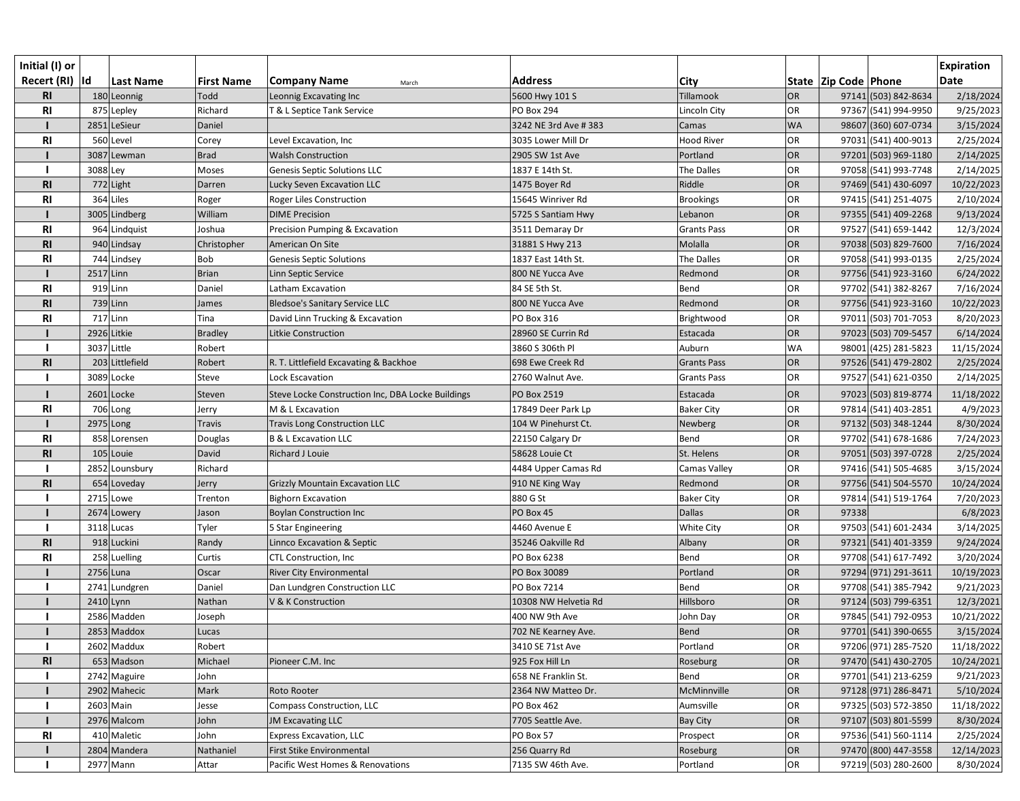| Initial (I) or  |             |                  |                   |                                                   |                      |                    |           |                          |                      | <b>Expiration</b> |
|-----------------|-------------|------------------|-------------------|---------------------------------------------------|----------------------|--------------------|-----------|--------------------------|----------------------|-------------------|
| Recert (RI)  Id |             | <b>Last Name</b> | <b>First Name</b> | <b>Company Name</b><br>March                      | <b>Address</b>       | City               |           | State   Zip Code   Phone |                      | <b>Date</b>       |
| R1              |             | 180 Leonnig      | Todd              | Leonnig Excavating Inc                            | 5600 Hwy 101 S       | Tillamook          | OR        |                          | 97141 (503) 842-8634 | 2/18/2024         |
| <b>RI</b>       |             | 875 Lepley       | Richard           | T & L Septice Tank Service                        | PO Box 294           | Lincoln City       | OR        |                          | 97367 (541) 994-9950 | 9/25/2023         |
|                 |             | 2851 LeSieur     | Daniel            |                                                   | 3242 NE 3rd Ave #383 | Camas              | <b>WA</b> |                          | 98607 (360) 607-0734 | 3/15/2024         |
| <b>RI</b>       |             | 560 Level        | Corey             | Level Excavation, Inc                             | 3035 Lower Mill Dr   | <b>Hood River</b>  | OR        |                          | 97031 (541) 400-9013 | 2/25/2024         |
|                 |             | 3087 Lewman      | <b>Brad</b>       | <b>Walsh Construction</b>                         | 2905 SW 1st Ave      | Portland           | OR        |                          | 97201 (503) 969-1180 | 2/14/2025         |
|                 | 3088 Ley    |                  | Moses             | <b>Genesis Septic Solutions LLC</b>               | 1837 E 14th St.      | The Dalles         | <b>OR</b> |                          | 97058 (541) 993-7748 | 2/14/2025         |
| R <sub>l</sub>  |             | 772 Light        | Darren            | Lucky Seven Excavation LLC                        | 1475 Boyer Rd        | Riddle             | OR        |                          | 97469 (541) 430-6097 | 10/22/2023        |
| <b>RI</b>       |             | 364 Liles        | Roger             | Roger Liles Construction                          | 15645 Winriver Rd    | <b>Brookings</b>   | OR        |                          | 97415 (541) 251-4075 | 2/10/2024         |
|                 |             | 3005 Lindberg    | William           | <b>DIME Precision</b>                             | 5725 S Santiam Hwy   | Lebanon            | OR        |                          | 97355 (541) 409-2268 | 9/13/2024         |
| <b>RI</b>       |             | 964 Lindquist    | Joshua            | Precision Pumping & Excavation                    | 3511 Demaray Dr      | <b>Grants Pass</b> | OR        |                          | 97527 (541) 659-1442 | 12/3/2024         |
| R <sub>l</sub>  |             | 940 Lindsay      | Christopher       | American On Site                                  | 31881 S Hwy 213      | Molalla            | OR        |                          | 97038 (503) 829-7600 | 7/16/2024         |
| R <sub>l</sub>  |             | 744 Lindsey      | Bob               | <b>Genesis Septic Solutions</b>                   | 1837 East 14th St.   | The Dalles         | OR        |                          | 97058 (541) 993-0135 | 2/25/2024         |
|                 | $2517$ Linn |                  | <b>Brian</b>      | Linn Septic Service                               | 800 NE Yucca Ave     | Redmond            | OR        |                          | 97756 (541) 923-3160 | 6/24/2022         |
| R <sub>l</sub>  |             | $919$ Linn       | Daniel            | Latham Excavation                                 | 84 SE 5th St.        | Bend               | <b>OR</b> |                          | 97702 (541) 382-8267 | 7/16/2024         |
| R <sub>l</sub>  |             | $739$ Linn       | James             | Bledsoe's Sanitary Service LLC                    | 800 NE Yucca Ave     | Redmond            | OR        |                          | 97756 (541) 923-3160 | 10/22/2023        |
| <b>RI</b>       |             | 717 Linn         | Tina              | David Linn Trucking & Excavation                  | PO Box 316           | Brightwood         | OR        |                          | 97011 (503) 701-7053 | 8/20/2023         |
|                 |             | 2926 Litkie      | <b>Bradley</b>    | Litkie Construction                               | 28960 SE Currin Rd   | Estacada           | OR        |                          | 97023 (503) 709-5457 | 6/14/2024         |
|                 | 3037 Little |                  | Robert            |                                                   | 3860 S 306th Pl      | Auburn             | <b>WA</b> |                          | 98001 (425) 281-5823 | 11/15/2024        |
| R1              |             | 203 Littlefield  | Robert            | R. T. Littlefield Excavating & Backhoe            | 698 Ewe Creek Rd     | <b>Grants Pass</b> | OR        |                          | 97526 (541) 479-2802 | 2/25/2024         |
|                 |             | 3089 Locke       | Steve             | <b>Lock Escavation</b>                            | 2760 Walnut Ave.     | <b>Grants Pass</b> | OR        |                          | 97527 (541) 621-0350 | 2/14/2025         |
|                 |             | 2601 Locke       | Steven            | Steve Locke Construction Inc, DBA Locke Buildings | PO Box 2519          | Estacada           | OR        |                          | 97023 (503) 819-8774 | 11/18/2022        |
| <b>RI</b>       |             | 706 Long         | Jerry             | M & L Excavation                                  | 17849 Deer Park Lp   | <b>Baker City</b>  | <b>OR</b> |                          | 97814 (541) 403-2851 | 4/9/2023          |
|                 | 2975 Long   |                  | <b>Travis</b>     | <b>Travis Long Construction LLC</b>               | 104 W Pinehurst Ct.  | Newberg            | OR        |                          | 97132 (503) 348-1244 | 8/30/2024         |
| <b>RI</b>       |             | 858 Lorensen     | Douglas           | B & L Excavation LLC                              | 22150 Calgary Dr     | Bend               | <b>OR</b> |                          | 97702 (541) 678-1686 | 7/24/2023         |
| R1              |             | 105 Louie        | David             | Richard J Louie                                   | 58628 Louie Ct       | St. Helens         | OR        |                          | 97051 (503) 397-0728 | 2/25/2024         |
|                 |             | 2852 Lounsbury   | Richard           |                                                   | 4484 Upper Camas Rd  | Camas Valley       | OR        |                          | 97416 (541) 505-4685 | 3/15/2024         |
| R1              |             | 654 Loveday      | Jerry             | <b>Grizzly Mountain Excavation LLC</b>            | 910 NE King Way      | Redmond            | OR        |                          | 97756 (541) 504-5570 | 10/24/2024        |
|                 |             | 2715 Lowe        | Trenton           | <b>Bighorn Excavation</b>                         | 880 G St             | <b>Baker City</b>  | OR        |                          | 97814 (541) 519-1764 | 7/20/2023         |
|                 |             | 2674 Lowery      | Jason             | Boylan Construction Inc                           | PO Box 45            | <b>Dallas</b>      | OR        | 97338                    |                      | 6/8/2023          |
|                 |             | 3118 Lucas       | Tyler             | 5 Star Engineering                                | 4460 Avenue E        | White City         | OR        |                          | 97503 (541) 601-2434 | 3/14/2025         |
| R1              |             | 918 Luckini      | Randy             | <b>Linnco Excavation &amp; Septic</b>             | 35246 Oakville Rd    | Albany             | OR        |                          | 97321 (541) 401-3359 | 9/24/2024         |
| R <sub>l</sub>  |             | 258 Luelling     | Curtis            | <b>CTL Construction, Inc</b>                      | PO Box 6238          | Bend               | <b>OR</b> |                          | 97708 (541) 617-7492 | 3/20/2024         |
|                 | $2756$ Luna |                  | Oscar             | <b>River City Environmental</b>                   | PO Box 30089         | Portland           | OR        |                          | 97294 (971) 291-3611 | 10/19/2023        |
|                 |             | 2741 Lundgren    | Daniel            | Dan Lundgren Construction LLC                     | PO Box 7214          | Bend               | OR        |                          | 97708 (541) 385-7942 | 9/21/2023         |
|                 | $2410$ Lynn |                  | Nathan            | V & K Construction                                | 10308 NW Helvetia Rd | Hillsboro          | OR        |                          | 97124 (503) 799-6351 | 12/3/2021         |
|                 |             | 2586 Madden      | Joseph            |                                                   | 400 NW 9th Ave       | John Day           | <b>OR</b> |                          | 97845 (541) 792-0953 | 10/21/2022        |
|                 |             | 2853 Maddox      | Lucas             |                                                   | 702 NE Kearney Ave.  | <b>Bend</b>        | OR        |                          | 97701 (541) 390-0655 | 3/15/2024         |
|                 |             | 2602 Maddux      | Robert            |                                                   | 3410 SE 71st Ave     | Portland           | <b>OR</b> |                          | 97206 (971) 285-7520 | 11/18/2022        |
| <b>RI</b>       |             | 653 Madson       | Michael           | Pioneer C.M. Inc                                  | 925 Fox Hill Ln      | Roseburg           | OR        |                          | 97470 (541) 430-2705 | 10/24/2021        |
|                 |             | 2742 Maguire     | John              |                                                   | 658 NE Franklin St.  | Bend               | OR        |                          | 97701 (541) 213-6259 | 9/21/2023         |
|                 |             | 2902 Mahecic     | Mark              | Roto Rooter                                       | 2364 NW Matteo Dr.   | McMinnville        | OR        |                          | 97128 (971) 286-8471 | 5/10/2024         |
|                 |             | 2603 Main        | Jesse             | <b>Compass Construction, LLC</b>                  | <b>PO Box 462</b>    | Aumsville          | OR        |                          | 97325 (503) 572-3850 | 11/18/2022        |
|                 |             | 2976 Malcom      | John              | <b>JM Excavating LLC</b>                          | 7705 Seattle Ave.    | Bay City           | OR        |                          | 97107 (503) 801-5599 | 8/30/2024         |
| R <sub>l</sub>  |             | 410 Maletic      | John              | Express Excavation, LLC                           | PO Box 57            | Prospect           | OR        |                          | 97536 (541) 560-1114 | 2/25/2024         |
|                 |             | 2804 Mandera     | Nathaniel         | First Stike Environmental                         | 256 Quarry Rd        | Roseburg           | OR        |                          | 97470 (800) 447-3558 | 12/14/2023        |
|                 |             | 2977 Mann        | Attar             | Pacific West Homes & Renovations                  | 7135 SW 46th Ave.    | Portland           | OR        |                          | 97219 (503) 280-2600 | 8/30/2024         |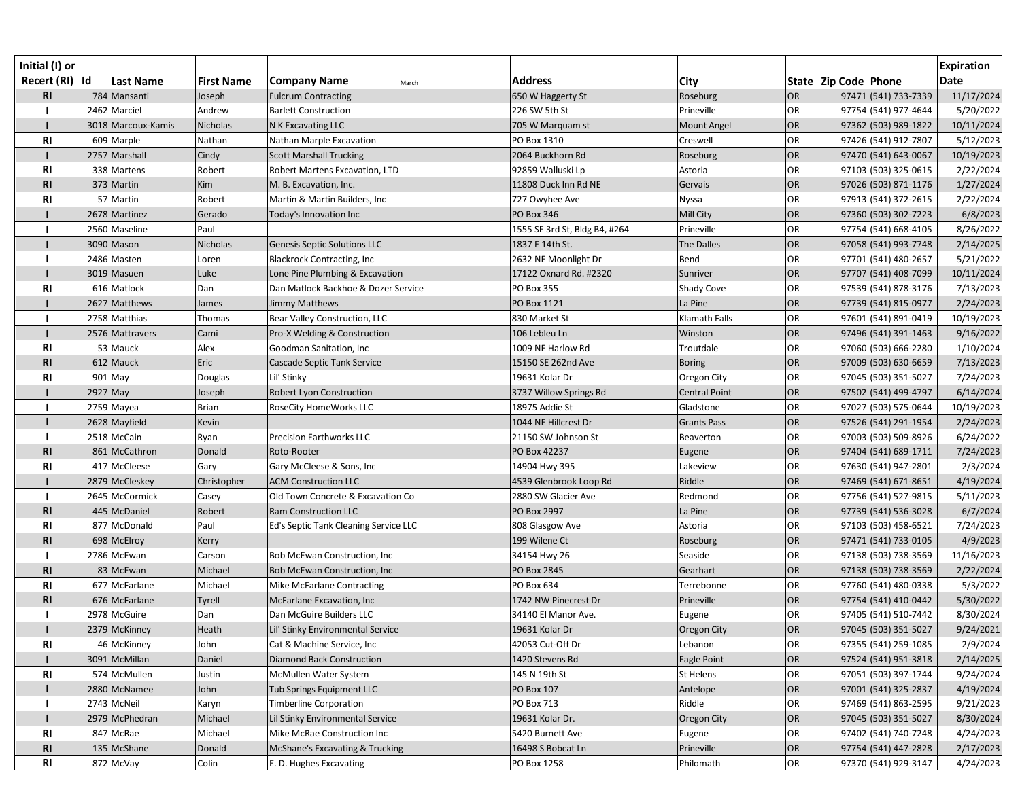| Initial (I) or  |          |                    |                   |                                       |                               |                      |           |                      |                      | <b>Expiration</b> |
|-----------------|----------|--------------------|-------------------|---------------------------------------|-------------------------------|----------------------|-----------|----------------------|----------------------|-------------------|
| Recert (RI)  Id |          | <b>Last Name</b>   | <b>First Name</b> | Company Name<br>March                 | <b>Address</b>                | City                 |           | State Zip Code Phone |                      | <b>Date</b>       |
| R1              |          | 784 Mansanti       | Joseph            | <b>Fulcrum Contracting</b>            | 650 W Haggerty St             | Roseburg             | OR        |                      | 97471 (541) 733-7339 | 11/17/2024        |
|                 |          | 2462 Marciel       | Andrew            | <b>Barlett Construction</b>           | 226 SW 5th St                 | Prineville           | OR        |                      | 97754 (541) 977-4644 | 5/20/2022         |
|                 |          | 3018 Marcoux-Kamis | Nicholas          | N K Excavating LLC                    | 705 W Marquam st              | <b>Mount Angel</b>   | OR        |                      | 97362 (503) 989-1822 | 10/11/2024        |
| <b>RI</b>       |          | 609 Marple         | Nathan            | Nathan Marple Excavation              | PO Box 1310                   | Creswell             | OR        |                      | 97426 (541) 912-7807 | 5/12/2023         |
|                 |          | 2757 Marshall      | Cindy             | <b>Scott Marshall Trucking</b>        | 2064 Buckhorn Rd              | Roseburg             | OR        |                      | 97470 (541) 643-0067 | 10/19/2023        |
| <b>RI</b>       |          | 338 Martens        | Robert            | Robert Martens Excavation, LTD        | 92859 Walluski Lp             | Astoria              | OR        |                      | 97103 (503) 325-0615 | 2/22/2024         |
| R <sub>l</sub>  |          | 373 Martin         | Kim               | M. B. Excavation, Inc.                | 11808 Duck Inn Rd NE          | Gervais              | OR        |                      | 97026 (503) 871-1176 | 1/27/2024         |
| <b>RI</b>       |          | 57 Martin          | Robert            | Martin & Martin Builders, Inc         | 727 Owyhee Ave                | Nyssa                | OR        |                      | 97913 (541) 372-2615 | 2/22/2024         |
|                 |          | 2678 Martinez      | Gerado            | Today's Innovation Inc                | PO Box 346                    | Mill City            | OR        |                      | 97360 (503) 302-7223 | 6/8/2023          |
|                 |          | 2560 Maseline      | Paul              |                                       | 1555 SE 3rd St, Bldg B4, #264 | Prineville           | OR        |                      | 97754 (541) 668-4105 | 8/26/2022         |
|                 |          | 3090 Mason         | Nicholas          | Genesis Septic Solutions LLC          | 1837 E 14th St.               | The Dalles           | OR        |                      | 97058 (541) 993-7748 | 2/14/2025         |
|                 |          | 2486 Masten        | Loren             | <b>Blackrock Contracting, Inc</b>     | 2632 NE Moonlight Dr          | Bend                 | OR        |                      | 97701 (541) 480-2657 | 5/21/2022         |
|                 |          | 3019 Masuen        | Luke              | Lone Pine Plumbing & Excavation       | 17122 Oxnard Rd. #2320        | Sunriver             | OR        |                      | 97707 (541) 408-7099 | 10/11/2024        |
| <b>RI</b>       |          | 616 Matlock        | Dan               | Dan Matlock Backhoe & Dozer Service   | <b>PO Box 355</b>             | Shady Cove           | OR        |                      | 97539 (541) 878-3176 | 7/13/2023         |
|                 |          | 2627 Matthews      | James             | Jimmy Matthews                        | PO Box 1121                   | La Pine              | OR        |                      | 97739 (541) 815-0977 | 2/24/2023         |
|                 |          | 2758 Matthias      | Thomas            | Bear Valley Construction, LLC         | 830 Market St                 | Klamath Falls        | OR        |                      | 97601 (541) 891-0419 | 10/19/2023        |
|                 |          | 2576 Mattravers    | Cami              | Pro-X Welding & Construction          | 106 Lebleu Ln                 | Winston              | OR        |                      | 97496 (541) 391-1463 | 9/16/2022         |
| <b>RI</b>       |          | 53 Mauck           | Alex              | Goodman Sanitation, Inc               | 1009 NE Harlow Rd             | Troutdale            | <b>OR</b> |                      | 97060 (503) 666-2280 | 1/10/2024         |
| R1              |          | 612 Mauck          | Eric              | Cascade Septic Tank Service           | 15150 SE 262nd Ave            | <b>Boring</b>        | OR        |                      | 97009 (503) 630-6659 | 7/13/2023         |
| R <sub>l</sub>  |          | $901$ May          | Douglas           | Lil' Stinky                           | 19631 Kolar Dr                | Oregon City          | OR        |                      | 97045 (503) 351-5027 | 7/24/2023         |
|                 | 2927 May |                    | Joseph            | Robert Lyon Construction              | 3737 Willow Springs Rd        | <b>Central Point</b> | OR        |                      | 97502 (541) 499-4797 | 6/14/2024         |
|                 |          | 2759 Mayea         | <b>Brian</b>      | RoseCity HomeWorks LLC                | 18975 Addie St                | Gladstone            | OR        |                      | 97027 (503) 575-0644 | 10/19/2023        |
|                 |          | 2628 Mayfield      | Kevin             |                                       | 1044 NE Hillcrest Dr          | <b>Grants Pass</b>   | OR        |                      | 97526 (541) 291-1954 | 2/24/2023         |
|                 |          | 2518 McCain        | Ryan              | <b>Precision Earthworks LLC</b>       | 21150 SW Johnson St           | Beaverton            | <b>OR</b> |                      | 97003 (503) 509-8926 | 6/24/2022         |
| R <sub>l</sub>  |          | 861 McCathron      | Donald            | Roto-Rooter                           | PO Box 42237                  | Eugene               | OR        |                      | 97404 (541) 689-1711 | 7/24/2023         |
| <b>RI</b>       |          | 417 McCleese       | Gary              | Gary McCleese & Sons, Inc             | 14904 Hwy 395                 | Lakeview             | OR        |                      | 97630 (541) 947-2801 | 2/3/2024          |
|                 |          | 2879 McCleskey     | Christopher       | <b>ACM Construction LLC</b>           | 4539 Glenbrook Loop Rd        | Riddle               | OR        |                      | 97469 (541) 671-8651 | 4/19/2024         |
|                 |          | 2645 McCormick     | Casey             | Old Town Concrete & Excavation Co     | 2880 SW Glacier Ave           | Redmond              | OR        |                      | 97756 (541) 527-9815 | 5/11/2023         |
| <b>RI</b>       |          | 445 McDaniel       | Robert            | Ram Construction LLC                  | <b>PO Box 2997</b>            | La Pine              | OR        |                      | 97739 (541) 536-3028 | 6/7/2024          |
| R <sub>l</sub>  |          | 877 McDonald       | Paul              | Ed's Septic Tank Cleaning Service LLC | 808 Glasgow Ave               | Astoria              | OR        |                      | 97103 (503) 458-6521 | 7/24/2023         |
| R <sub>l</sub>  |          | 698 McElroy        | Kerry             |                                       | 199 Wilene Ct                 | Roseburg             | OR        |                      | 97471 (541) 733-0105 | 4/9/2023          |
|                 |          | 2786 McEwan        | Carson            | <b>Bob McEwan Construction, Inc.</b>  | 34154 Hwy 26                  | Seaside              | OR        |                      | 97138 (503) 738-3569 | 11/16/2023        |
| <b>RI</b>       |          | 83 McEwan          | Michael           | <b>Bob McEwan Construction, Inc.</b>  | PO Box 2845                   | Gearhart             | OR        |                      | 97138 (503) 738-3569 | 2/22/2024         |
| <b>RI</b>       |          | 677 McFarlane      | Michael           | Mike McFarlane Contracting            | PO Box 634                    | Terrebonne           | <b>OR</b> |                      | 97760 (541) 480-0338 | 5/3/2022          |
| <b>RI</b>       |          | 676 McFarlane      | Tyrell            | McFarlane Excavation, Inc             | 1742 NW Pinecrest Dr          | Prineville           | OR        |                      | 97754 (541) 410-0442 | 5/30/2022         |
|                 |          | 2978 McGuire       | Dan               | Dan McGuire Builders LLC              | 34140 El Manor Ave.           | Eugene               | OR        |                      | 97405 (541) 510-7442 | 8/30/2024         |
|                 |          | 2379 McKinney      | Heath             | Lil' Stinky Environmental Service     | 19631 Kolar Dr                | Oregon City          | OR        |                      | 97045 (503) 351-5027 | 9/24/2021         |
| <b>RI</b>       |          | 46 McKinney        | John              | Cat & Machine Service, Inc            | 42053 Cut-Off Dr              | Lebanon              | OR        |                      | 97355 (541) 259-1085 | 2/9/2024          |
|                 |          | 3091 McMillan      | Daniel            | <b>Diamond Back Construction</b>      | 1420 Stevens Rd               | Eagle Point          | OR        |                      | 97524 (541) 951-3818 | 2/14/2025         |
| <b>RI</b>       |          | 574 McMullen       | Justin            | McMullen Water System                 | 145 N 19th St                 | St Helens            | <b>OR</b> |                      | 97051 (503) 397-1744 | 9/24/2024         |
|                 |          | 2880 McNamee       | John              | Tub Springs Equipment LLC             | <b>PO Box 107</b>             | Antelope             | OR        |                      | 97001 (541) 325-2837 | 4/19/2024         |
|                 |          | 2743 McNeil        | Karyn             | <b>Timberline Corporation</b>         | PO Box 713                    | Riddle               | <b>OR</b> |                      | 97469 (541) 863-2595 | 9/21/2023         |
|                 |          | 2979 McPhedran     | Michael           | Lil Stinky Environmental Service      | 19631 Kolar Dr.               | Oregon City          | OR        |                      | 97045 (503) 351-5027 | 8/30/2024         |
| <b>RI</b>       |          | 847 McRae          | Michael           | Mike McRae Construction Inc           | 5420 Burnett Ave              | Eugene               | OR        |                      | 97402 (541) 740-7248 | 4/24/2023         |
| <b>RI</b>       |          | 135 McShane        | Donald            | McShane's Excavating & Trucking       | 16498 S Bobcat Ln             | Prineville           | OR        |                      | 97754 (541) 447-2828 | 2/17/2023         |
| <b>RI</b>       |          | 872 McVay          | Colin             | E. D. Hughes Excavating               | PO Box 1258                   | Philomath            | OR        |                      | 97370 (541) 929-3147 | 4/24/2023         |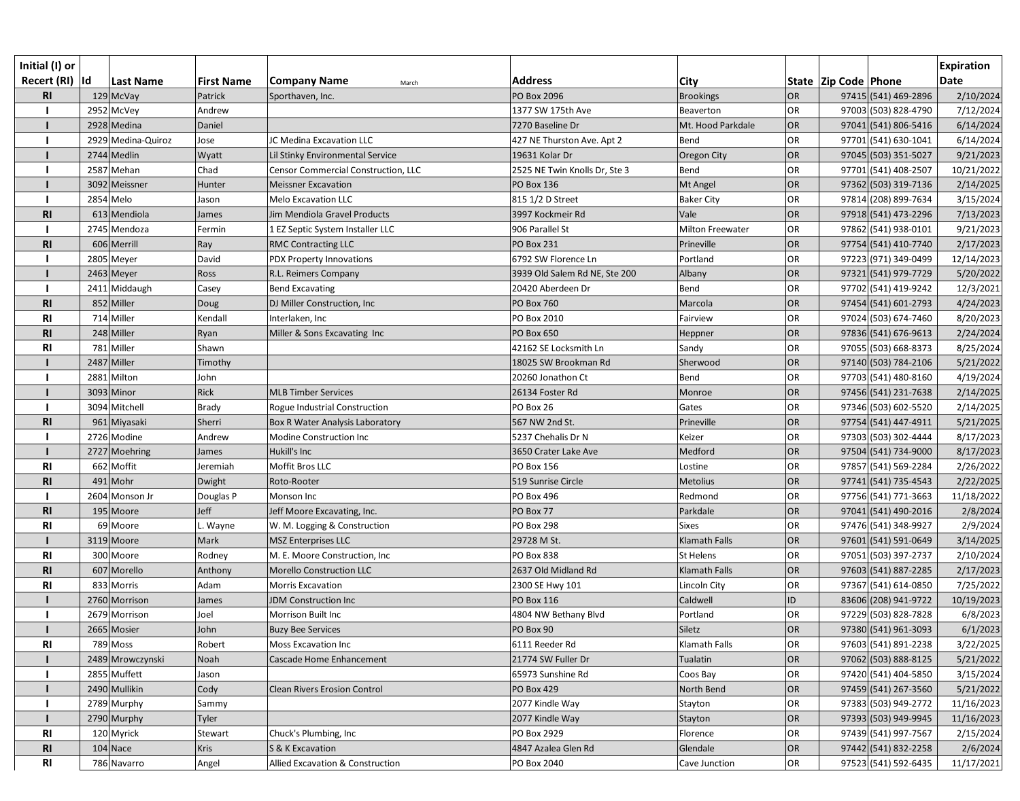| Initial (I) or  |           |                    |                   |                                     |                               |                         |           |                          |                      | <b>Expiration</b> |
|-----------------|-----------|--------------------|-------------------|-------------------------------------|-------------------------------|-------------------------|-----------|--------------------------|----------------------|-------------------|
| Recert (RI)  Id |           | Last Name          | <b>First Name</b> | <b>Company Name</b><br>March        | <b>Address</b>                | <b>City</b>             |           | State   Zip Code   Phone |                      | <b>Date</b>       |
| <b>RI</b>       |           | 129 McVay          | Patrick           | Sporthaven, Inc.                    | PO Box 2096                   | <b>Brookings</b>        | <b>OR</b> |                          | 97415 (541) 469-2896 | 2/10/2024         |
|                 |           | 2952 McVey         | Andrew            |                                     | 1377 SW 175th Ave             | Beaverton               | OR        |                          | 97003 (503) 828-4790 | 7/12/2024         |
|                 |           | 2928 Medina        | Daniel            |                                     | 7270 Baseline Dr              | Mt. Hood Parkdale       | <b>OR</b> |                          | 97041 (541) 806-5416 | 6/14/2024         |
|                 |           | 2929 Medina-Quiroz | Jose              | JC Medina Excavation LLC            | 427 NE Thurston Ave. Apt 2    | Bend                    | OR        |                          | 97701 (541) 630-1041 | 6/14/2024         |
|                 |           | 2744 Medlin        | Wyatt             | Lil Stinky Environmental Service    | 19631 Kolar Dr                | Oregon City             | OR        |                          | 97045 (503) 351-5027 | 9/21/2023         |
|                 |           | 2587 Mehan         | Chad              | Censor Commercial Construction, LLC | 2525 NE Twin Knolls Dr, Ste 3 | Bend                    | OR        |                          | 97701 (541) 408-2507 | 10/21/2022        |
|                 |           | 3092 Meissner      | Hunter            | <b>Meissner Excavation</b>          | <b>PO Box 136</b>             | Mt Angel                | OR        |                          | 97362 (503) 319-7136 | 2/14/2025         |
|                 | 2854 Melo |                    | Jason             | Melo Excavation LLC                 | 815 1/2 D Street              | <b>Baker City</b>       | OR        |                          | 97814 (208) 899-7634 | 3/15/2024         |
| R <sub>l</sub>  |           | 613 Mendiola       | James             | Jim Mendiola Gravel Products        | 3997 Kockmeir Rd              | Vale                    | <b>OR</b> |                          | 97918 (541) 473-2296 | 7/13/2023         |
|                 |           | 2745 Mendoza       | Fermin            | 1 EZ Septic System Installer LLC    | 906 Parallel St               | <b>Milton Freewater</b> | OR        |                          | 97862 (541) 938-0101 | 9/21/2023         |
| R <sub>l</sub>  |           | 606 Merrill        | Ray               | <b>RMC Contracting LLC</b>          | <b>PO Box 231</b>             | Prineville              | <b>OR</b> |                          | 97754 (541) 410-7740 | 2/17/2023         |
|                 |           | 2805 Meyer         | David             | PDX Property Innovations            | 6792 SW Florence Ln           | Portland                | OR        |                          | 97223 (971) 349-0499 | 12/14/2023        |
|                 |           | 2463 Meyer         | Ross              | R.L. Reimers Company                | 3939 Old Salem Rd NE, Ste 200 | Albany                  | OR        |                          | 97321 (541) 979-7729 | 5/20/2022         |
|                 |           | 2411 Middaugh      | Casey             | <b>Bend Excavating</b>              | 20420 Aberdeen Dr             | Bend                    | OR        |                          | 97702 (541) 419-9242 | 12/3/2021         |
| <b>RI</b>       |           | 852 Miller         | Doug              | DJ Miller Construction, Inc.        | <b>PO Box 760</b>             | Marcola                 | <b>OR</b> |                          | 97454 (541) 601-2793 | 4/24/2023         |
| <b>RI</b>       |           | 714 Miller         | Kendall           | Interlaken, Inc                     | PO Box 2010                   | Fairview                | OR        |                          | 97024 (503) 674-7460 | 8/20/2023         |
| R <sub>l</sub>  |           | 248 Miller         | Ryan              | Miller & Sons Excavating Inc        | PO Box 650                    | Heppner                 | OR        |                          | 97836 (541) 676-9613 | 2/24/2024         |
| R1              |           | 781 Miller         | Shawn             |                                     | 42162 SE Locksmith Ln         | Sandy                   | OR        |                          | 97055 (503) 668-8373 | 8/25/2024         |
|                 |           | 2487 Miller        | Timothy           |                                     | 18025 SW Brookman Rd          | Sherwood                | <b>OR</b> |                          | 97140 (503) 784-2106 | 5/21/2022         |
|                 |           | 2881 Milton        | John              |                                     | 20260 Jonathon Ct             | Bend                    | OR        |                          | 97703 (541) 480-8160 | 4/19/2024         |
|                 |           | 3093 Minor         | Rick              | MLB Timber Services                 | 26134 Foster Rd               | Monroe                  | OR        |                          | 97456 (541) 231-7638 | 2/14/2025         |
|                 |           | 3094 Mitchell      | Brady             | Rogue Industrial Construction       | PO Box 26                     | Gates                   | OR        |                          | 97346 (503) 602-5520 | 2/14/2025         |
| <b>RI</b>       |           | 961 Miyasaki       | Sherri            | Box R Water Analysis Laboratory     | 567 NW 2nd St.                | Prineville              | OR        |                          | 97754 (541) 447-4911 | 5/21/2025         |
|                 |           | 2726 Modine        | Andrew            | Modine Construction Inc             | 5237 Chehalis Dr N            | Keizer                  | OR        |                          | 97303 (503) 302-4444 | 8/17/2023         |
|                 |           | 2727 Moehring      | James             | Hukill's Inc                        | 3650 Crater Lake Ave          | Medford                 | OR        |                          | 97504 (541) 734-9000 | 8/17/2023         |
| R <sub>l</sub>  |           | 662 Moffit         | Jeremiah          | Moffit Bros LLC                     | PO Box 156                    | Lostine                 | OR        |                          | 97857 (541) 569-2284 | 2/26/2022         |
| R <sub>l</sub>  |           | $491$ Mohr         | Dwight            | Roto-Rooter                         | 519 Sunrise Circle            | Metolius                | <b>OR</b> |                          | 97741 (541) 735-4543 | 2/22/2025         |
|                 |           | 2604 Monson Jr     | Douglas P         | Monson Inc                          | PO Box 496                    | Redmond                 | OR        |                          | 97756 (541) 771-3663 | 11/18/2022        |
| <b>RI</b>       |           | 195 Moore          | Jeff              | Jeff Moore Excavating, Inc.         | PO Box 77                     | Parkdale                | OR        |                          | 97041 (541) 490-2016 | 2/8/2024          |
| <b>RI</b>       |           | 69 Moore           | Wayne             | W. M. Logging & Construction        | <b>PO Box 298</b>             | <b>Sixes</b>            | OR        |                          | 97476 (541) 348-9927 | 2/9/2024          |
|                 |           | 3119 Moore         | Mark              | MSZ Enterprises LLC                 | 29728 M St.                   | <b>Klamath Falls</b>    | OR        |                          | 97601 (541) 591-0649 | 3/14/2025         |
| <b>RI</b>       |           | 300 Moore          | Rodney            | M. E. Moore Construction, Inc.      | PO Box 838                    | St Helens               | OR        |                          | 97051 (503) 397-2737 | 2/10/2024         |
| <b>RI</b>       |           | 607 Morello        | Anthony           | <b>Morello Construction LLC</b>     | 2637 Old Midland Rd           | Klamath Falls           | OR        |                          | 97603 (541) 887-2285 | 2/17/2023         |
| <b>RI</b>       |           | 833 Morris         | Adam              | Morris Excavation                   | 2300 SE Hwy 101               | Lincoln City            | OR        |                          | 97367 (541) 614-0850 | 7/25/2022         |
|                 |           | 2760 Morrison      | James             | <b>JDM Construction Inc</b>         | PO Box 116                    | Caldwell                | ID        |                          | 83606 (208) 941-9722 | 10/19/2023        |
|                 |           | 2679 Morrison      | Joel              | Morrison Built Inc                  | 4804 NW Bethany Blvd          | Portland                | OR        |                          | 97229 (503) 828-7828 | 6/8/2023          |
|                 |           | 2665 Mosier        | John              | <b>Buzy Bee Services</b>            | PO Box 90                     | Siletz                  | OR        |                          | 97380 (541) 961-3093 | 6/1/2023          |
| R <sub>l</sub>  |           | 789 Moss           | Robert            | <b>Moss Excavation Inc</b>          | 6111 Reeder Rd                | Klamath Falls           | OR        |                          | 97603 (541) 891-2238 | 3/22/2025         |
|                 |           | 2489 Mrowczynski   | Noah              | Cascade Home Enhancement            | 21774 SW Fuller Dr            | Tualatin                | <b>OR</b> |                          | 97062 (503) 888-8125 | 5/21/2022         |
|                 |           | 2855 Muffett       | Jason             |                                     | 65973 Sunshine Rd             | Coos Bay                | OR        |                          | 97420 (541) 404-5850 | 3/15/2024         |
|                 |           | 2490 Mullikin      | Cody              | <b>Clean Rivers Erosion Control</b> | PO Box 429                    | North Bend              | OR        |                          | 97459 (541) 267-3560 | 5/21/2022         |
|                 |           | 2789 Murphy        | Sammy             |                                     | 2077 Kindle Way               | Stayton                 | OR        |                          | 97383 (503) 949-2772 | 11/16/2023        |
|                 |           | 2790 Murphy        | Tyler             |                                     | 2077 Kindle Way               | Stayton                 | OR        |                          | 97393 (503) 949-9945 | 11/16/2023        |
| R <sub>l</sub>  |           | 120 Myrick         | Stewart           | Chuck's Plumbing, Inc               | PO Box 2929                   | Florence                | OR        |                          | 97439 (541) 997-7567 | 2/15/2024         |
| <b>RI</b>       |           | $104$ Nace         | Kris              | S & K Excavation                    | 4847 Azalea Glen Rd           | Glendale                | OR        |                          | 97442 (541) 832-2258 | 2/6/2024          |
| <b>RI</b>       |           | 786 Navarro        | Angel             | Allied Excavation & Construction    | PO Box 2040                   | Cave Junction           | OR        |                          | 97523 (541) 592-6435 | 11/17/2021        |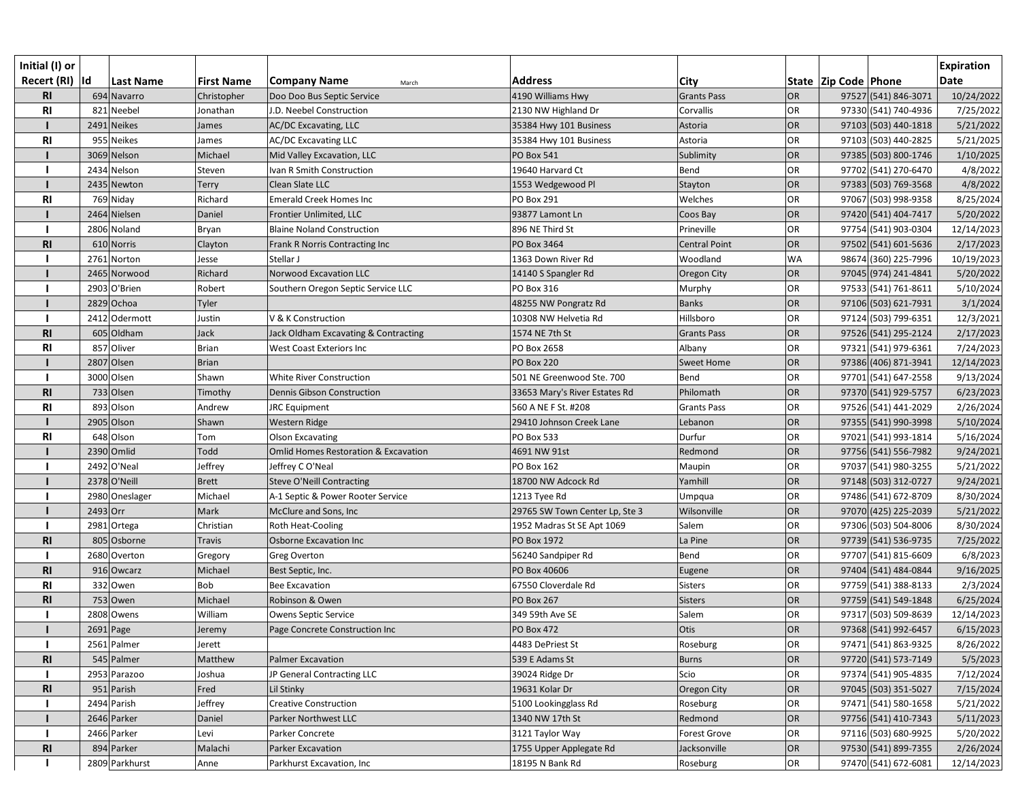| Initial (I) or<br>Recert (RI)  Id |          | <b>Last Name</b> | <b>First Name</b> | <b>Company Name</b><br>March                    | <b>Address</b>                 | City                 |           | State   Zip Code   Phone |                      | <b>Expiration</b><br><b>Date</b> |
|-----------------------------------|----------|------------------|-------------------|-------------------------------------------------|--------------------------------|----------------------|-----------|--------------------------|----------------------|----------------------------------|
| <b>RI</b>                         |          | 694 Navarro      | Christopher       | Doo Doo Bus Septic Service                      | 4190 Williams Hwy              | <b>Grants Pass</b>   | OR        |                          | 97527 (541) 846-3071 | 10/24/2022                       |
| R1                                |          | 821 Neebel       | Jonathan          | J.D. Neebel Construction                        | 2130 NW Highland Dr            | Corvallis            | OR        |                          | 97330 (541) 740-4936 | 7/25/2022                        |
|                                   |          | 2491 Neikes      | James             | <b>AC/DC Excavating, LLC</b>                    | 35384 Hwy 101 Business         | Astoria              | OR        |                          | 97103 (503) 440-1818 | 5/21/2022                        |
| R1                                |          | 955 Neikes       | James             | <b>AC/DC Excavating LLC</b>                     | 35384 Hwy 101 Business         | Astoria              | OR        |                          | 97103 (503) 440-2825 | 5/21/2025                        |
|                                   |          | 3069 Nelson      | Michael           | Mid Valley Excavation, LLC                      | <b>PO Box 541</b>              | Sublimity            | OR        |                          | 97385 (503) 800-1746 | 1/10/2025                        |
|                                   |          | 2434 Nelson      | Steven            | Ivan R Smith Construction                       | 19640 Harvard Ct               | Bend                 | OR        |                          | 97702 (541) 270-6470 | 4/8/2022                         |
|                                   |          | 2435 Newton      | Terry             | Clean Slate LLC                                 | 1553 Wedgewood Pl              | Stayton              | OR        |                          | 97383 (503) 769-3568 | 4/8/2022                         |
| <b>RI</b>                         |          | 769 Niday        | Richard           | <b>Emerald Creek Homes Inc</b>                  | <b>PO Box 291</b>              | Welches              | <b>OR</b> |                          | 97067 (503) 998-9358 | 8/25/2024                        |
|                                   |          | 2464 Nielsen     | Daniel            | Frontier Unlimited, LLC                         | 93877 Lamont Ln                | Coos Bay             | OR        |                          | 97420 (541) 404-7417 | 5/20/2022                        |
|                                   |          | 2806 Noland      | Bryan             | <b>Blaine Noland Construction</b>               | 896 NE Third St                | Prineville           | OR        |                          | 97754 (541) 903-0304 | 12/14/2023                       |
| <b>RI</b>                         |          | 610 Norris       | Clayton           | Frank R Norris Contracting Inc                  | PO Box 3464                    | <b>Central Point</b> | OR        |                          | 97502 (541) 601-5636 | 2/17/2023                        |
|                                   |          | 2761 Norton      | Jesse             | Stellar J                                       | 1363 Down River Rd             | Woodland             | <b>WA</b> |                          | 98674 (360) 225-7996 | 10/19/2023                       |
|                                   |          | 2465 Norwood     | Richard           | <b>Norwood Excavation LLC</b>                   | 14140 S Spangler Rd            | Oregon City          | OR        |                          | 97045 (974) 241-4841 | 5/20/2022                        |
|                                   |          | 2903 O'Brien     | Robert            | Southern Oregon Septic Service LLC              | PO Box 316                     | Murphy               | OR        |                          | 97533 (541) 761-8611 | 5/10/2024                        |
|                                   |          | $2829$ Ochoa     | Tyler             |                                                 | 48255 NW Pongratz Rd           | <b>Banks</b>         | OR        |                          | 97106 (503) 621-7931 | 3/1/2024                         |
|                                   |          | 2412 Odermott    | Justin            | V & K Construction                              | 10308 NW Helvetia Rd           | Hillsboro            | OR        |                          | 97124 (503) 799-6351 | 12/3/2021                        |
| R1                                |          | 605 Oldham       | Jack              | Jack Oldham Excavating & Contracting            | 1574 NE 7th St                 | <b>Grants Pass</b>   | OR        |                          | 97526 (541) 295-2124 | 2/17/2023                        |
| R1                                |          | 857 Oliver       | <b>Brian</b>      | West Coast Exteriors Inc                        | PO Box 2658                    | Albany               | OR        |                          | 97321 (541) 979-6361 | 7/24/2023                        |
|                                   |          | 2807 Olsen       | <b>Brian</b>      |                                                 | <b>PO Box 220</b>              | <b>Sweet Home</b>    | OR        |                          | 97386 (406) 871-3941 | 12/14/2023                       |
|                                   |          | 3000 Olsen       | Shawn             | <b>White River Construction</b>                 | 501 NE Greenwood Ste. 700      | Bend                 | OR        |                          | 97701 (541) 647-2558 | 9/13/2024                        |
| R1                                |          | 733 Olsen        | Timothy           | <b>Dennis Gibson Construction</b>               | 33653 Mary's River Estates Rd  | Philomath            | OR        |                          | 97370 (541) 929-5757 | 6/23/2023                        |
| R <sub>l</sub>                    |          | 893 Olson        | Andrew            | <b>JRC</b> Equipment                            | 560 A NE F St. #208            | <b>Grants Pass</b>   | OR        |                          | 97526 (541) 441-2029 | 2/26/2024                        |
|                                   |          | 2905 Olson       | Shawn             | Western Ridge                                   | 29410 Johnson Creek Lane       | Lebanon              | OR        |                          | 97355 (541) 990-3998 | 5/10/2024                        |
| <b>RI</b>                         |          | 648 Olson        | Tom               | <b>Olson Excavating</b>                         | <b>PO Box 533</b>              | Durfur               | OR        |                          | 97021 (541) 993-1814 | 5/16/2024                        |
|                                   |          | 2390 Omlid       | Todd              | <b>Omlid Homes Restoration &amp; Excavation</b> | 4691 NW 91st                   | Redmond              | OR        |                          | 97756 (541) 556-7982 | 9/24/2021                        |
|                                   |          | 2492 O'Neal      | Jeffrey           | Jeffrey CO'Neal                                 | <b>PO Box 162</b>              | Maupin               | OR        |                          | 97037 (541) 980-3255 | 5/21/2022                        |
|                                   |          | 2378 O'Neill     | <b>Brett</b>      | <b>Steve O'Neill Contracting</b>                | 18700 NW Adcock Rd             | Yamhill              | OR        |                          | 97148 (503) 312-0727 | 9/24/2021                        |
|                                   |          | 2980 Oneslager   | Michael           | A-1 Septic & Power Rooter Service               | 1213 Tyee Rd                   | Umpqua               | OR        |                          | 97486 (541) 672-8709 | 8/30/2024                        |
|                                   | 2493 Orr |                  | Mark              | McClure and Sons, Inc                           | 29765 SW Town Center Lp, Ste 3 | Wilsonville          | OR        |                          | 97070 (425) 225-2039 | 5/21/2022                        |
|                                   |          | 2981 Ortega      | Christian         | <b>Roth Heat-Cooling</b>                        | 1952 Madras St SE Apt 1069     | Salem                | OR        |                          | 97306 (503) 504-8006 | 8/30/2024                        |
| R <sub>l</sub>                    |          | 805 Osborne      | Travis            | Osborne Excavation Inc                          | PO Box 1972                    | La Pine              | OR        |                          | 97739 (541) 536-9735 | 7/25/2022                        |
|                                   |          | 2680 Overton     | Gregory           | <b>Greg Overton</b>                             | 56240 Sandpiper Rd             | Bend                 | <b>OR</b> |                          | 97707 (541) 815-6609 | 6/8/2023                         |
| <b>RI</b>                         |          | 916 Owcarz       | Michael           | Best Septic, Inc.                               | PO Box 40606                   | Eugene               | OR        |                          | 97404 (541) 484-0844 | 9/16/2025                        |
| <b>RI</b>                         |          | 332 Owen         | Bob               | <b>Bee Excavation</b>                           | 67550 Cloverdale Rd            | <b>Sisters</b>       | <b>OR</b> |                          | 97759 (541) 388-8133 | 2/3/2024                         |
| <b>RI</b>                         |          | 753 Owen         | Michael           | Robinson & Owen                                 | <b>PO Box 267</b>              | <b>Sisters</b>       | OR        |                          | 97759 (541) 549-1848 | 6/25/2024                        |
|                                   |          | 2808 Owens       | William           | Owens Septic Service                            | 349 59th Ave SE                | Salem                | OR        |                          | 97317 (503) 509-8639 | 12/14/2023                       |
|                                   |          | $2691$ Page      | Jeremy            | Page Concrete Construction Inc                  | <b>PO Box 472</b>              | Otis                 | OR        |                          | 97368 (541) 992-6457 | 6/15/2023                        |
|                                   |          | 2561 Palmer      | Jerett            |                                                 | 4483 DePriest St               | Roseburg             | <b>OR</b> |                          | 97471 (541) 863-9325 | 8/26/2022                        |
| R1                                |          | 545 Palmer       | Matthew           | <b>Palmer Excavation</b>                        | 539 E Adams St                 | <b>Burns</b>         | OR        |                          | 97720 (541) 573-7149 | 5/5/2023                         |
|                                   |          | 2953 Parazoo     | Joshua            | JP General Contracting LLC                      | 39024 Ridge Dr                 | Scio                 | OR        |                          | 97374 (541) 905-4835 | 7/12/2024                        |
| R1                                |          | 951 Parish       | Fred              | Lil Stinky                                      | 19631 Kolar Dr                 | Oregon City          | OR        |                          | 97045 (503) 351-5027 | 7/15/2024                        |
|                                   |          | 2494 Parish      | Jeffrey           | <b>Creative Construction</b>                    | 5100 Lookingglass Rd           | Roseburg             | <b>OR</b> |                          | 97471 (541) 580-1658 | 5/21/2022                        |
|                                   |          | 2646 Parker      | Daniel            | Parker Northwest LLC                            | 1340 NW 17th St                | Redmond              | <b>OR</b> |                          | 97756 (541) 410-7343 | 5/11/2023                        |
|                                   |          | 2466 Parker      | Levi              | Parker Concrete                                 | 3121 Taylor Way                | Forest Grove         | OR        |                          | 97116 (503) 680-9925 | 5/20/2022                        |
| R <sub>l</sub>                    |          | 894 Parker       | Malachi           | Parker Excavation                               | 1755 Upper Applegate Rd        | Jacksonville         | OR        |                          | 97530 (541) 899-7355 | 2/26/2024                        |
|                                   |          | 2809 Parkhurst   | Anne              | Parkhurst Excavation, Inc                       | 18195 N Bank Rd                | Roseburg             | OR        |                          | 97470 (541) 672-6081 | 12/14/2023                       |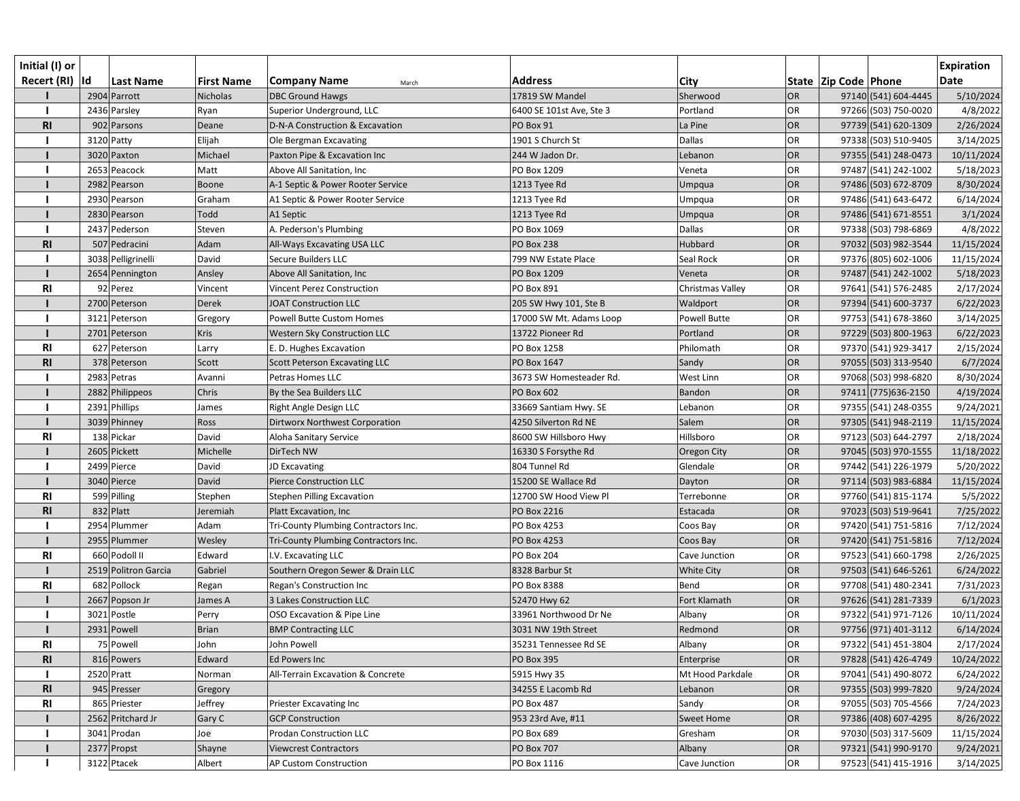| Initial (I) or<br>Recert (RI)  Id | <b>Last Name</b>     | <b>First Name</b> | <b>Company Name</b><br>March         | <b>Address</b>           | <b>City</b>         |           | State   Zip Code   Phone | <b>Expiration</b><br>Date |
|-----------------------------------|----------------------|-------------------|--------------------------------------|--------------------------|---------------------|-----------|--------------------------|---------------------------|
|                                   | 2904 Parrott         | Nicholas          | <b>DBC Ground Hawgs</b>              | 17819 SW Mandel          | Sherwood            | <b>OR</b> | 97140 (541) 604-4445     | 5/10/2024                 |
|                                   | 2436 Parsley         | Ryan              | Superior Underground, LLC            | 6400 SE 101st Ave, Ste 3 | Portland            | <b>OR</b> | 97266 (503) 750-0020     | 4/8/2022                  |
| R1                                | 902 Parsons          | Deane             | D-N-A Construction & Excavation      | PO Box 91                | La Pine             | <b>OR</b> | 97739 (541) 620-1309     | 2/26/2024                 |
|                                   | 3120 Patty           | Elijah            | Ole Bergman Excavating               | 1901 S Church St         | <b>Dallas</b>       | <b>OR</b> | 97338 (503) 510-9405     | 3/14/2025                 |
|                                   | 3020 Paxton          | Michael           | Paxton Pipe & Excavation Inc         | 244 W Jadon Dr.          | Lebanon             | <b>OR</b> | 97355 (541) 248-0473     | 10/11/2024                |
|                                   | 2653 Peacock         | Matt              | Above All Sanitation, Inc            | PO Box 1209              | Veneta              | <b>OR</b> | 97487 (541) 242-1002     | 5/18/2023                 |
|                                   | 2982 Pearson         | Boone             | A-1 Septic & Power Rooter Service    | 1213 Tyee Rd             | Umpqua              | <b>OR</b> | 97486 (503) 672-8709     | 8/30/2024                 |
|                                   | 2930 Pearson         | Graham            | A1 Septic & Power Rooter Service     | 1213 Tyee Rd             | Umpqua              | OR        | 97486 (541) 643-6472     | 6/14/2024                 |
|                                   | 2830 Pearson         | Todd              | A1 Septic                            | 1213 Tyee Rd             | Umpqua              | OR        | 97486 (541) 671-8551     | 3/1/2024                  |
|                                   | 2437 Pederson        | Steven            | A. Pederson's Plumbing               | PO Box 1069              | Dallas              | <b>OR</b> | 97338 (503) 798-6869     | 4/8/2022                  |
| <b>RI</b>                         | 507 Pedracini        | Adam              | All-Ways Excavating USA LLC          | <b>PO Box 238</b>        | Hubbard             | OR        | 97032 (503) 982-3544     | 11/15/2024                |
|                                   | 3038 Pelligrinelli   | David             | Secure Builders LLC                  | 799 NW Estate Place      | Seal Rock           | <b>OR</b> | 97376 (805) 602-1006     | 11/15/2024                |
|                                   | 2654 Pennington      | Ansley            | Above All Sanitation, Inc            | PO Box 1209              | Veneta              | <b>OR</b> | 97487 (541) 242-1002     | 5/18/2023                 |
| R <sub>l</sub>                    | 92 Perez             | Vincent           | Vincent Perez Construction           | <b>PO Box 891</b>        | Christmas Valley    | <b>OR</b> | 97641 (541) 576-2485     | 2/17/2024                 |
|                                   | 2700 Peterson        | <b>Derek</b>      | <b>JOAT Construction LLC</b>         | 205 SW Hwy 101, Ste B    | Waldport            | <b>OR</b> | 97394 (541) 600-3737     | 6/22/2023                 |
|                                   | 3121 Peterson        | Gregory           | Powell Butte Custom Homes            | 17000 SW Mt. Adams Loop  | <b>Powell Butte</b> | OR        | 97753 (541) 678-3860     | 3/14/2025                 |
|                                   | 2701 Peterson        | Kris              | Western Sky Construction LLC         | 13722 Pioneer Rd         | Portland            | <b>OR</b> | 97229 (503) 800-1963     | 6/22/2023                 |
| R <sub>l</sub>                    | 627 Peterson         | Larry             | E. D. Hughes Excavation              | PO Box 1258              | Philomath           | <b>OR</b> | 97370 (541) 929-3417     | 2/15/2024                 |
| <b>RI</b>                         | 378 Peterson         | Scott             | <b>Scott Peterson Excavating LLC</b> | PO Box 1647              | Sandy               | <b>OR</b> | 97055 (503) 313-9540     | 6/7/2024                  |
|                                   | 2983 Petras          | Avanni            | Petras Homes LLC                     | 3673 SW Homesteader Rd.  | West Linn           | OR        | 97068 (503) 998-6820     | 8/30/2024                 |
|                                   | 2882 Philippeos      | Chris             | By the Sea Builders LLC              | PO Box 602               | Bandon              | <b>OR</b> | 97411 (775) 636-2150     | 4/19/2024                 |
|                                   | 2391 Phillips        | James             | Right Angle Design LLC               | 33669 Santiam Hwy. SE    | Lebanon             | <b>OR</b> | 97355 (541) 248-0355     | 9/24/2021                 |
|                                   | 3039 Phinney         | Ross              | Dirtworx Northwest Corporation       | 4250 Silverton Rd NE     | Salem               | <b>OR</b> | 97305 (541) 948-2119     | 11/15/2024                |
| <b>RI</b>                         | 138 Pickar           | David             | Aloha Sanitary Service               | 8600 SW Hillsboro Hwy    | Hillsboro           | <b>OR</b> | 97123 (503) 644-2797     | 2/18/2024                 |
|                                   | 2605 Pickett         | Michelle          | DirTech NW                           | 16330 S Forsythe Rd      | Oregon City         | <b>OR</b> | 97045 (503) 970-1555     | 11/18/2022                |
|                                   | 2499 Pierce          | David             | JD Excavating                        | 804 Tunnel Rd            | Glendale            | <b>OR</b> | 97442 (541) 226-1979     | 5/20/2022                 |
|                                   | 3040 Pierce          | David             | <b>Pierce Construction LLC</b>       | 15200 SE Wallace Rd      | Dayton              | <b>OR</b> | 97114 (503) 983-6884     | 11/15/2024                |
| R1                                | 599 Pilling          | Stephen           | <b>Stephen Pilling Excavation</b>    | 12700 SW Hood View Pl    | Terrebonne          | <b>OR</b> | 97760 (541) 815-1174     | 5/5/2022                  |
| R <sub>l</sub>                    | 832 Platt            | Jeremiah          | Platt Excavation, Inc                | PO Box 2216              | Estacada            | OR        | 97023 (503) 519-9641     | 7/25/2022                 |
|                                   | 2954 Plummer         | Adam              | Tri-County Plumbing Contractors Inc. | PO Box 4253              | Coos Bay            | <b>OR</b> | 97420 (541) 751-5816     | 7/12/2024                 |
|                                   | 2955 Plummer         | Wesley            | Tri-County Plumbing Contractors Inc. | PO Box 4253              | Coos Bay            | OR        | 97420 (541) 751-5816     | 7/12/2024                 |
| <b>RI</b>                         | 660 Podoll II        | Edward            | I.V. Excavating LLC                  | <b>PO Box 204</b>        | Cave Junction       | <b>OR</b> | 97523 (541) 660-1798     | 2/26/2025                 |
|                                   | 2519 Politron Garcia | Gabriel           | Southern Oregon Sewer & Drain LLC    | 8328 Barbur St           | White City          | OR        | 97503 (541) 646-5261     | 6/24/2022                 |
| <b>RI</b>                         | 682 Pollock          | Regan             | Regan's Construction Inc             | PO Box 8388              | Bend                | <b>OR</b> | 97708 (541) 480-2341     | 7/31/2023                 |
|                                   | 2667 Popson Jr       | James A           | 3 Lakes Construction LLC             | 52470 Hwy 62             | Fort Klamath        | <b>OR</b> | 97626 (541) 281-7339     | 6/1/2023                  |
|                                   | 3021 Postle          | Perry             | OSO Excavation & Pipe Line           | 33961 Northwood Dr Ne    | Albany              | <b>OR</b> | 97322 (541) 971-7126     | 10/11/2024                |
|                                   | 2931 Powell          | <b>Brian</b>      | <b>BMP Contracting LLC</b>           | 3031 NW 19th Street      | Redmond             | <b>OR</b> | 97756 (971) 401-3112     | 6/14/2024                 |
| <b>RI</b>                         | 75 Powell            | John              | John Powell                          | 35231 Tennessee Rd SE    | Albany              | <b>OR</b> | 97322 (541) 451-3804     | 2/17/2024                 |
| R <sub>l</sub>                    | 816 Powers           | Edward            | Ed Powers Inc                        | PO Box 395               | Enterprise          | <b>OR</b> | 97828 (541) 426-4749     | 10/24/2022                |
|                                   | 2520 Pratt           | Norman            | All-Terrain Excavation & Concrete    | 5915 Hwy 35              | Mt Hood Parkdale    | OR        | 97041 (541) 490-8072     | 6/24/2022                 |
| <b>RI</b>                         | 945 Presser          | Gregory           |                                      | 34255 E Lacomb Rd        | Lebanon             | <b>OR</b> | 97355 (503) 999-7820     | 9/24/2024                 |
| <b>RI</b>                         | 865 Priester         | Jeffrey           | Priester Excavating Inc              | <b>PO Box 487</b>        | Sandy               | OR        | 97055 (503) 705-4566     | 7/24/2023                 |
|                                   | 2562 Pritchard Jr    | Gary C            | <b>GCP Construction</b>              | 953 23rd Ave, #11        | <b>Sweet Home</b>   | <b>OR</b> | 97386 (408) 607-4295     | 8/26/2022                 |
|                                   | 3041 Prodan          | Joe               | Prodan Construction LLC              | PO Box 689               | Gresham             | <b>OR</b> | 97030 (503) 317-5609     | 11/15/2024                |
|                                   | 2377 Propst          | Shayne            | <b>Viewcrest Contractors</b>         | <b>PO Box 707</b>        | Albany              | OR        | 97321 (541) 990-9170     | 9/24/2021                 |
|                                   | 3122 Ptacek          | Albert            | AP Custom Construction               | PO Box 1116              | Cave Junction       | OR        | 97523 (541) 415-1916     | 3/14/2025                 |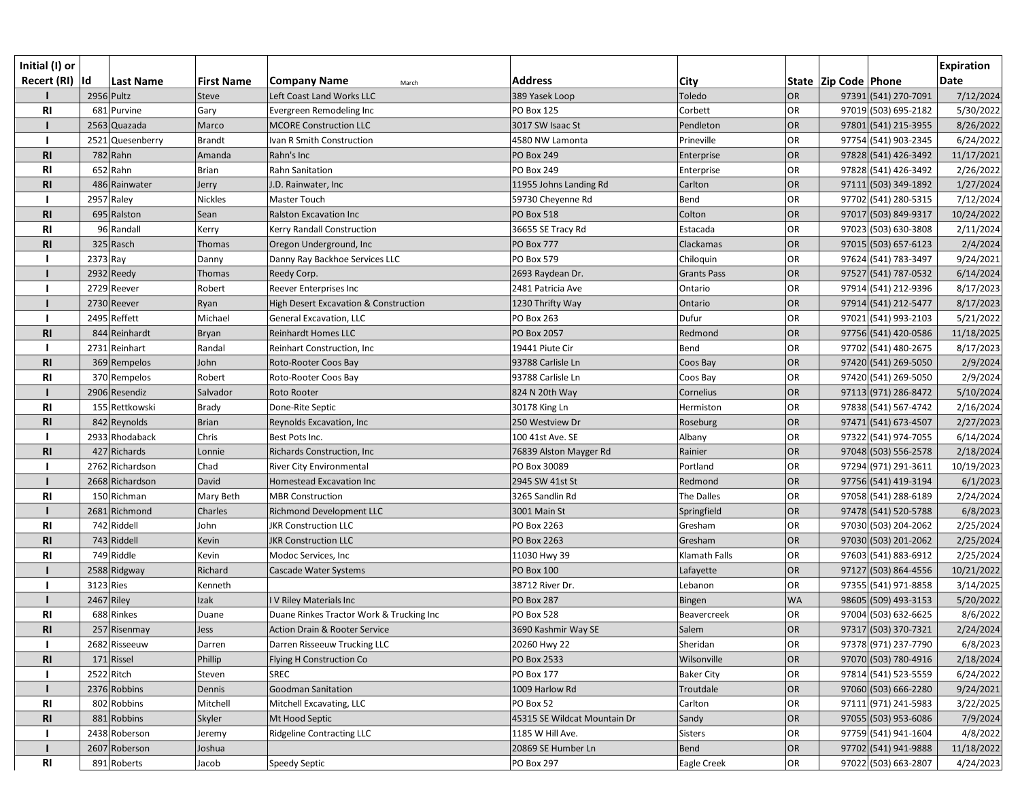| Initial (I) or  |           |                  |                   |                                          |                              |                    |           |                          |                      | <b>Expiration</b> |
|-----------------|-----------|------------------|-------------------|------------------------------------------|------------------------------|--------------------|-----------|--------------------------|----------------------|-------------------|
| Recert (RI)  Id |           | <b>Last Name</b> | <b>First Name</b> | <b>Company Name</b><br>March             | <b>Address</b>               | City               |           | State   Zip Code   Phone |                      | <b>Date</b>       |
|                 |           | 2956 Pultz       | <b>Steve</b>      | Left Coast Land Works LLC                | 389 Yasek Loop               | Toledo             | OR        |                          | 97391 (541) 270-7091 | 7/12/2024         |
| R1              |           | 681 Purvine      | Gary              | Evergreen Remodeling Inc                 | <b>PO Box 125</b>            | Corbett            | OR        |                          | 97019 (503) 695-2182 | 5/30/2022         |
|                 |           | 2563 Quazada     | Marco             | <b>MCORE Construction LLC</b>            | 3017 SW Isaac St             | Pendleton          | OR        |                          | 97801 (541) 215-3955 | 8/26/2022         |
|                 |           | 2521 Quesenberry | <b>Brandt</b>     | Ivan R Smith Construction                | 4580 NW Lamonta              | Prineville         | OR        |                          | 97754 (541) 903-2345 | 6/24/2022         |
| R1              |           | $782$ Rahn       | Amanda            | Rahn's Inc                               | <b>PO Box 249</b>            | Enterprise         | OR        |                          | 97828 (541) 426-3492 | 11/17/2021        |
| <b>RI</b>       |           | 652 Rahn         | <b>Brian</b>      | Rahn Sanitation                          | <b>PO Box 249</b>            | Enterprise         | <b>OR</b> |                          | 97828 (541) 426-3492 | 2/26/2022         |
| <b>RI</b>       |           | 486 Rainwater    | Jerry             | J.D. Rainwater, Inc                      | 11955 Johns Landing Rd       | Carlton            | OR        |                          | 97111 (503) 349-1892 | 1/27/2024         |
|                 |           | 2957 Raley       | Nickles           | Master Touch                             | 59730 Cheyenne Rd            | Bend               | OR        |                          | 97702 (541) 280-5315 | 7/12/2024         |
| R1              |           | 695 Ralston      | Sean              | <b>Ralston Excavation Inc</b>            | PO Box 518                   | Colton             | OR        |                          | 97017 (503) 849-9317 | 10/24/2022        |
| R1              |           | 96 Randall       | Kerry             | Kerry Randall Construction               | 36655 SE Tracy Rd            | Estacada           | OR        |                          | 97023 (503) 630-3808 | 2/11/2024         |
| R1              |           | 325 Rasch        | Thomas            | Oregon Underground, Inc                  | <b>PO Box 777</b>            | Clackamas          | OR        |                          | 97015 (503) 657-6123 | 2/4/2024          |
|                 | 2373 Ray  |                  | Danny             | Danny Ray Backhoe Services LLC           | PO Box 579                   | Chiloquin          | OR        |                          | 97624 (541) 783-3497 | 9/24/2021         |
|                 |           | 2932 Reedy       | Thomas            | Reedy Corp.                              | 2693 Raydean Dr.             | <b>Grants Pass</b> | OR        |                          | 97527 (541) 787-0532 | 6/14/2024         |
|                 |           | 2729 Reever      | Robert            | Reever Enterprises Inc                   | 2481 Patricia Ave            | Ontario            | OR        |                          | 97914 (541) 212-9396 | 8/17/2023         |
|                 |           | 2730 Reever      | Ryan              | High Desert Excavation & Construction    | 1230 Thrifty Way             | Ontario            | OR        |                          | 97914 (541) 212-5477 | 8/17/2023         |
|                 |           | 2495 Reffett     | Michael           | General Excavation, LLC                  | <b>PO Box 263</b>            | Dufur              | OR        |                          | 97021 (541) 993-2103 | 5/21/2022         |
| <b>RI</b>       |           | 844 Reinhardt    | Bryan             | <b>Reinhardt Homes LLC</b>               | PO Box 2057                  | Redmond            | OR        |                          | 97756 (541) 420-0586 | 11/18/2025        |
|                 |           | 2731 Reinhart    | Randal            | Reinhart Construction, Inc               | 19441 Piute Cir              | Bend               | <b>OR</b> |                          | 97702 (541) 480-2675 | 8/17/2023         |
| R1              |           | 369 Rempelos     | John              | Roto-Rooter Coos Bay                     | 93788 Carlisle Ln            | Coos Bay           | OR        |                          | 97420 (541) 269-5050 | 2/9/2024          |
| R <sub>l</sub>  |           | 370 Rempelos     | Robert            | Roto-Rooter Coos Bay                     | 93788 Carlisle Ln            | Coos Bay           | OR        |                          | 97420 (541) 269-5050 | 2/9/2024          |
|                 |           | 2906 Resendiz    | Salvador          | Roto Rooter                              | 824 N 20th Way               | Cornelius          | OR        |                          | 97113 (971) 286-8472 | 5/10/2024         |
| R1              |           | 155 Rettkowski   | <b>Brady</b>      | Done-Rite Septic                         | 30178 King Ln                | Hermiston          | OR        |                          | 97838 (541) 567-4742 | 2/16/2024         |
| R1              |           | 842 Reynolds     | <b>Brian</b>      | Reynolds Excavation, Inc                 | 250 Westview Dr              | Roseburg           | OR        |                          | 97471 (541) 673-4507 | 2/27/2023         |
|                 |           | 2933 Rhodaback   | Chris             | Best Pots Inc.                           | 100 41st Ave. SE             | Albany             | <b>OR</b> |                          | 97322 (541) 974-7055 | 6/14/2024         |
| <b>RI</b>       |           | 427 Richards     | Lonnie            | Richards Construction, Inc               | 76839 Alston Mayger Rd       | Rainier            | OR        |                          | 97048 (503) 556-2578 | 2/18/2024         |
|                 |           | 2762 Richardson  | Chad              | River City Environmental                 | PO Box 30089                 | Portland           | <b>OR</b> |                          | 97294 (971) 291-3611 | 10/19/2023        |
|                 |           | 2668 Richardson  | David             | Homestead Excavation Inc                 | 2945 SW 41st St              | Redmond            | OR        |                          | 97756 (541) 419-3194 | 6/1/2023          |
| R1              |           | 150 Richman      | Mary Beth         | <b>MBR Construction</b>                  | 3265 Sandlin Rd              | The Dalles         | OR        |                          | 97058 (541) 288-6189 | 2/24/2024         |
|                 |           | 2681 Richmond    | Charles           | <b>Richmond Development LLC</b>          | 3001 Main St                 | Springfield        | OR        |                          | 97478 (541) 520-5788 | 6/8/2023          |
| <b>RI</b>       |           | 742 Riddell      | John              | <b>JKR Construction LLC</b>              | PO Box 2263                  | Gresham            | OR        |                          | 97030 (503) 204-2062 | 2/25/2024         |
| R <sub>l</sub>  |           | 743 Riddell      | Kevin             | <b>JKR Construction LLC</b>              | PO Box 2263                  | Gresham            | OR        |                          | 97030 (503) 201-2062 | 2/25/2024         |
| <b>RI</b>       |           | 749 Riddle       | Kevin             | Modoc Services, Inc                      | 11030 Hwy 39                 | Klamath Falls      | OR        |                          | 97603 (541) 883-6912 | 2/25/2024         |
|                 |           | 2588 Ridgway     | Richard           | Cascade Water Systems                    | <b>PO Box 100</b>            | Lafayette          | OR        |                          | 97127 (503) 864-4556 | 10/21/2022        |
|                 | 3123 Ries |                  | Kenneth           |                                          | 38712 River Dr.              | Lebanon            | OR        |                          | 97355 (541) 971-8858 | 3/14/2025         |
|                 |           | 2467 Riley       | Izak              | IV Riley Materials Inc                   | <b>PO Box 287</b>            | Bingen             | <b>WA</b> |                          | 98605 (509) 493-3153 | 5/20/2022         |
| <b>RI</b>       |           | 688 Rinkes       | Duane             | Duane Rinkes Tractor Work & Trucking Inc | <b>PO Box 528</b>            | Beavercreek        | <b>OR</b> |                          | 97004 (503) 632-6625 | 8/6/2022          |
| R <sub>l</sub>  |           | 257 Risenmay     | Jess              | <b>Action Drain &amp; Rooter Service</b> | 3690 Kashmir Way SE          | Salem              | OR        |                          | 97317 (503) 370-7321 | 2/24/2024         |
|                 |           | 2682 Risseeuw    | Darren            | Darren Risseeuw Trucking LLC             | 20260 Hwy 22                 | Sheridan           | OR        |                          | 97378 (971) 237-7790 | 6/8/2023          |
| R1              |           | 171 Rissel       | Phillip           | Flying H Construction Co                 | PO Box 2533                  | Wilsonville        | OR        |                          | 97070 (503) 780-4916 | 2/18/2024         |
|                 |           | 2522 Ritch       | Steven            | <b>SREC</b>                              | <b>PO Box 177</b>            | <b>Baker City</b>  | <b>OR</b> |                          | 97814 (541) 523-5559 | 6/24/2022         |
|                 |           | 2376 Robbins     | Dennis            | <b>Goodman Sanitation</b>                | 1009 Harlow Rd               | Troutdale          | OR        |                          | 97060 (503) 666-2280 | 9/24/2021         |
| <b>RI</b>       |           | 802 Robbins      | Mitchell          | Mitchell Excavating, LLC                 | PO Box 52                    | Carlton            | <b>OR</b> |                          | 97111 (971) 241-5983 | 3/22/2025         |
| <b>RI</b>       |           | 881 Robbins      | Skyler            | Mt Hood Septic                           | 45315 SE Wildcat Mountain Dr | Sandy              | OR        |                          | 97055 (503) 953-6086 | 7/9/2024          |
|                 |           | 2438 Roberson    | Jeremy            | <b>Ridgeline Contracting LLC</b>         | 1185 W Hill Ave.             | Sisters            | OR        |                          | 97759 (541) 941-1604 | 4/8/2022          |
|                 |           | 2607 Roberson    | Joshua            |                                          | 20869 SE Humber Ln           | Bend               | OR        |                          | 97702 (541) 941-9888 | 11/18/2022        |
| <b>RI</b>       |           | 891 Roberts      | Jacob             | Speedy Septic                            | <b>PO Box 297</b>            | Eagle Creek        | OR        |                          | 97022 (503) 663-2807 | 4/24/2023         |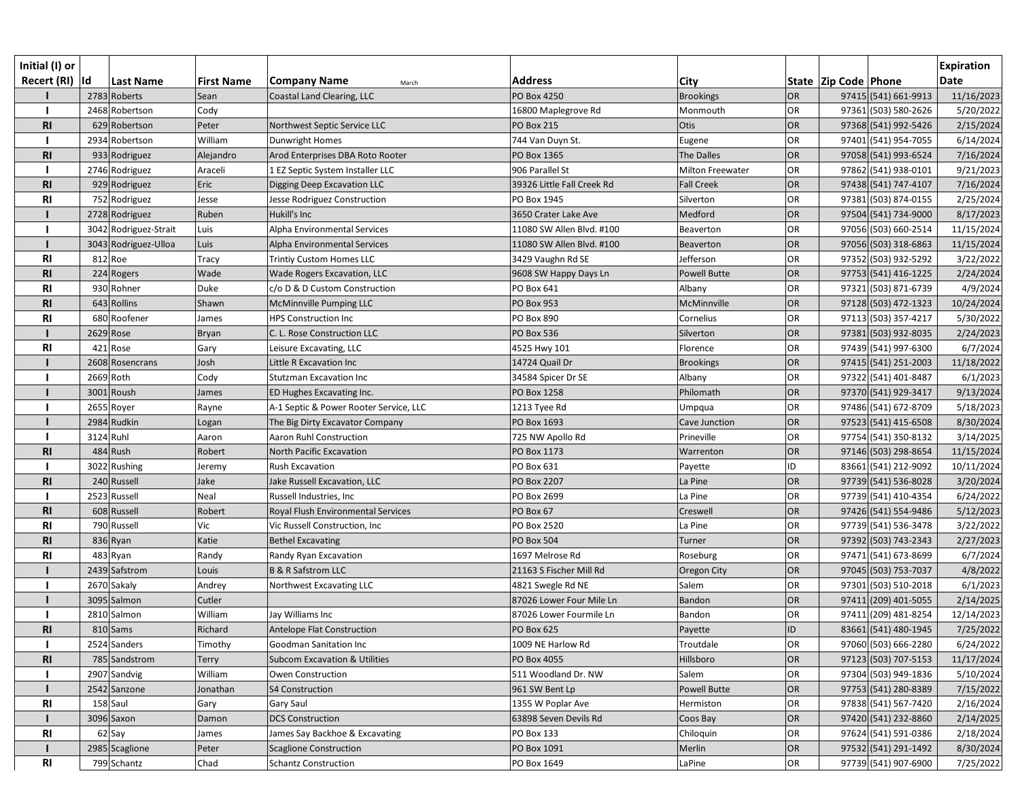| Initial (I) or<br>Recert (RI)  Id |           | <b>Last Name</b>      | <b>First Name</b> | <b>Company Name</b><br>March             | <b>Address</b>             | <b>City</b>         |           | State   Zip Code   Phone | <b>Expiration</b><br><b>Date</b> |
|-----------------------------------|-----------|-----------------------|-------------------|------------------------------------------|----------------------------|---------------------|-----------|--------------------------|----------------------------------|
|                                   |           | 2783 Roberts          | Sean              | Coastal Land Clearing, LLC               | PO Box 4250                | <b>Brookings</b>    | <b>OR</b> | 97415 (541) 661-9913     | 11/16/2023                       |
|                                   |           | 2468 Robertson        | Cody              |                                          | 16800 Maplegrove Rd        | Monmouth            | <b>OR</b> | 97361 (503) 580-2626     | 5/20/2022                        |
| R1                                |           | 629 Robertson         | Peter             | Northwest Septic Service LLC             | <b>PO Box 215</b>          | Otis                | <b>OR</b> | 97368 (541) 992-5426     | 2/15/2024                        |
|                                   |           | 2934 Robertson        | William           | Dunwright Homes                          | 744 Van Duyn St.           | Eugene              | <b>OR</b> | 97401 (541) 954-7055     | 6/14/2024                        |
| R1                                |           | 933 Rodriguez         | Alejandro         | Arod Enterprises DBA Roto Rooter         | PO Box 1365                | <b>The Dalles</b>   | <b>OR</b> | 97058 (541) 993-6524     | 7/16/2024                        |
|                                   |           | 2746 Rodriguez        | Araceli           | 1 EZ Septic System Installer LLC         | 906 Parallel St            | Milton Freewater    | <b>OR</b> | 97862 (541) 938-0101     | 9/21/2023                        |
| <b>RI</b>                         |           | 929 Rodriguez         | Eric              | Digging Deep Excavation LLC              | 39326 Little Fall Creek Rd | <b>Fall Creek</b>   | OR        | 97438 (541) 747-4107     | 7/16/2024                        |
| R <sub>l</sub>                    |           | 752 Rodriguez         | Jesse             | Jesse Rodriguez Construction             | PO Box 1945                | Silverton           | <b>OR</b> | 97381 (503) 874-0155     | 2/25/2024                        |
|                                   |           | 2728 Rodriguez        | Ruben             | Hukill's Inc                             | 3650 Crater Lake Ave       | Medford             | OR        | 97504 (541) 734-9000     | 8/17/2023                        |
|                                   |           | 3042 Rodriguez-Strait | Luis              | Alpha Environmental Services             | 11080 SW Allen Blvd. #100  | <b>Beaverton</b>    | <b>OR</b> | 97056 (503) 660-2514     | 11/15/2024                       |
|                                   |           | 3043 Rodriguez-Ulloa  | Luis              | Alpha Environmental Services             | 11080 SW Allen Blvd. #100  | Beaverton           | OR        | 97056 (503) 318-6863     | 11/15/2024                       |
| R <sub>l</sub>                    |           | 812 Roe               | Tracy             | <b>Trintiy Custom Homes LLC</b>          | 3429 Vaughn Rd SE          | Jefferson           | <b>OR</b> | 97352 (503) 932-5292     | 3/22/2022                        |
| <b>RI</b>                         |           | 224 Rogers            | Wade              | Wade Rogers Excavation, LLC              | 9608 SW Happy Days Ln      | <b>Powell Butte</b> | <b>OR</b> | 97753 (541) 416-1225     | 2/24/2024                        |
| R <sub>l</sub>                    |           | 930 Rohner            | Duke              | c/o D & D Custom Construction            | PO Box 641                 | Albany              | <b>OR</b> | 97321 (503) 871-6739     | 4/9/2024                         |
| R <sub>l</sub>                    |           | 643 Rollins           | Shawn             | McMinnville Pumping LLC                  | <b>PO Box 953</b>          | McMinnville         | <b>OR</b> | 97128 (503) 472-1323     | 10/24/2024                       |
| R <sub>l</sub>                    |           | 680 Roofener          | James             | <b>HPS Construction Inc</b>              | <b>PO Box 890</b>          | Cornelius           | OR        | 97113 (503) 357-4217     | 5/30/2022                        |
|                                   |           | $2629$ Rose           | Bryan             | C. L. Rose Construction LLC              | <b>PO Box 536</b>          | Silverton           | <b>OR</b> | 97381 (503) 932-8035     | 2/24/2023                        |
| R <sub>l</sub>                    |           | 421 Rose              | Gary              | Leisure Excavating, LLC                  | 4525 Hwy 101               | Florence            | <b>OR</b> | 97439 (541) 997-6300     | 6/7/2024                         |
|                                   |           | 2608 Rosencrans       | Josh              | Little R Excavation Inc                  | 14724 Quail Dr             | <b>Brookings</b>    | OR        | 97415 (541) 251-2003     | 11/18/2022                       |
|                                   |           | 2669 Roth             | Cody              | <b>Stutzman Excavation Inc</b>           | 34584 Spicer Dr SE         | Albany              | <b>OR</b> | 97322 (541) 401-8487     | 6/1/2023                         |
|                                   |           | 3001 Roush            | James             | ED Hughes Excavating Inc.                | PO Box 1258                | Philomath           | <b>OR</b> | 97370 (541) 929-3417     | 9/13/2024                        |
|                                   |           | 2655 Royer            | Rayne             | A-1 Septic & Power Rooter Service, LLC   | 1213 Tyee Rd               | Umpqua              | <b>OR</b> | 97486 (541) 672-8709     | 5/18/2023                        |
|                                   |           | 2984 Rudkin           | Logan             | The Big Dirty Excavator Company          | PO Box 1693                | Cave Junction       | <b>OR</b> | 97523 (541) 415-6508     | 8/30/2024                        |
|                                   | 3124 Ruhl |                       | Aaron             | <b>Aaron Ruhl Construction</b>           | 725 NW Apollo Rd           | Prineville          | <b>OR</b> | 97754 (541) 350-8132     | 3/14/2025                        |
| <b>RI</b>                         |           | $484$ Rush            | Robert            | North Pacific Excavation                 | PO Box 1173                | Warrenton           | <b>OR</b> | 97146 (503) 298-8654     | 11/15/2024                       |
|                                   |           | 3022 Rushing          | Jeremy            | <b>Rush Excavation</b>                   | PO Box 631                 | Payette             | ID        | 83661 (541) 212-9092     | 10/11/2024                       |
| R1                                |           | 240 Russell           | Jake              | Jake Russell Excavation, LLC             | <b>PO Box 2207</b>         | La Pine             | OR        | 97739 (541) 536-8028     | 3/20/2024                        |
|                                   |           | 2523 Russell          | Neal              | Russell Industries, Inc                  | PO Box 2699                | La Pine             | <b>OR</b> | 97739 (541) 410-4354     | 6/24/2022                        |
| <b>RI</b>                         |           | 608 Russell           | Robert            | Royal Flush Environmental Services       | PO Box 67                  | Creswell            | OR        | 97426 (541) 554-9486     | 5/12/2023                        |
| <b>RI</b>                         |           | 790 Russell           | Vic               | Vic Russell Construction, Inc            | PO Box 2520                | La Pine             | <b>OR</b> | 97739 (541) 536-3478     | 3/22/2022                        |
| <b>RI</b>                         |           | 836 Ryan              | Katie             | <b>Bethel Excavating</b>                 | <b>PO Box 504</b>          | Turner              | OR        | 97392 (503) 743-2343     | 2/27/2023                        |
| R <sub>l</sub>                    |           | 483 Ryan              | Randy             | Randy Ryan Excavation                    | 1697 Melrose Rd            | Roseburg            | <b>OR</b> | 97471 (541) 673-8699     | 6/7/2024                         |
|                                   |           | 2439 Safstrom         | Louis             | <b>B &amp; R Safstrom LLC</b>            | 21163 S Fischer Mill Rd    | Oregon City         | OR        | 97045 (503) 753-7037     | 4/8/2022                         |
|                                   |           | 2670 Sakaly           | Andrey            | Northwest Excavating LLC                 | 4821 Swegle Rd NE          | Salem               | OR        | 97301 (503) 510-2018     | 6/1/2023                         |
|                                   |           | 3095 Salmon           | Cutler            |                                          | 87026 Lower Four Mile Ln   | Bandon              | <b>OR</b> | 97411 (209) 401-5055     | 2/14/2025                        |
|                                   |           | 2810 Salmon           | William           | Jay Williams Inc                         | 87026 Lower Fourmile Ln    | Bandon              | <b>OR</b> | 97411 (209) 481-8254     | 12/14/2023                       |
| R <sub>l</sub>                    |           | $810$ Sams            | Richard           | <b>Antelope Flat Construction</b>        | <b>PO Box 625</b>          | Payette             | ID        | 83661 (541) 480-1945     | 7/25/2022                        |
|                                   |           | 2524 Sanders          | Timothy           | Goodman Sanitation Inc                   | 1009 NE Harlow Rd          | Troutdale           | <b>OR</b> | 97060 (503) 666-2280     | 6/24/2022                        |
| R1                                |           | 785 Sandstrom         | <b>Terry</b>      | <b>Subcom Excavation &amp; Utilities</b> | PO Box 4055                | Hillsboro           | <b>OR</b> | 97123 (503) 707-5153     | 11/17/2024                       |
|                                   |           | 2907 Sandvig          | William           | Owen Construction                        | 511 Woodland Dr. NW        | Salem               | OR        | 97304 (503) 949-1836     | 5/10/2024                        |
|                                   |           | 2542 Sanzone          | Jonathan          | <b>S4 Construction</b>                   | 961 SW Bent Lp             | <b>Powell Butte</b> | <b>OR</b> | 97753 (541) 280-8389     | 7/15/2022                        |
| <b>RI</b>                         |           | 158 Saul              | Gary              | Gary Saul                                | 1355 W Poplar Ave          | Hermiston           | OR        | 97838 (541) 567-7420     | 2/16/2024                        |
|                                   |           | 3096 Saxon            | Damon             | <b>DCS Construction</b>                  | 63898 Seven Devils Rd      | Coos Bay            | <b>OR</b> | 97420 (541) 232-8860     | 2/14/2025                        |
| <b>RI</b>                         |           | 62 Say                | James             | James Say Backhoe & Excavating           | PO Box 133                 | Chiloquin           | <b>OR</b> | 97624 (541) 591-0386     | 2/18/2024                        |
|                                   |           | 2985 Scaglione        | Peter             | <b>Scaglione Construction</b>            | PO Box 1091                | Merlin              | OR        | 97532 (541) 291-1492     | 8/30/2024                        |
| R <sub>l</sub>                    |           | 799 Schantz           | Chad              | <b>Schantz Construction</b>              | PO Box 1649                | LaPine              | OR        | 97739 (541) 907-6900     | 7/25/2022                        |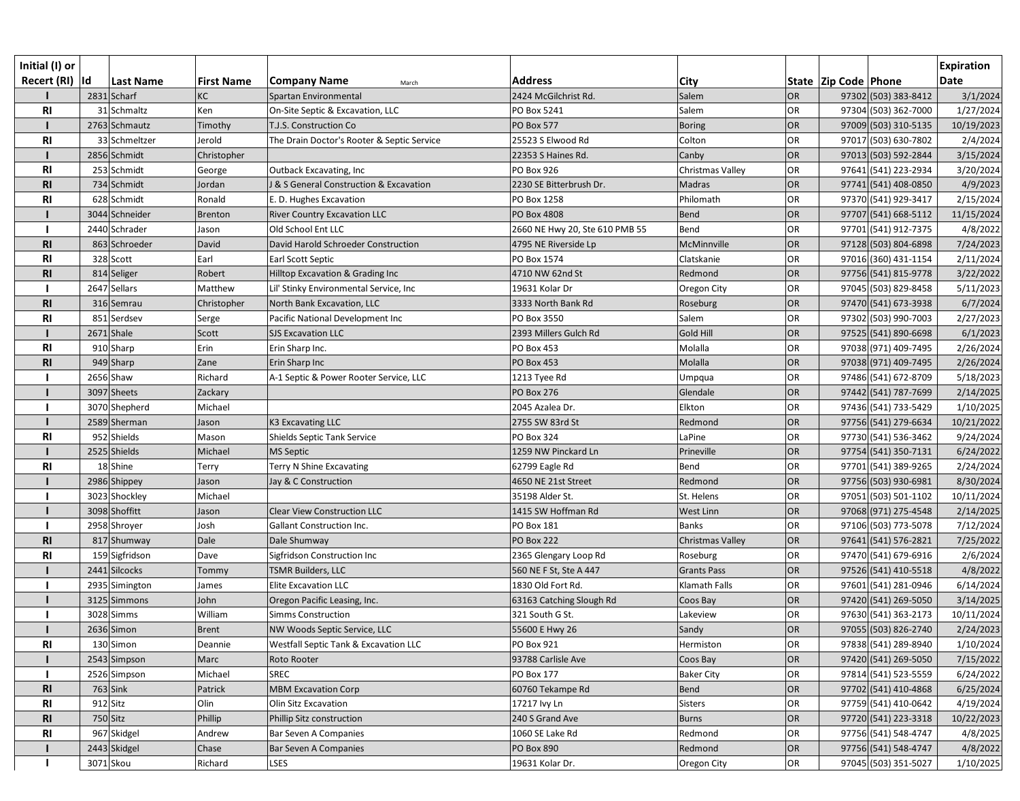| Initial (I) or<br>Recert (RI)  Id |          | <b>Last Name</b> | <b>First Name</b> | <b>Company Name</b><br>March               | <b>Address</b>                 | <b>City</b>        |           | State   Zip Code   Phone | <b>Expiration</b><br><b>Date</b> |
|-----------------------------------|----------|------------------|-------------------|--------------------------------------------|--------------------------------|--------------------|-----------|--------------------------|----------------------------------|
|                                   |          | 2831 Scharf      | KC                | Spartan Environmental                      | 2424 McGilchrist Rd.           | Salem              | <b>OR</b> | 97302 (503) 383-8412     | 3/1/2024                         |
| R <sub>l</sub>                    |          | 31 Schmaltz      | Ken               | On-Site Septic & Excavation, LLC           | PO Box 5241                    | Salem              | <b>OR</b> | 97304 (503) 362-7000     | 1/27/2024                        |
|                                   |          | 2763 Schmautz    | Timothy           | T.J.S. Construction Co                     | <b>PO Box 577</b>              | <b>Boring</b>      | <b>OR</b> | 97009 (503) 310-5135     | 10/19/2023                       |
| <b>RI</b>                         |          | 33 Schmeltzer    | Jerold            | The Drain Doctor's Rooter & Septic Service | 25523 S Elwood Rd              | Colton             | <b>OR</b> | 97017 (503) 630-7802     | 2/4/2024                         |
|                                   |          | 2856 Schmidt     | Christopher       |                                            | 22353 S Haines Rd.             | Canby              | <b>OR</b> | 97013 (503) 592-2844     | 3/15/2024                        |
| <b>RI</b>                         |          | 253 Schmidt      | George            | <b>Outback Excavating, Inc</b>             | PO Box 926                     | Christmas Valley   | <b>OR</b> | 97641 (541) 223-2934     | 3/20/2024                        |
| <b>RI</b>                         |          | 734 Schmidt      | Jordan            | J & S General Construction & Excavation    | 2230 SE Bitterbrush Dr.        | Madras             | <b>OR</b> | 97741 (541) 408-0850     | 4/9/2023                         |
| R <sub>l</sub>                    |          | 628 Schmidt      | Ronald            | E. D. Hughes Excavation                    | PO Box 1258                    | Philomath          | OR        | 97370 (541) 929-3417     | 2/15/2024                        |
|                                   |          | 3044 Schneider   | <b>Brenton</b>    | <b>River Country Excavation LLC</b>        | <b>PO Box 4808</b>             | <b>Bend</b>        | OR        | 97707 (541) 668-5112     | 11/15/2024                       |
|                                   |          | 2440 Schrader    | Jason             | Old School Ent LLC                         | 2660 NE Hwy 20, Ste 610 PMB 55 | Bend               | <b>OR</b> | 97701 (541) 912-7375     | 4/8/2022                         |
| <b>RI</b>                         |          | 863 Schroeder    | David             | David Harold Schroeder Construction        | 4795 NE Riverside Lp           | McMinnville        | OR        | 97128 (503) 804-6898     | 7/24/2023                        |
| R <sub>l</sub>                    |          | 328 Scott        | Earl              | Earl Scott Septic                          | PO Box 1574                    | Clatskanie         | <b>OR</b> | 97016 (360) 431-1154     | 2/11/2024                        |
| <b>RI</b>                         |          | 814 Seliger      | Robert            | Hilltop Excavation & Grading Inc           | 4710 NW 62nd St                | Redmond            | <b>OR</b> | 97756 (541) 815-9778     | 3/22/2022                        |
|                                   |          | 2647 Sellars     | Matthew           | Lil' Stinky Environmental Service, Inc     | 19631 Kolar Dr                 | Oregon City        | <b>OR</b> | 97045 (503) 829-8458     | 5/11/2023                        |
| R <sub>l</sub>                    |          | 316 Semrau       | Christopher       | North Bank Excavation, LLC                 | 3333 North Bank Rd             | Roseburg           | <b>OR</b> | 97470 (541) 673-3938     | 6/7/2024                         |
| R <sub>l</sub>                    |          | 851 Serdsev      | Serge             | Pacific National Development Inc           | PO Box 3550                    | Salem              | OR        | 97302 (503) 990-7003     | 2/27/2023                        |
|                                   |          | $2671$ Shale     | Scott             | <b>SJS Excavation LLC</b>                  | 2393 Millers Gulch Rd          | Gold Hill          | <b>OR</b> | 97525 (541) 890-6698     | 6/1/2023                         |
| R <sub>l</sub>                    |          | 910 Sharp        | Erin              | Erin Sharp Inc.                            | <b>PO Box 453</b>              | Molalla            | OR        | 97038 (971) 409-7495     | 2/26/2024                        |
| <b>RI</b>                         |          | 949 Sharp        | Zane              | Erin Sharp Inc                             | PO Box 453                     | Molalla            | OR        | 97038 (971) 409-7495     | 2/26/2024                        |
|                                   |          | 2656 Shaw        | Richard           | A-1 Septic & Power Rooter Service, LLC     | 1213 Tyee Rd                   | Umpqua             | OR        | 97486 (541) 672-8709     | 5/18/2023                        |
|                                   |          | 3097 Sheets      | Zackary           |                                            | <b>PO Box 276</b>              | Glendale           | <b>OR</b> | 97442 (541) 787-7699     | 2/14/2025                        |
|                                   |          | 3070 Shepherd    | Michael           |                                            | 2045 Azalea Dr.                | Elkton             | <b>OR</b> | 97436 (541) 733-5429     | 1/10/2025                        |
|                                   |          | 2589 Sherman     | Jason             | K3 Excavating LLC                          | 2755 SW 83rd St                | Redmond            | <b>OR</b> | 97756 (541) 279-6634     | 10/21/2022                       |
| <b>RI</b>                         |          | 952 Shields      | Mason             | Shields Septic Tank Service                | <b>PO Box 324</b>              | LaPine             | <b>OR</b> | 97730 (541) 536-3462     | 9/24/2024                        |
|                                   |          | 2525 Shields     | Michael           | <b>MS Septic</b>                           | 1259 NW Pinckard Ln            | Prineville         | OR        | 97754 (541) 350-7131     | 6/24/2022                        |
| R <sub>l</sub>                    |          | 18 Shine         | Terry             | Terry N Shine Excavating                   | 62799 Eagle Rd                 | Bend               | <b>OR</b> | 97701 (541) 389-9265     | 2/24/2024                        |
|                                   |          | 2986 Shippey     | Jason             | Jay & C Construction                       | 4650 NE 21st Street            | Redmond            | OR        | 97756 (503) 930-6981     | 8/30/2024                        |
|                                   |          | 3023 Shockley    | Michael           |                                            | 35198 Alder St.                | St. Helens         | <b>OR</b> | 97051 (503) 501-1102     | 10/11/2024                       |
|                                   |          | 3098 Shoffitt    | Jason             | <b>Clear View Construction LLC</b>         | 1415 SW Hoffman Rd             | West Linn          | OR        | 97068 (971) 275-4548     | 2/14/2025                        |
|                                   |          | 2958 Shroyer     | Josh              | <b>Gallant Construction Inc.</b>           | PO Box 181                     | <b>Banks</b>       | <b>OR</b> | 97106 (503) 773-5078     | 7/12/2024                        |
| <b>RI</b>                         |          | 817 Shumway      | Dale              | Dale Shumway                               | <b>PO Box 222</b>              | Christmas Valley   | OR        | 97641 (541) 576-2821     | 7/25/2022                        |
| <b>RI</b>                         |          | 159 Sigfridson   | Dave              | Sigfridson Construction Inc                | 2365 Glengary Loop Rd          | Roseburg           | <b>OR</b> | 97470 (541) 679-6916     | 2/6/2024                         |
|                                   |          | 2441 Silcocks    | Tommy             | TSMR Builders, LLC                         | 560 NE F St, Ste A 447         | <b>Grants Pass</b> | OR        | 97526 (541) 410-5518     | 4/8/2022                         |
|                                   |          | 2935 Simington   | James             | <b>Elite Excavation LLC</b>                | 1830 Old Fort Rd.              | Klamath Falls      | OR        | 97601 (541) 281-0946     | 6/14/2024                        |
|                                   |          | 3125 Simmons     | John              | Oregon Pacific Leasing, Inc.               | 63163 Catching Slough Rd       | Coos Bay           | <b>OR</b> | 97420 (541) 269-5050     | 3/14/2025                        |
|                                   |          | 3028 Simms       | William           | <b>Simms Construction</b>                  | 321 South G St.                | Lakeview           | <b>OR</b> | 97630 (541) 363-2173     | 10/11/2024                       |
|                                   |          | 2636 Simon       | <b>Brent</b>      | NW Woods Septic Service, LLC               | 55600 E Hwy 26                 | Sandy              | <b>OR</b> | 97055 (503) 826-2740     | 2/24/2023                        |
| <b>RI</b>                         |          | 130 Simon        | Deannie           | Westfall Septic Tank & Excavation LLC      | <b>PO Box 921</b>              | Hermiston          | <b>OR</b> | 97838 (541) 289-8940     | 1/10/2024                        |
|                                   |          | 2543 Simpson     | Marc              | Roto Rooter                                | 93788 Carlisle Ave             | Coos Bay           | <b>OR</b> | 97420 (541) 269-5050     | 7/15/2022                        |
|                                   |          | 2526 Simpson     | Michael           | <b>SREC</b>                                | <b>PO Box 177</b>              | <b>Baker City</b>  | <b>OR</b> | 97814 (541) 523-5559     | 6/24/2022                        |
| <b>RI</b>                         |          | $763$ Sink       | Patrick           | <b>MBM Excavation Corp</b>                 | 60760 Tekampe Rd               | <b>Bend</b>        | <b>OR</b> | 97702 (541) 410-4868     | 6/25/2024                        |
| <b>RI</b>                         |          | $912$ Sitz       | Olin              | Olin Sitz Excavation                       | 17217 lvy Ln                   | Sisters            | OR        | 97759 (541) 410-0642     | 4/19/2024                        |
| <b>RI</b>                         | 750 Sitz |                  | Phillip           | Phillip Sitz construction                  | 240 S Grand Ave                | <b>Burns</b>       | <b>OR</b> | 97720 (541) 223-3318     | 10/22/2023                       |
| <b>RI</b>                         |          | 967 Skidgel      | Andrew            | Bar Seven A Companies                      | 1060 SE Lake Rd                | Redmond            | <b>OR</b> | 97756 (541) 548-4747     | 4/8/2025                         |
|                                   |          | 2443 Skidgel     | Chase             | Bar Seven A Companies                      | <b>PO Box 890</b>              | Redmond            | OR        | 97756 (541) 548-4747     | 4/8/2022                         |
|                                   |          | 3071 Skou        | Richard           | LSES                                       | 19631 Kolar Dr.                | Oregon City        | OR        | 97045 (503) 351-5027     | 1/10/2025                        |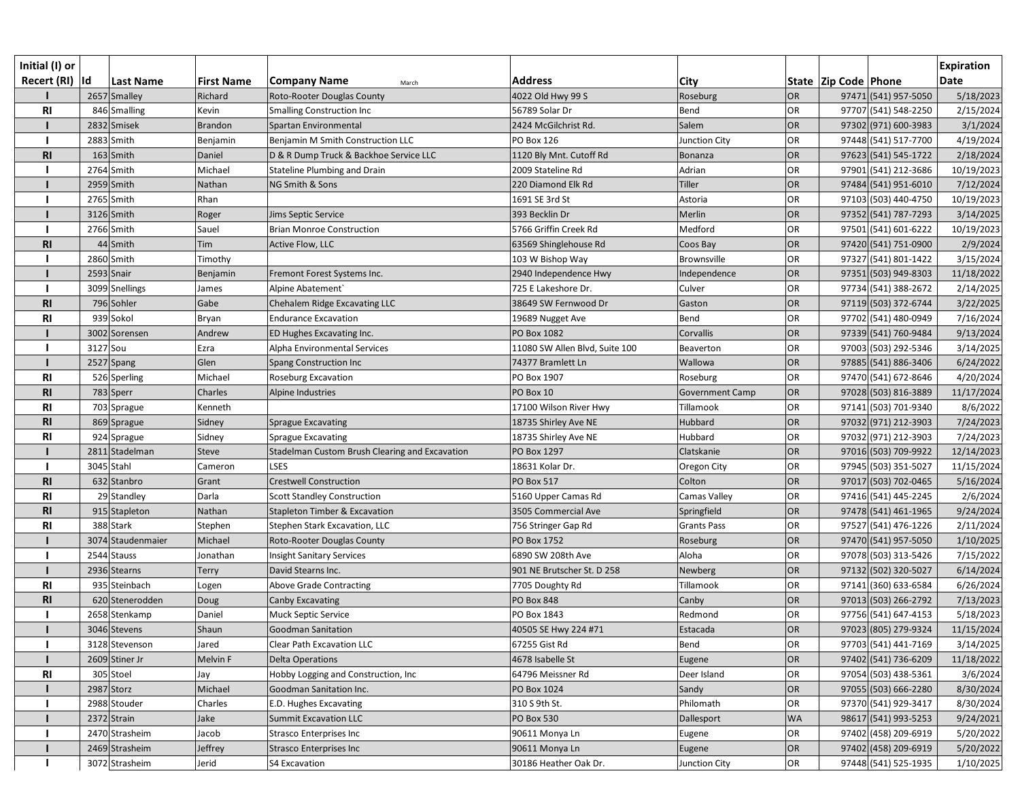| Initial (I) or  |                   |                   |                                                |                                |                        |           |                          |                      | <b>Expiration</b> |
|-----------------|-------------------|-------------------|------------------------------------------------|--------------------------------|------------------------|-----------|--------------------------|----------------------|-------------------|
| Recert (RI)  Id | Last Name         | <b>First Name</b> | <b>Company Name</b><br>March                   | <b>Address</b>                 | City                   |           | State   Zip Code   Phone |                      | <b>Date</b>       |
|                 | 2657 Smalley      | Richard           | Roto-Rooter Douglas County                     | 4022 Old Hwy 99 S              | Roseburg               | <b>OR</b> |                          | 97471 (541) 957-5050 | 5/18/2023         |
| <b>RI</b>       | 846 Smalling      | Kevin             | <b>Smalling Construction Inc</b>               | 56789 Solar Dr                 | Bend                   | OR        |                          | 97707 (541) 548-2250 | 2/15/2024         |
|                 | 2832 Smisek       | Brandon           | Spartan Environmental                          | 2424 McGilchrist Rd.           | Salem                  | OR        |                          | 97302 (971) 600-3983 | 3/1/2024          |
|                 | 2883 Smith        | Benjamin          | Benjamin M Smith Construction LLC              | <b>PO Box 126</b>              | Junction City          | <b>OR</b> |                          | 97448 (541) 517-7700 | 4/19/2024         |
| <b>RI</b>       | $163$ Smith       | Daniel            | D & R Dump Truck & Backhoe Service LLC         | 1120 Bly Mnt. Cutoff Rd        | Bonanza                | OR        |                          | 97623 (541) 545-1722 | 2/18/2024         |
|                 | 2764 Smith        | Michael           | Stateline Plumbing and Drain                   | 2009 Stateline Rd              | Adrian                 | <b>OR</b> |                          | 97901 (541) 212-3686 | 10/19/2023        |
|                 | 2959 Smith        | Nathan            | NG Smith & Sons                                | 220 Diamond Elk Rd             | Tiller                 | OR        |                          | 97484 (541) 951-6010 | 7/12/2024         |
|                 | 2765 Smith        | Rhan              |                                                | 1691 SE 3rd St                 | Astoria                | <b>OR</b> |                          | 97103 (503) 440-4750 | 10/19/2023        |
|                 | 3126 Smith        | Roger             | Jims Septic Service                            | 393 Becklin Dr                 | Merlin                 | OR        |                          | 97352 (541) 787-7293 | 3/14/2025         |
|                 | 2766 Smith        | Sauel             | <b>Brian Monroe Construction</b>               | 5766 Griffin Creek Rd          | Medford                | OR        |                          | 97501 (541) 601-6222 | 10/19/2023        |
| <b>RI</b>       | 44 Smith          | Tim               | Active Flow, LLC                               | 63569 Shinglehouse Rd          | Coos Bay               | OR        |                          | 97420 (541) 751-0900 | 2/9/2024          |
|                 | 2860 Smith        | Timothy           |                                                | 103 W Bishop Way               | Brownsville            | OR        |                          | 97327 (541) 801-1422 | 3/15/2024         |
|                 | 2593 Snair        | Benjamin          | Fremont Forest Systems Inc.                    | 2940 Independence Hwy          | Independence           | OR        |                          | 97351 (503) 949-8303 | 11/18/2022        |
|                 | 3099 Snellings    | James             | Alpine Abatement                               | 725 E Lakeshore Dr.            | Culver                 | OR        |                          | 97734 (541) 388-2672 | 2/14/2025         |
| <b>RI</b>       | 796 Sohler        | Gabe              | Chehalem Ridge Excavating LLC                  | 38649 SW Fernwood Dr           | Gaston                 | OR        |                          | 97119 (503) 372-6744 | 3/22/2025         |
| <b>RI</b>       | 939 Sokol         | Bryan             | <b>Endurance Excavation</b>                    | 19689 Nugget Ave               | Bend                   | <b>OR</b> |                          | 97702 (541) 480-0949 | 7/16/2024         |
|                 | 3002 Sorensen     | Andrew            | ED Hughes Excavating Inc.                      | PO Box 1082                    | Corvallis              | OR        |                          | 97339 (541) 760-9484 | 9/13/2024         |
|                 | 3127 Sou          | Ezra              | Alpha Environmental Services                   | 11080 SW Allen Blvd, Suite 100 | Beaverton              | <b>OR</b> |                          | 97003 (503) 292-5346 | 3/14/2025         |
|                 | $2527$ Spang      | Glen              | Spang Construction Inc                         | 74377 Bramlett Ln              | Wallowa                | OR        |                          | 97885 (541) 886-3406 | 6/24/2022         |
| <b>RI</b>       | 526 Sperling      | Michael           | Roseburg Excavation                            | PO Box 1907                    | Roseburg               | OR        |                          | 97470 (541) 672-8646 | 4/20/2024         |
| R <sub>l</sub>  | 783 Sperr         | Charles           | Alpine Industries                              | PO Box 10                      | <b>Government Camp</b> | OR        |                          | 97028 (503) 816-3889 | 11/17/2024        |
| <b>RI</b>       | 703 Sprague       | Kenneth           |                                                | 17100 Wilson River Hwy         | Tillamook              | OR        |                          | 97141 (503) 701-9340 | 8/6/2022          |
| R <sub>l</sub>  | 869 Sprague       | Sidney            | <b>Sprague Excavating</b>                      | 18735 Shirley Ave NE           | Hubbard                | OR        |                          | 97032 (971) 212-3903 | 7/24/2023         |
| <b>RI</b>       | 924 Sprague       | Sidney            | <b>Sprague Excavating</b>                      | 18735 Shirley Ave NE           | Hubbard                | <b>OR</b> |                          | 97032 (971) 212-3903 | 7/24/2023         |
|                 | 2811 Stadelman    | <b>Steve</b>      | Stadelman Custom Brush Clearing and Excavation | PO Box 1297                    | Clatskanie             | OR        |                          | 97016 (503) 709-9922 | 12/14/2023        |
|                 | 3045 Stahl        | Cameron           | <b>LSES</b>                                    | 18631 Kolar Dr.                | Oregon City            | <b>OR</b> |                          | 97945 (503) 351-5027 | 11/15/2024        |
| R <sub>l</sub>  | 632 Stanbro       | Grant             | <b>Crestwell Construction</b>                  | <b>PO Box 517</b>              | Colton                 | OR        |                          | 97017 (503) 702-0465 | 5/16/2024         |
| <b>RI</b>       | 29 Standley       | Darla             | <b>Scott Standley Construction</b>             | 5160 Upper Camas Rd            | Camas Valley           | <b>OR</b> |                          | 97416 (541) 445-2245 | 2/6/2024          |
| <b>RI</b>       | 915 Stapleton     | Nathan            | Stapleton Timber & Excavation                  | 3505 Commercial Ave            | Springfield            | OR        |                          | 97478 (541) 461-1965 | 9/24/2024         |
| <b>RI</b>       | 388 Stark         | Stephen           | Stephen Stark Excavation, LLC                  | 756 Stringer Gap Rd            | <b>Grants Pass</b>     | OR        |                          | 97527 (541) 476-1226 | 2/11/2024         |
|                 | 3074 Staudenmaier | Michael           | Roto-Rooter Douglas County                     | PO Box 1752                    | Roseburg               | OR        |                          | 97470 (541) 957-5050 | 1/10/2025         |
|                 | 2544 Stauss       | Jonathan          | <b>Insight Sanitary Services</b>               | 6890 SW 208th Ave              | Aloha                  | <b>OR</b> |                          | 97078 (503) 313-5426 | 7/15/2022         |
|                 | 2936 Stearns      | Terry             | David Stearns Inc.                             | 901 NE Brutscher St. D 258     | Newberg                | OR        |                          | 97132 (502) 320-5027 | 6/14/2024         |
| RI              | 935 Steinbach     | Logen             | <b>Above Grade Contracting</b>                 | 7705 Doughty Rd                | Tillamook              | <b>OR</b> |                          | 97141 (360) 633-6584 | 6/26/2024         |
| <b>RI</b>       | 620 Stenerodden   | Doug              | <b>Canby Excavating</b>                        | <b>PO Box 848</b>              | Canby                  | OR        |                          | 97013 (503) 266-2792 | 7/13/2023         |
|                 | 2658 Stenkamp     | Daniel            | Muck Septic Service                            | PO Box 1843                    | Redmond                | <b>OR</b> |                          | 97756 (541) 647-4153 | 5/18/2023         |
|                 | 3046 Stevens      | Shaun             | Goodman Sanitation                             | 40505 SE Hwy 224 #71           | Estacada               | OR        |                          | 97023 (805) 279-9324 | 11/15/2024        |
|                 | 3128 Stevenson    | Jared             | <b>Clear Path Excavation LLC</b>               | 67255 Gist Rd                  | Bend                   | OR        |                          | 97703 (541) 441-7169 | 3/14/2025         |
|                 | 2609 Stiner Jr    | Melvin F          | Delta Operations                               | 4678 Isabelle St               | Eugene                 | OR        |                          | 97402 (541) 736-6209 | 11/18/2022        |
| RI              | 305 Stoel         | Jay               | Hobby Logging and Construction, Inc            | 64796 Meissner Rd              | Deer Island            | OR        |                          | 97054 (503) 438-5361 | 3/6/2024          |
|                 | 2987 Storz        | Michael           | Goodman Sanitation Inc.                        | PO Box 1024                    | Sandy                  | <b>OR</b> |                          | 97055 (503) 666-2280 | 8/30/2024         |
|                 | 2988 Stouder      | Charles           | E.D. Hughes Excavating                         | 310 S 9th St.                  | Philomath              | <b>OR</b> |                          | 97370 (541) 929-3417 | 8/30/2024         |
|                 | 2372 Strain       | Jake              | <b>Summit Excavation LLC</b>                   | <b>PO Box 530</b>              | Dallesport             | <b>WA</b> |                          | 98617 (541) 993-5253 | 9/24/2021         |
|                 | 2470 Strasheim    | Jacob             | Strasco Enterprises Inc                        | 90611 Monya Ln                 | Eugene                 | <b>OR</b> |                          | 97402 (458) 209-6919 | 5/20/2022         |
|                 | 2469 Strasheim    | Jeffrey           | <b>Strasco Enterprises Inc</b>                 | 90611 Monya Ln                 | Eugene                 | OR        |                          | 97402 (458) 209-6919 | 5/20/2022         |
|                 | 3072 Strasheim    | Jerid             | S4 Excavation                                  | 30186 Heather Oak Dr.          | Junction City          | OR        |                          | 97448 (541) 525-1935 | 1/10/2025         |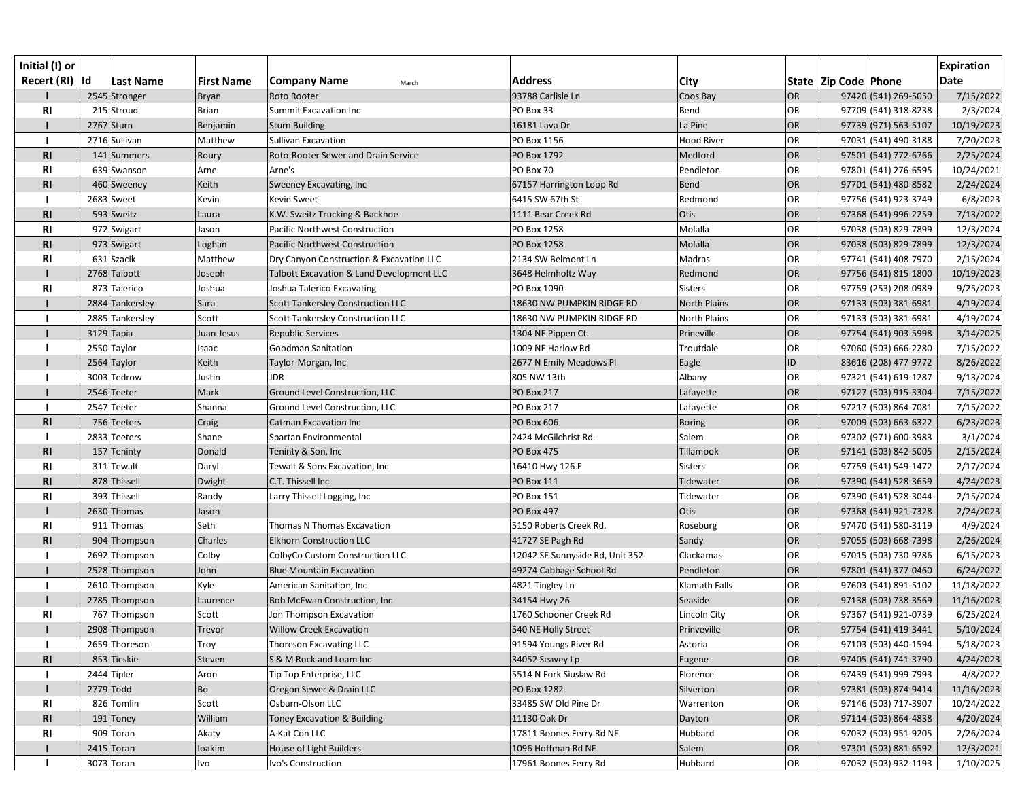| Initial (I) or  |                  |                   |                                           |                                 |                     |           |                          |                      | <b>Expiration</b> |
|-----------------|------------------|-------------------|-------------------------------------------|---------------------------------|---------------------|-----------|--------------------------|----------------------|-------------------|
| Recert (RI)  Id | <b>Last Name</b> | <b>First Name</b> | <b>Company Name</b><br>March              | <b>Address</b>                  | City                |           | State   Zip Code   Phone |                      | <b>Date</b>       |
|                 | 2545 Stronger    | <b>Bryan</b>      | Roto Rooter                               | 93788 Carlisle Ln               | Coos Bay            | OR        |                          | 97420 (541) 269-5050 | 7/15/2022         |
| R1              | 215 Stroud       | <b>Brian</b>      | Summit Excavation Inc                     | PO Box 33                       | Bend                | OR        |                          | 97709 (541) 318-8238 | 2/3/2024          |
|                 | 2767 Sturn       | Benjamin          | <b>Sturn Building</b>                     | 16181 Lava Dr                   | La Pine             | OR        |                          | 97739 (971) 563-5107 | 10/19/2023        |
|                 | 2716 Sullivan    | Matthew           | Sullivan Excavation                       | PO Box 1156                     | <b>Hood River</b>   | <b>OR</b> |                          | 97031 (541) 490-3188 | 7/20/2023         |
| R1              | 141 Summers      | Roury             | Roto-Rooter Sewer and Drain Service       | PO Box 1792                     | Medford             | OR        |                          | 97501 (541) 772-6766 | 2/25/2024         |
| <b>RI</b>       | 639 Swanson      | Arne              | Arne's                                    | PO Box 70                       | Pendleton           | <b>OR</b> |                          | 97801 (541) 276-6595 | 10/24/2021        |
| <b>RI</b>       | 460 Sweeney      | Keith             | Sweeney Excavating, Inc                   | 67157 Harrington Loop Rd        | Bend                | OR        |                          | 97701 (541) 480-8582 | 2/24/2024         |
|                 | 2683 Sweet       | Kevin             | <b>Kevin Sweet</b>                        | 6415 SW 67th St                 | Redmond             | OR        |                          | 97756 (541) 923-3749 | 6/8/2023          |
| R1              | 593 Sweitz       | Laura             | K.W. Sweitz Trucking & Backhoe            | 1111 Bear Creek Rd              | Otis                | OR        |                          | 97368 (541) 996-2259 | 7/13/2022         |
| R1              | 972 Swigart      | Jason             | Pacific Northwest Construction            | PO Box 1258                     | Molalla             | OR        |                          | 97038 (503) 829-7899 | 12/3/2024         |
| R <sub>l</sub>  | 973 Swigart      | Loghan            | <b>Pacific Northwest Construction</b>     | PO Box 1258                     | Molalla             | OR        |                          | 97038 (503) 829-7899 | 12/3/2024         |
| R <sub>l</sub>  | 631 Szacik       | Matthew           | Dry Canyon Construction & Excavation LLC  | 2134 SW Belmont Ln              | Madras              | OR        |                          | 97741 (541) 408-7970 | 2/15/2024         |
|                 | 2768 Talbott     | Joseph            | Talbott Excavation & Land Development LLC | 3648 Helmholtz Way              | Redmond             | OR        |                          | 97756 (541) 815-1800 | 10/19/2023        |
| R1              | 873 Talerico     | Joshua            | Joshua Talerico Excavating                | PO Box 1090                     | <b>Sisters</b>      | OR        |                          | 97759 (253) 208-0989 | 9/25/2023         |
|                 | 2884 Tankersley  | Sara              | <b>Scott Tankersley Construction LLC</b>  | 18630 NW PUMPKIN RIDGE RD       | <b>North Plains</b> | OR        |                          | 97133 (503) 381-6981 | 4/19/2024         |
|                 | 2885 Tankersley  | Scott             | Scott Tankersley Construction LLC         | 18630 NW PUMPKIN RIDGE RD       | North Plains        | <b>OR</b> |                          | 97133 (503) 381-6981 | 4/19/2024         |
|                 | 3129 Tapia       | Juan-Jesus        | <b>Republic Services</b>                  | 1304 NE Pippen Ct.              | Prineville          | OR        |                          | 97754 (541) 903-5998 | 3/14/2025         |
|                 | 2550 Taylor      | Isaac             | Goodman Sanitation                        | 1009 NE Harlow Rd               | Troutdale           | <b>OR</b> |                          | 97060 (503) 666-2280 | 7/15/2022         |
|                 | 2564 Taylor      | Keith             | Taylor-Morgan, Inc                        | 2677 N Emily Meadows Pl         | Eagle               | ID        |                          | 83616 (208) 477-9772 | 8/26/2022         |
|                 | 3003 Tedrow      | Justin            | <b>JDR</b>                                | 805 NW 13th                     | Albany              | OR        |                          | 97321 (541) 619-1287 | 9/13/2024         |
|                 | 2546 Teeter      | Mark              | <b>Ground Level Construction, LLC</b>     | <b>PO Box 217</b>               | Lafayette           | OR        |                          | 97127 (503) 915-3304 | 7/15/2022         |
|                 | 2547 Teeter      | Shanna            | Ground Level Construction, LLC            | <b>PO Box 217</b>               | Lafayette           | OR        |                          | 97217 (503) 864-7081 | 7/15/2022         |
| <b>RI</b>       | 756 Teeters      | Craig             | <b>Catman Excavation Inc.</b>             | <b>PO Box 606</b>               | <b>Boring</b>       | OR        |                          | 97009 (503) 663-6322 | 6/23/2023         |
|                 | 2833 Teeters     | Shane             | Spartan Environmental                     | 2424 McGilchrist Rd.            | Salem               | <b>OR</b> |                          | 97302 (971) 600-3983 | 3/1/2024          |
| <b>RI</b>       | 157 Teninty      | Donald            | Teninty & Son, Inc                        | <b>PO Box 475</b>               | Tillamook           | OR        |                          | 97141 (503) 842-5005 | 2/15/2024         |
| <b>RI</b>       | 311 Tewalt       | Daryl             | Tewalt & Sons Excavation, Inc             | 16410 Hwy 126 E                 | Sisters             | OR        |                          | 97759 (541) 549-1472 | 2/17/2024         |
| R1              | 878 Thissell     | Dwight            | C.T. Thissell Inc                         | <b>PO Box 111</b>               | Tidewater           | OR        |                          | 97390 (541) 528-3659 | 4/24/2023         |
| R1              | 393 Thissell     | Randy             | Larry Thissell Logging, Inc               | <b>PO Box 151</b>               | Tidewater           | OR        |                          | 97390 (541) 528-3044 | 2/15/2024         |
|                 | 2630 Thomas      | Jason             |                                           | <b>PO Box 497</b>               | Otis                | OR        |                          | 97368 (541) 921-7328 | 2/24/2023         |
| <b>RI</b>       | 911 Thomas       | Seth              | Thomas N Thomas Excavation                | 5150 Roberts Creek Rd.          | Roseburg            | OR        |                          | 97470 (541) 580-3119 | 4/9/2024          |
| R <sub>l</sub>  | 904 Thompson     | Charles           | <b>Elkhorn Construction LLC</b>           | 41727 SE Pagh Rd                | Sandy               | OR        |                          | 97055 (503) 668-7398 | 2/26/2024         |
|                 | 2692 Thompson    | Colby             | ColbyCo Custom Construction LLC           | 12042 SE Sunnyside Rd, Unit 352 | Clackamas           | OR        |                          | 97015 (503) 730-9786 | 6/15/2023         |
|                 | 2528 Thompson    | John              | <b>Blue Mountain Excavation</b>           | 49274 Cabbage School Rd         | Pendleton           | OR        |                          | 97801 (541) 377-0460 | 6/24/2022         |
|                 | 2610 Thompson    | Kyle              | American Sanitation, Inc                  | 4821 Tingley Ln                 | Klamath Falls       | OR        |                          | 97603 (541) 891-5102 | 11/18/2022        |
|                 | 2785 Thompson    | Laurence          | Bob McEwan Construction, Inc              | 34154 Hwy 26                    | Seaside             | OR        |                          | 97138 (503) 738-3569 | 11/16/2023        |
| <b>RI</b>       | 767 Thompson     | Scott             | Jon Thompson Excavation                   | 1760 Schooner Creek Rd          | Lincoln City        | OR        |                          | 97367 (541) 921-0739 | 6/25/2024         |
|                 | 2908 Thompson    | Trevor            | Willow Creek Excavation                   | 540 NE Holly Street             | Prinveville         | OR        |                          | 97754 (541) 419-3441 | 5/10/2024         |
|                 | 2659 Thoreson    | Troy              | Thoreson Excavating LLC                   | 91594 Youngs River Rd           | Astoria             | <b>OR</b> |                          | 97103 (503) 440-1594 | 5/18/2023         |
| R1              | 853 Tieskie      | Steven            | S & M Rock and Loam Inc                   | 34052 Seavey Lp                 | Eugene              | OR        |                          | 97405 (541) 741-3790 | 4/24/2023         |
|                 | 2444 Tipler      | Aron              | Tip Top Enterprise, LLC                   | 5514 N Fork Siuslaw Rd          | Florence            | <b>OR</b> |                          | 97439 (541) 999-7993 | 4/8/2022          |
|                 | 2779 Todd        | Bo                | Oregon Sewer & Drain LLC                  | PO Box 1282                     | Silverton           | OR        |                          | 97381 (503) 874-9414 | 11/16/2023        |
| <b>RI</b>       | 826 Tomlin       | Scott             | Osburn-Olson LLC                          | 33485 SW Old Pine Dr            | Warrenton           | <b>OR</b> |                          | 97146 (503) 717-3907 | 10/24/2022        |
| R <sub>l</sub>  | 191 Toney        | William           | Toney Excavation & Building               | 11130 Oak Dr                    | Dayton              | OR        |                          | 97114 (503) 864-4838 | 4/20/2024         |
| RI              | 909 Toran        | Akaty             | A-Kat Con LLC                             | 17811 Boones Ferry Rd NE        | Hubbard             | OR        |                          | 97032 (503) 951-9205 | 2/26/2024         |
|                 | 2415 Toran       | loakim            | House of Light Builders                   | 1096 Hoffman Rd NE              | Salem               | OR        |                          | 97301 (503) 881-6592 | 12/3/2021         |
|                 | 3073 Toran       | Ivo               | Ivo's Construction                        | 17961 Boones Ferry Rd           | Hubbard             | OR        |                          | 97032 (503) 932-1193 | 1/10/2025         |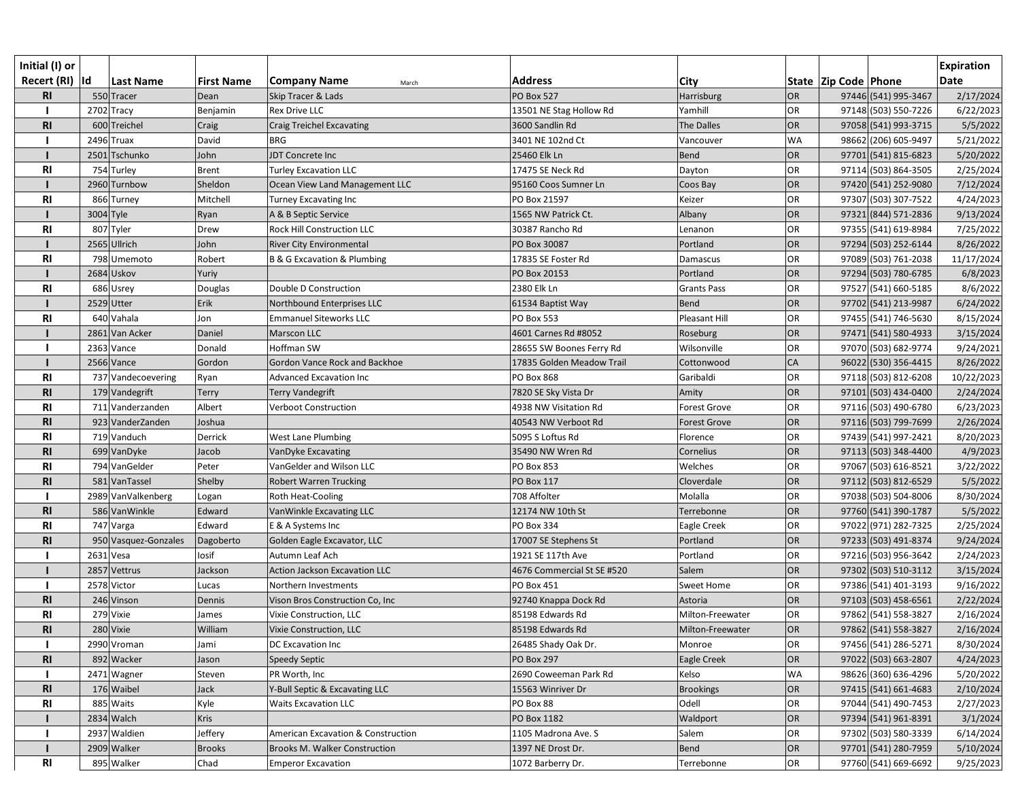| Initial (I) or  |             |                      |                   |                                    |                            |                     |                 |                          |                      | <b>Expiration</b> |
|-----------------|-------------|----------------------|-------------------|------------------------------------|----------------------------|---------------------|-----------------|--------------------------|----------------------|-------------------|
| Recert (RI)  Id |             | Last Name            | <b>First Name</b> | <b>Company Name</b><br>March       | <b>Address</b>             | <b>City</b>         |                 | State   Zip Code   Phone |                      | <b>Date</b>       |
| <b>RI</b>       |             | 550 Tracer           | Dean              | Skip Tracer & Lads                 | <b>PO Box 527</b>          | Harrisburg          | <b>OR</b>       |                          | 97446 (541) 995-3467 | 2/17/2024         |
|                 |             | $2702$ Tracy         | Benjamin          | <b>Rex Drive LLC</b>               | 13501 NE Stag Hollow Rd    | Yamhill             | OR              |                          | 97148 (503) 550-7226 | 6/22/2023         |
| <b>RI</b>       |             | 600 Treichel         | Craig             | <b>Craig Treichel Excavating</b>   | 3600 Sandlin Rd            | The Dalles          | <b>OR</b>       |                          | 97058 (541) 993-3715 | 5/5/2022          |
|                 |             | 2496 Truax           | David             | <b>BRG</b>                         | 3401 NE 102nd Ct           | Vancouver           | <b>WA</b>       |                          | 98662 (206) 605-9497 | 5/21/2022         |
|                 |             | 2501 Tschunko        | John              | JDT Concrete Inc                   | 25460 Elk Ln               | Bend                | <b>OR</b>       |                          | 97701 (541) 815-6823 | 5/20/2022         |
| <b>RI</b>       |             | 754 Turley           | <b>Brent</b>      | <b>Turley Excavation LLC</b>       | 17475 SE Neck Rd           | Dayton              | OR              |                          | 97114 (503) 864-3505 | 2/25/2024         |
|                 |             | 2960 Turnbow         | Sheldon           | Ocean View Land Management LLC     | 95160 Coos Sumner Ln       | Coos Bay            | OR              |                          | 97420 (541) 252-9080 | 7/12/2024         |
| <b>RI</b>       |             | 866 Turney           | Mitchell          | <b>Turney Excavating Inc</b>       | PO Box 21597               | Keizer              | OR              |                          | 97307 (503) 307-7522 | 4/24/2023         |
|                 | 3004 Tyle   |                      | Ryan              | A & B Septic Service               | 1565 NW Patrick Ct.        | Albany              | <b>OR</b>       |                          | 97321 (844) 571-2836 | 9/13/2024         |
| R <sub>l</sub>  |             | 807 Tyler            | Drew              | <b>Rock Hill Construction LLC</b>  | 30387 Rancho Rd            | Lenanon             | OR.             |                          | 97355 (541) 619-8984 | 7/25/2022         |
|                 |             | 2565 Ullrich         | John              | <b>River City Environmental</b>    | PO Box 30087               | Portland            | <b>OR</b>       |                          | 97294 (503) 252-6144 | 8/26/2022         |
| R <sub>l</sub>  |             | 798 Umemoto          | Robert            | B & G Excavation & Plumbing        | 17835 SE Foster Rd         | Damascus            | OR              |                          | 97089 (503) 761-2038 | 11/17/2024        |
|                 |             | 2684 Uskov           | Yuriy             |                                    | PO Box 20153               | Portland            | OR              |                          | 97294 (503) 780-6785 | 6/8/2023          |
| <b>RI</b>       |             | 686 Usrey            | Douglas           | Double D Construction              | 2380 Elk Ln                | <b>Grants Pass</b>  | OR              |                          | 97527 (541) 660-5185 | 8/6/2022          |
|                 | 2529 Utter  |                      | Erik              | Northbound Enterprises LLC         | 61534 Baptist Way          | <b>Bend</b>         | <b>OR</b>       |                          | 97702 (541) 213-9987 | 6/24/2022         |
| <b>RI</b>       |             | 640 Vahala           | Jon               | <b>Emmanuel Siteworks LLC</b>      | PO Box 553                 | Pleasant Hill       | OR              |                          | 97455 (541) 746-5630 | 8/15/2024         |
|                 |             | 2861 Van Acker       | Daniel            | Marscon LLC                        | 4601 Carnes Rd #8052       | Roseburg            | OR              |                          | 97471 (541) 580-4933 | 3/15/2024         |
|                 |             | 2363 Vance           | Donald            | Hoffman SW                         | 28655 SW Boones Ferry Rd   | Wilsonville         | OR              |                          | 97070 (503) 682-9774 | 9/24/2021         |
|                 |             | 2566 Vance           | Gordon            | Gordon Vance Rock and Backhoe      | 17835 Golden Meadow Trail  | Cottonwood          | CA              |                          | 96022 (530) 356-4415 | 8/26/2022         |
| R <sub>l</sub>  |             | 737 Vandecoevering   | Ryan              | Advanced Excavation Inc            | PO Box 868                 | Garibaldi           | OR              |                          | 97118 (503) 812-6208 | 10/22/2023        |
| <b>RI</b>       |             | 179 Vandegrift       | <b>Terry</b>      | <b>Terry Vandegrift</b>            | 7820 SE Sky Vista Dr       | Amity               | OR              |                          | 97101 (503) 434-0400 | 2/24/2024         |
| <b>RI</b>       |             | 711 Vanderzanden     | Albert            | Verboot Construction               | 4938 NW Visitation Rd      | <b>Forest Grove</b> | OR              |                          | 97116 (503) 490-6780 | 6/23/2023         |
| R <sub>l</sub>  |             | 923 VanderZanden     | Joshua            |                                    | 40543 NW Verboot Rd        | <b>Forest Grove</b> | OR <sub>1</sub> |                          | 97116 (503) 799-7699 | 2/26/2024         |
| <b>RI</b>       |             | 719 Vanduch          | Derrick           | <b>West Lane Plumbing</b>          | 5095 S Loftus Rd           | Florence            | OR              |                          | 97439 (541) 997-2421 | 8/20/2023         |
| <b>RI</b>       |             | 699 VanDyke          | Jacob             | VanDyke Excavating                 | 35490 NW Wren Rd           | Cornelius           | OR              |                          | 97113 (503) 348-4400 | 4/9/2023          |
| R1              |             | 794 VanGelder        | Peter             | VanGelder and Wilson LLC           | PO Box 853                 | Welches             | OR              |                          | 97067 (503) 616-8521 | 3/22/2022         |
| R <sub>l</sub>  |             | 581 VanTassel        | Shelby            | <b>Robert Warren Trucking</b>      | PO Box 117                 | Cloverdale          | <b>OR</b>       |                          | 97112 (503) 812-6529 | 5/5/2022          |
|                 |             | 2989 VanValkenberg   | Logan             | Roth Heat-Cooling                  | 708 Affolter               | Molalla             | OR              |                          | 97038 (503) 504-8006 | 8/30/2024         |
| <b>RI</b>       |             | 586 VanWinkle        | Edward            | VanWinkle Excavating LLC           | 12174 NW 10th St           | Terrebonne          | OR              |                          | 97760 (541) 390-1787 | 5/5/2022          |
| <b>RI</b>       |             | 747 Varga            | Edward            | E & A Systems Inc                  | PO Box 334                 | Eagle Creek         | OR              |                          | 97022 (971) 282-7325 | 2/25/2024         |
| R <sub>l</sub>  |             | 950 Vasquez-Gonzales | Dagoberto         | Golden Eagle Excavator, LLC        | 17007 SE Stephens St       | Portland            | OR              |                          | 97233 (503) 491-8374 | 9/24/2024         |
|                 | $2631$ Vesa |                      | losif             | Autumn Leaf Ach                    | 1921 SE 117th Ave          | Portland            | OR              |                          | 97216 (503) 956-3642 | 2/24/2023         |
|                 |             | 2857 Vettrus         | Jackson           | Action Jackson Excavation LLC      | 4676 Commercial St SE #520 | Salem               | <b>OR</b>       |                          | 97302 (503) 510-3112 | 3/15/2024         |
|                 |             | 2578 Victor          | Lucas             | Northern Investments               | PO Box 451                 | Sweet Home          | OR              |                          | 97386 (541) 401-3193 | 9/16/2022         |
| R <sub>l</sub>  |             | 246 Vinson           | Dennis            | Vison Bros Construction Co, Inc    | 92740 Knappa Dock Rd       | Astoria             | OR              |                          | 97103 (503) 458-6561 | 2/22/2024         |
| <b>RI</b>       |             | 279 Vixie            | James             | Vixie Construction, LLC            | 85198 Edwards Rd           | Milton-Freewater    | OR              |                          | 97862 (541) 558-3827 | 2/16/2024         |
| <b>RI</b>       |             | 280 Vixie            | William           | Vixie Construction, LLC            | 85198 Edwards Rd           | Milton-Freewater    | OR              |                          | 97862 (541) 558-3827 | 2/16/2024         |
|                 |             | 2990 Vroman          | Jami              | <b>DC</b> Excavation Inc           | 26485 Shady Oak Dr.        | Monroe              | OR              |                          | 97456 (541) 286-5271 | 8/30/2024         |
| R <sub>l</sub>  |             | 892 Wacker           | Jason             | Speedy Septic                      | <b>PO Box 297</b>          | Eagle Creek         | <b>OR</b>       |                          | 97022 (503) 663-2807 | 4/24/2023         |
|                 |             | 2471 Wagner          | Steven            | PR Worth, Inc                      | 2690 Coweeman Park Rd      | Kelso               | <b>WA</b>       |                          | 98626 (360) 636-4296 | 5/20/2022         |
| R <sub>l</sub>  |             | 176 Waibel           | Jack              | Y-Bull Septic & Excavating LLC     | 15563 Winriver Dr          | <b>Brookings</b>    | <b>OR</b>       |                          | 97415 (541) 661-4683 | 2/10/2024         |
| RI              |             | 885 Waits            | Kyle              | <b>Waits Excavation LLC</b>        | PO Box 88                  | Odell               | OR              |                          | 97044 (541) 490-7453 | 2/27/2023         |
|                 |             | 2834 Walch           | <b>Kris</b>       |                                    | PO Box 1182                | Waldport            | OR              |                          | 97394 (541) 961-8391 | 3/1/2024          |
|                 |             | 2937 Waldien         | Jeffery           | American Excavation & Construction | 1105 Madrona Ave. S        | Salem               | OR              |                          | 97302 (503) 580-3339 | 6/14/2024         |
|                 |             | 2909 Walker          | <b>Brooks</b>     | Brooks M. Walker Construction      | 1397 NE Drost Dr.          | <b>Bend</b>         | OR              |                          | 97701 (541) 280-7959 | 5/10/2024         |
| <b>RI</b>       |             | 895 Walker           | Chad              | <b>Emperor Excavation</b>          | 1072 Barberry Dr.          | Terrebonne          | OR              |                          | 97760 (541) 669-6692 | 9/25/2023         |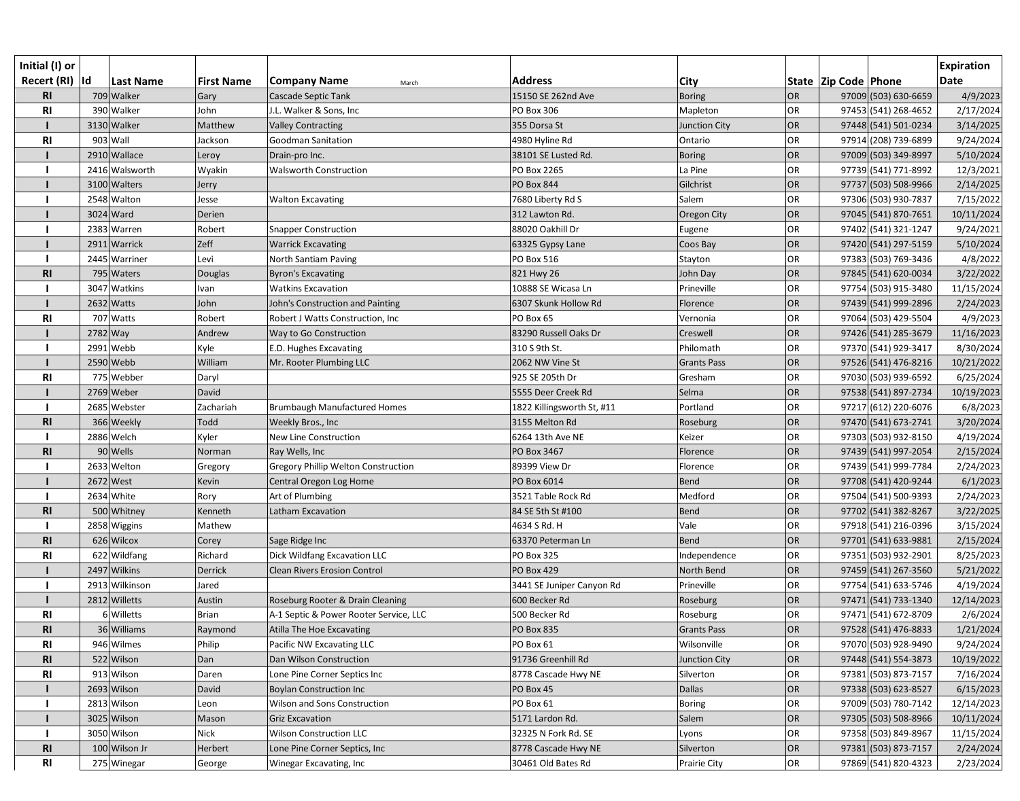| Initial (I) or<br>Recert (RI)  Id |            | <b>Last Name</b> | <b>First Name</b> | <b>Company Name</b><br>March               | <b>Address</b>             | <b>City</b>          |           | State  Zip Code  Phone | <b>Expiration</b><br><b>Date</b> |
|-----------------------------------|------------|------------------|-------------------|--------------------------------------------|----------------------------|----------------------|-----------|------------------------|----------------------------------|
| R1                                |            | 709 Walker       | Gary              | Cascade Septic Tank                        | 15150 SE 262nd Ave         | <b>Boring</b>        | <b>OR</b> | 97009 (503) 630-6659   | 4/9/2023                         |
| R1                                |            | 390 Walker       | John              | J.L. Walker & Sons, Inc                    | <b>PO Box 306</b>          | Mapleton             | OR        | 97453 (541) 268-4652   | 2/17/2024                        |
|                                   |            | 3130 Walker      | Matthew           | <b>Valley Contracting</b>                  | 355 Dorsa St               | <b>Junction City</b> | OR        | 97448 (541) 501-0234   | 3/14/2025                        |
| <b>RI</b>                         |            | 903 Wall         | Jackson           | <b>Goodman Sanitation</b>                  | 4980 Hyline Rd             | Ontario              | <b>OR</b> | 97914 (208) 739-6899   | 9/24/2024                        |
|                                   |            | 2910 Wallace     | Leroy             | Drain-pro Inc.                             | 38101 SE Lusted Rd.        | <b>Boring</b>        | <b>OR</b> | 97009 (503) 349-8997   | 5/10/2024                        |
|                                   |            | 2416 Walsworth   | Wyakin            | <b>Walsworth Construction</b>              | PO Box 2265                | La Pine              | <b>OR</b> | 97739 (541) 771-8992   | 12/3/2021                        |
|                                   |            | 3100 Walters     | Jerry             |                                            | <b>PO Box 844</b>          | Gilchrist            | OR        | 97737 (503) 508-9966   | 2/14/2025                        |
|                                   |            | 2548 Walton      | Jesse             | <b>Walton Excavating</b>                   | 7680 Liberty Rd S          | Salem                | <b>OR</b> | 97306 (503) 930-7837   | 7/15/2022                        |
|                                   |            | 3024 Ward        | Derien            |                                            | 312 Lawton Rd.             | Oregon City          | OR        | 97045 (541) 870-7651   | 10/11/2024                       |
|                                   |            | 2383 Warren      | Robert            | <b>Snapper Construction</b>                | 88020 Oakhill Dr           | Eugene               | <b>OR</b> | 97402 (541) 321-1247   | 9/24/2021                        |
|                                   |            | 2911 Warrick     | Zeff              | <b>Warrick Excavating</b>                  | 63325 Gypsy Lane           | Coos Bay             | OR        | 97420 (541) 297-5159   | 5/10/2024                        |
|                                   |            | 2445 Warriner    | Levi              | North Santiam Paving                       | PO Box 516                 | Stayton              | <b>OR</b> | 97383 (503) 769-3436   | 4/8/2022                         |
| <b>RI</b>                         |            | 795 Waters       | Douglas           | <b>Byron's Excavating</b>                  | 821 Hwy 26                 | John Day             | <b>OR</b> | 97845 (541) 620-0034   | 3/22/2022                        |
|                                   |            | 3047 Watkins     | Ivan              | <b>Watkins Excavation</b>                  | 10888 SE Wicasa Ln         | Prineville           | <b>OR</b> | 97754 (503) 915-3480   | 11/15/2024                       |
|                                   |            | $2632$ Watts     | John              | John's Construction and Painting           | 6307 Skunk Hollow Rd       | Florence             | <b>OR</b> | 97439 (541) 999-2896   | 2/24/2023                        |
| R <sub>l</sub>                    |            | 707 Watts        | Robert            | Robert J Watts Construction, Inc.          | PO Box 65                  | Vernonia             | OR        | 97064 (503) 429-5504   | 4/9/2023                         |
|                                   | $2782$ Way |                  | Andrew            | Way to Go Construction                     | 83290 Russell Oaks Dr      | Creswell             | <b>OR</b> | 97426 (541) 285-3679   | 11/16/2023                       |
|                                   |            | 2991 Webb        | Kyle              | E.D. Hughes Excavating                     | 310 S 9th St.              | Philomath            | <b>OR</b> | 97370 (541) 929-3417   | 8/30/2024                        |
|                                   |            | $2590$ Webb      | William           | Mr. Rooter Plumbing LLC                    | 2062 NW Vine St            | <b>Grants Pass</b>   | <b>OR</b> | 97526 (541) 476-8216   | 10/21/2022                       |
| R <sub>l</sub>                    |            | 775 Webber       | Daryl             |                                            | 925 SE 205th Dr            | Gresham              | <b>OR</b> | 97030 (503) 939-6592   | 6/25/2024                        |
|                                   |            | 2769 Weber       | David             |                                            | 5555 Deer Creek Rd         | Selma                | <b>OR</b> | 97538 (541) 897-2734   | 10/19/2023                       |
|                                   |            | 2685 Webster     | Zachariah         | <b>Brumbaugh Manufactured Homes</b>        | 1822 Killingsworth St, #11 | Portland             | <b>OR</b> | 97217 (612) 220-6076   | 6/8/2023                         |
| R1                                |            | 366 Weekly       | Todd              | Weekly Bros., Inc                          | 3155 Melton Rd             | Roseburg             | <b>OR</b> | 97470 (541) 673-2741   | 3/20/2024                        |
|                                   |            | 2886 Welch       | Kyler             | New Line Construction                      | 6264 13th Ave NE           | Keizer               | <b>OR</b> | 97303 (503) 932-8150   | 4/19/2024                        |
| <b>RI</b>                         |            | 90 Wells         | Norman            | Ray Wells, Inc                             | PO Box 3467                | Florence             | OR        | 97439 (541) 997-2054   | 2/15/2024                        |
|                                   |            | 2633 Welton      | Gregory           | <b>Gregory Phillip Welton Construction</b> | 89399 View Dr              | Florence             | <b>OR</b> | 97439 (541) 999-7784   | 2/24/2023                        |
|                                   |            | 2672 West        | Kevin             | Central Oregon Log Home                    | PO Box 6014                | <b>Bend</b>          | OR        | 97708 (541) 420-9244   | 6/1/2023                         |
|                                   |            | 2634 White       | Rory              | Art of Plumbing                            | 3521 Table Rock Rd         | Medford              | <b>OR</b> | 97504 (541) 500-9393   | 2/24/2023                        |
| R <sub>1</sub>                    |            | 500 Whitney      | Kenneth           | Latham Excavation                          | 84 SE 5th St #100          | Bend                 | OR        | 97702 (541) 382-8267   | 3/22/2025                        |
|                                   |            | 2858 Wiggins     | Mathew            |                                            | 4634 S Rd. H               | Vale                 | <b>OR</b> | 97918 (541) 216-0396   | 3/15/2024                        |
| <b>RI</b>                         |            | 626 Wilcox       | Corey             | Sage Ridge Inc                             | 63370 Peterman Ln          | <b>Bend</b>          | OR        | 97701 (541) 633-9881   | 2/15/2024                        |
| R <sub>l</sub>                    |            | 622 Wildfang     | Richard           | Dick Wildfang Excavation LLC               | PO Box 325                 | Independence         | <b>OR</b> | 97351 (503) 932-2901   | 8/25/2023                        |
|                                   |            | 2497 Wilkins     | Derrick           | <b>Clean Rivers Erosion Control</b>        | <b>PO Box 429</b>          | North Bend           | OR        | 97459 (541) 267-3560   | 5/21/2022                        |
|                                   |            | 2913 Wilkinson   | Jared             |                                            | 3441 SE Juniper Canyon Rd  | Prineville           | OR        | 97754 (541) 633-5746   | 4/19/2024                        |
|                                   |            | 2812 Willetts    | Austin            | Roseburg Rooter & Drain Cleaning           | 600 Becker Rd              | Roseburg             | <b>OR</b> | 97471 (541) 733-1340   | 12/14/2023                       |
| <b>RI</b>                         |            | 6 Willetts       | Brian             | A-1 Septic & Power Rooter Service, LLC     | 500 Becker Rd              | Roseburg             | <b>OR</b> | 97471 (541) 672-8709   | 2/6/2024                         |
| R1                                |            | 36 Williams      | Raymond           | Atilla The Hoe Excavating                  | PO Box 835                 | <b>Grants Pass</b>   | <b>OR</b> | 97528 (541) 476-8833   | 1/21/2024                        |
| <b>RI</b>                         |            | 946 Wilmes       | Philip            | Pacific NW Excavating LLC                  | PO Box 61                  | Wilsonville          | OR        | 97070 (503) 928-9490   | 9/24/2024                        |
| R <sub>1</sub>                    |            | 522 Wilson       | Dan               | Dan Wilson Construction                    | 91736 Greenhill Rd         | <b>Junction City</b> | OR        | 97448 (541) 554-3873   | 10/19/2022                       |
| <b>RI</b>                         |            | 913 Wilson       | Daren             | Lone Pine Corner Septics Inc               | 8778 Cascade Hwy NE        | Silverton            | <b>OR</b> | 97381 (503) 873-7157   | 7/16/2024                        |
|                                   |            | 2693 Wilson      | David             | <b>Boylan Construction Inc.</b>            | PO Box 45                  | <b>Dallas</b>        | <b>OR</b> | 97338 (503) 623-8527   | 6/15/2023                        |
|                                   |            | 2813 Wilson      | Leon              | Wilson and Sons Construction               | PO Box 61                  | <b>Boring</b>        | OR        | 97009 (503) 780-7142   | 12/14/2023                       |
|                                   |            | 3025 Wilson      | Mason             | <b>Griz Excavation</b>                     | 5171 Lardon Rd.            | Salem                | <b>OR</b> | 97305 (503) 508-8966   | 10/11/2024                       |
|                                   |            | 3050 Wilson      | <b>Nick</b>       | <b>Wilson Construction LLC</b>             | 32325 N Fork Rd. SE        | Lyons                | <b>OR</b> | 97358 (503) 849-8967   | 11/15/2024                       |
| R <sub>l</sub>                    |            | 100 Wilson Jr    | Herbert           | Lone Pine Corner Septics, Inc              | 8778 Cascade Hwy NE        | Silverton            | OR        | 97381 (503) 873-7157   | 2/24/2024                        |
| R <sub>l</sub>                    |            | 275 Winegar      | George            | Winegar Excavating, Inc                    | 30461 Old Bates Rd         | Prairie City         | OR        | 97869 (541) 820-4323   | 2/23/2024                        |